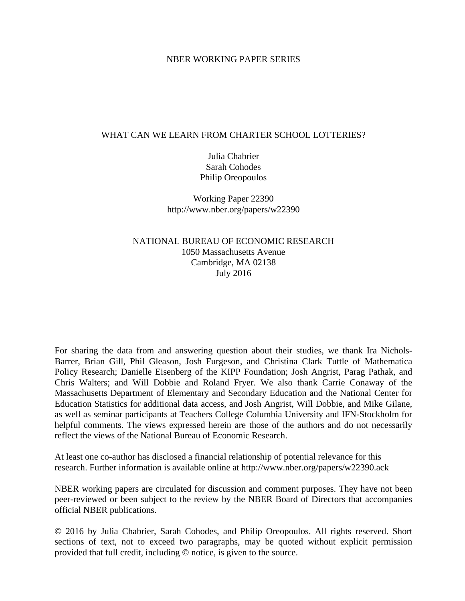## NBER WORKING PAPER SERIES

## WHAT CAN WE LEARN FROM CHARTER SCHOOL LOTTERIES?

Julia Chabrier Sarah Cohodes Philip Oreopoulos

Working Paper 22390 http://www.nber.org/papers/w22390

NATIONAL BUREAU OF ECONOMIC RESEARCH 1050 Massachusetts Avenue Cambridge, MA 02138 July 2016

For sharing the data from and answering question about their studies, we thank Ira Nichols-Barrer, Brian Gill, Phil Gleason, Josh Furgeson, and Christina Clark Tuttle of Mathematica Policy Research; Danielle Eisenberg of the KIPP Foundation; Josh Angrist, Parag Pathak, and Chris Walters; and Will Dobbie and Roland Fryer. We also thank Carrie Conaway of the Massachusetts Department of Elementary and Secondary Education and the National Center for Education Statistics for additional data access, and Josh Angrist, Will Dobbie, and Mike Gilane, as well as seminar participants at Teachers College Columbia University and IFN-Stockholm for helpful comments. The views expressed herein are those of the authors and do not necessarily reflect the views of the National Bureau of Economic Research.

At least one co-author has disclosed a financial relationship of potential relevance for this research. Further information is available online at http://www.nber.org/papers/w22390.ack

NBER working papers are circulated for discussion and comment purposes. They have not been peer-reviewed or been subject to the review by the NBER Board of Directors that accompanies official NBER publications.

© 2016 by Julia Chabrier, Sarah Cohodes, and Philip Oreopoulos. All rights reserved. Short sections of text, not to exceed two paragraphs, may be quoted without explicit permission provided that full credit, including © notice, is given to the source.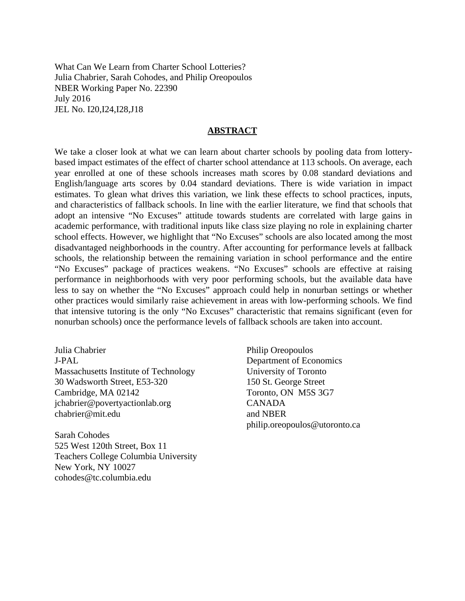What Can We Learn from Charter School Lotteries? Julia Chabrier, Sarah Cohodes, and Philip Oreopoulos NBER Working Paper No. 22390 July 2016 JEL No. I20,I24,I28,J18

### **ABSTRACT**

We take a closer look at what we can learn about charter schools by pooling data from lotterybased impact estimates of the effect of charter school attendance at 113 schools. On average, each year enrolled at one of these schools increases math scores by 0.08 standard deviations and English/language arts scores by 0.04 standard deviations. There is wide variation in impact estimates. To glean what drives this variation, we link these effects to school practices, inputs, and characteristics of fallback schools. In line with the earlier literature, we find that schools that adopt an intensive "No Excuses" attitude towards students are correlated with large gains in academic performance, with traditional inputs like class size playing no role in explaining charter school effects. However, we highlight that "No Excuses" schools are also located among the most disadvantaged neighborhoods in the country. After accounting for performance levels at fallback schools, the relationship between the remaining variation in school performance and the entire "No Excuses" package of practices weakens. "No Excuses" schools are effective at raising performance in neighborhoods with very poor performing schools, but the available data have less to say on whether the "No Excuses" approach could help in nonurban settings or whether other practices would similarly raise achievement in areas with low-performing schools. We find that intensive tutoring is the only "No Excuses" characteristic that remains significant (even for nonurban schools) once the performance levels of fallback schools are taken into account.

Julia Chabrier J-PAL Massachusetts Institute of Technology 30 Wadsworth Street, E53-320 Cambridge, MA 02142 jchabrier@povertyactionlab.org chabrier@mit.edu

Sarah Cohodes 525 West 120th Street, Box 11 Teachers College Columbia University New York, NY 10027 cohodes@tc.columbia.edu

Philip Oreopoulos Department of Economics University of Toronto 150 St. George Street Toronto, ON M5S 3G7 CANADA and NBER philip.oreopoulos@utoronto.ca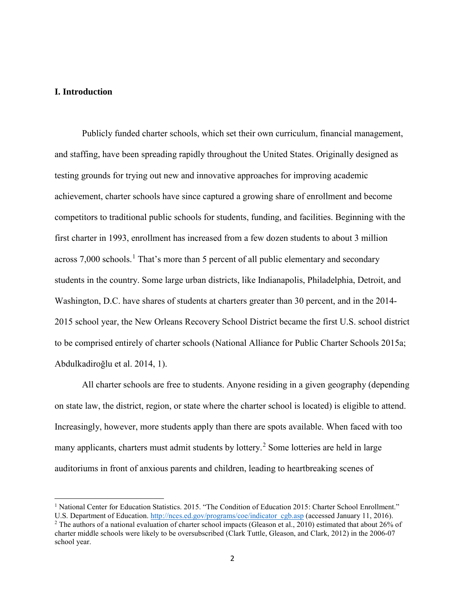## **I. Introduction**

 $\overline{\phantom{a}}$ 

Publicly funded charter schools, which set their own curriculum, financial management, and staffing, have been spreading rapidly throughout the United States. Originally designed as testing grounds for trying out new and innovative approaches for improving academic achievement, charter schools have since captured a growing share of enrollment and become competitors to traditional public schools for students, funding, and facilities. Beginning with the first charter in 1993, enrollment has increased from a few dozen students to about 3 million across  $7,000$  schools.<sup>[1](#page-2-0)</sup> That's more than 5 percent of all public elementary and secondary students in the country. Some large urban districts, like Indianapolis, Philadelphia, Detroit, and Washington, D.C. have shares of students at charters greater than 30 percent, and in the 2014- 2015 school year, the New Orleans Recovery School District became the first U.S. school district to be comprised entirely of charter schools (National Alliance for Public Charter Schools 2015a; Abdulkadiroğlu et al. 2014, 1).

All charter schools are free to students. Anyone residing in a given geography (depending on state law, the district, region, or state where the charter school is located) is eligible to attend. Increasingly, however, more students apply than there are spots available. When faced with too many applicants, charters must admit students by lottery.<sup>[2](#page-2-1)</sup> Some lotteries are held in large auditoriums in front of anxious parents and children, leading to heartbreaking scenes of

<span id="page-2-0"></span><sup>&</sup>lt;sup>1</sup> National Center for Education Statistics. 2015. "The Condition of Education 2015: Charter School Enrollment." U.S. Department of Education. [http://nces.ed.gov/programs/coe/indicator\\_cgb.asp](http://nces.ed.gov/programs/coe/indicator_cgb.asp) (accessed January 11, 2016).

<span id="page-2-1"></span><sup>&</sup>lt;sup>2</sup> The authors of a national evaluation of charter school impacts (Gleason et al., 2010) estimated that about 26% of charter middle schools were likely to be oversubscribed (Clark Tuttle, Gleason, and Clark, 2012) in the 2006-07 school year.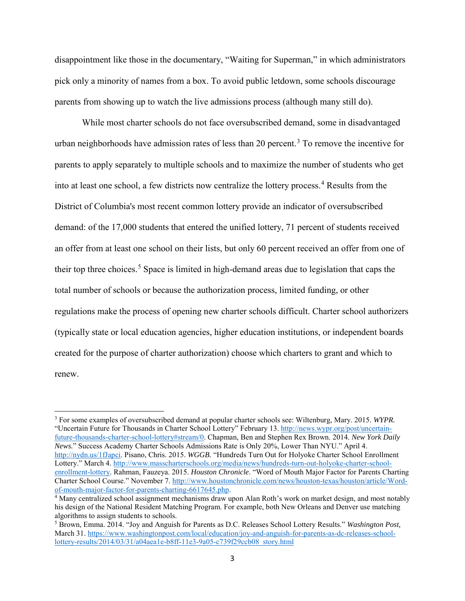disappointment like those in the documentary, "Waiting for Superman," in which administrators pick only a minority of names from a box. To avoid public letdown, some schools discourage parents from showing up to watch the live admissions process (although many still do).

While most charter schools do not face oversubscribed demand, some in disadvantaged urban neighborhoods have admission rates of less than 20 percent.<sup>[3](#page-3-0)</sup> To remove the incentive for parents to apply separately to multiple schools and to maximize the number of students who get into at least one school, a few districts now centralize the lottery process.<sup>[4](#page-3-1)</sup> Results from the District of Columbia's most recent common lottery provide an indicator of oversubscribed demand: of the 17,000 students that entered the unified lottery, 71 percent of students received an offer from at least one school on their lists, but only 60 percent received an offer from one of their top three choices.<sup>[5](#page-3-2)</sup> Space is limited in high-demand areas due to legislation that caps the total number of schools or because the authorization process, limited funding, or other regulations make the process of opening new charter schools difficult. Charter school authorizers (typically state or local education agencies, higher education institutions, or independent boards created for the purpose of charter authorization) choose which charters to grant and which to renew.

 $\overline{\phantom{a}}$ 

<span id="page-3-0"></span><sup>3</sup> For some examples of oversubscribed demand at popular charter schools see: Wiltenburg, Mary. 2015. *WYPR.*  "Uncertain Future for Thousands in Charter School Lottery" February 13. [http://news.wypr.org/post/uncertain](http://news.wypr.org/post/uncertain-future-thousands-charter-school-lottery#stream/0)[future-thousands-charter-school-lottery#stream/0.](http://news.wypr.org/post/uncertain-future-thousands-charter-school-lottery#stream/0) Chapman, Ben and Stephen Rex Brown. 2014. *New York Daily News.*" Success Academy Charter Schools Admissions Rate is Only 20%, Lower Than NYU." April 4. [http://nydn.us/1fJapci.](http://nydn.us/1fJapci) Pisano, Chris. 2015. *WGGB.* "Hundreds Turn Out for Holyoke Charter School Enrollment Lottery." March 4. [http://www.masscharterschools.org/media/news/hundreds-turn-out-holyoke-charter-school](http://www.masscharterschools.org/media/news/hundreds-turn-out-holyoke-charter-school-enrollment-lottery)[enrollment-lottery.](http://www.masscharterschools.org/media/news/hundreds-turn-out-holyoke-charter-school-enrollment-lottery) Rahman, Fauzeya. 2015. *Houston Chronicle*. "Word of Mouth Major Factor for Parents Charting Charter School Course." November 7. http://www.houstonchronicle.com/news/houston-texas/houston/article/Word-<br>of-mouth-major-factor-for-parents-charting-6617645.php.

<span id="page-3-1"></span> $4$  Many centralized school assignment mechanisms draw upon Alan Roth's work on market design, and most notably his design of the National Resident Matching Program. For example, both New Orleans and Denver use matching algorithms to assign students to schools.

<span id="page-3-2"></span><sup>5</sup> Brown, Emma. 2014. "Joy and Anguish for Parents as D.C. Releases School Lottery Results." *Washington Post,*  March 31[. https://www.washingtonpost.com/local/education/joy-and-anguish-for-parents-as-dc-releases-school](https://www.washingtonpost.com/local/education/joy-and-anguish-for-parents-as-dc-releases-school-lottery-results/2014/03/31/a04aea1e-b8ff-11e3-9a05-c739f29ccb08_story.html)[lottery-results/2014/03/31/a04aea1e-b8ff-11e3-9a05-c739f29ccb08\\_story.html](https://www.washingtonpost.com/local/education/joy-and-anguish-for-parents-as-dc-releases-school-lottery-results/2014/03/31/a04aea1e-b8ff-11e3-9a05-c739f29ccb08_story.html)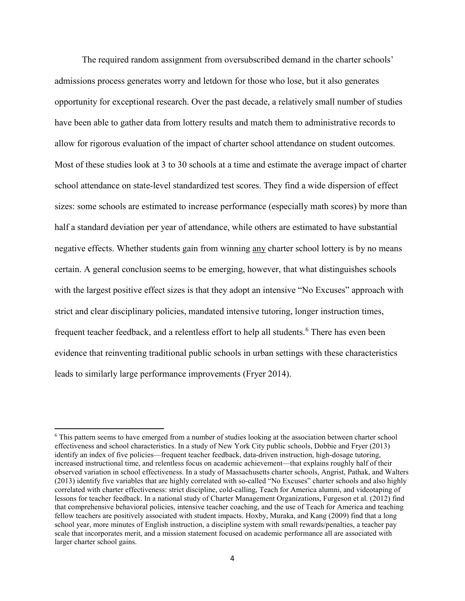The required random assignment from oversubscribed demand in the charter schools' admissions process generates worry and letdown for those who lose, but it also generates opportunity for exceptional research. Over the past decade, a relatively small number of studies have been able to gather data from lottery results and match them to administrative records to allow for rigorous evaluation of the impact of charter school attendance on student outcomes. Most of these studies look at 3 to 30 schools at a time and estimate the average impact of charter school attendance on state-level standardized test scores. They find a wide dispersion of effect sizes: some schools are estimated to increase performance (especially math scores) by more than half a standard deviation per year of attendance, while others are estimated to have substantial negative effects. Whether students gain from winning any charter school lottery is by no means certain. A general conclusion seems to be emerging, however, that what distinguishes schools with the largest positive effect sizes is that they adopt an intensive "No Excuses" approach with strict and clear disciplinary policies, mandated intensive tutoring, longer instruction times, frequent teacher feedback, and a relentless effort to help all students.<sup>[6](#page-4-0)</sup> There has even been evidence that reinventing traditional public schools in urban settings with these characteristics leads to similarly large performance improvements (Fryer 2014).

l

<span id="page-4-0"></span><sup>6</sup> This pattern seems to have emerged from a number of studies looking at the association between charter school effectiveness and school characteristics. In a study of New York City public schools, Dobbie and Fryer (2013) identify an index of five policies—frequent teacher feedback, data-driven instruction, high-dosage tutoring, increased instructional time, and relentless focus on academic achievement—that explains roughly half of their observed variation in school effectiveness. In a study of Massachusetts charter schools, Angrist, Pathak, and Walters (2013) identify five variables that are highly correlated with so-called "No Excuses" charter schools and also highly correlated with charter effectiveness: strict discipline, cold-calling, Teach for America alumni, and videotaping of lessons for teacher feedback. In a national study of Charter Management Organizations, Furgeson et al. (2012) find that comprehensive behavioral policies, intensive teacher coaching, and the use of Teach for America and teaching fellow teachers are positively associated with student impacts. Hoxby, Muraka, and Kang (2009) find that a long school year, more minutes of English instruction, a discipline system with small rewards/penalties, a teacher pay scale that incorporates merit, and a mission statement focused on academic performance all are associated with larger charter school gains.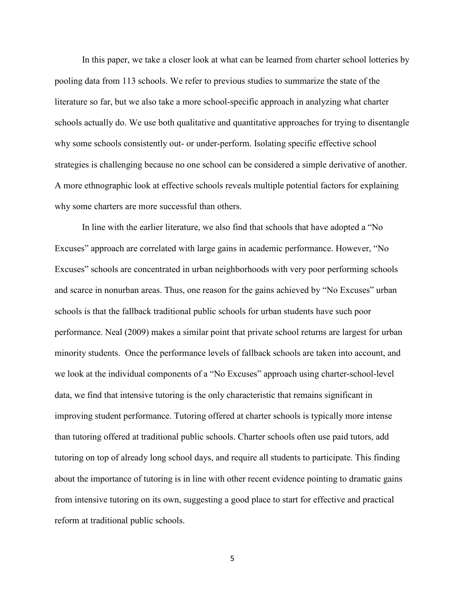In this paper, we take a closer look at what can be learned from charter school lotteries by pooling data from 113 schools. We refer to previous studies to summarize the state of the literature so far, but we also take a more school-specific approach in analyzing what charter schools actually do. We use both qualitative and quantitative approaches for trying to disentangle why some schools consistently out- or under-perform. Isolating specific effective school strategies is challenging because no one school can be considered a simple derivative of another. A more ethnographic look at effective schools reveals multiple potential factors for explaining why some charters are more successful than others.

In line with the earlier literature, we also find that schools that have adopted a "No Excuses" approach are correlated with large gains in academic performance. However, "No Excuses" schools are concentrated in urban neighborhoods with very poor performing schools and scarce in nonurban areas. Thus, one reason for the gains achieved by "No Excuses" urban schools is that the fallback traditional public schools for urban students have such poor performance. Neal (2009) makes a similar point that private school returns are largest for urban minority students. Once the performance levels of fallback schools are taken into account, and we look at the individual components of a "No Excuses" approach using charter-school-level data, we find that intensive tutoring is the only characteristic that remains significant in improving student performance. Tutoring offered at charter schools is typically more intense than tutoring offered at traditional public schools. Charter schools often use paid tutors, add tutoring on top of already long school days, and require all students to participate. This finding about the importance of tutoring is in line with other recent evidence pointing to dramatic gains from intensive tutoring on its own, suggesting a good place to start for effective and practical reform at traditional public schools.

5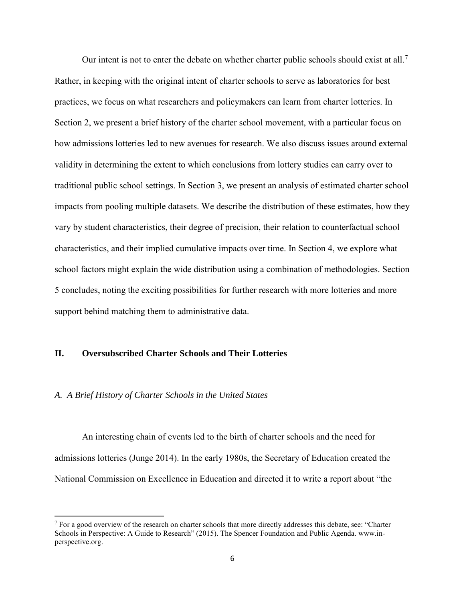Our intent is not to enter the debate on whether charter public schools should exist at all.<sup>[7](#page-6-0)</sup> Rather, in keeping with the original intent of charter schools to serve as laboratories for best practices, we focus on what researchers and policymakers can learn from charter lotteries. In Section 2, we present a brief history of the charter school movement, with a particular focus on how admissions lotteries led to new avenues for research. We also discuss issues around external validity in determining the extent to which conclusions from lottery studies can carry over to traditional public school settings. In Section 3, we present an analysis of estimated charter school impacts from pooling multiple datasets. We describe the distribution of these estimates, how they vary by student characteristics, their degree of precision, their relation to counterfactual school characteristics, and their implied cumulative impacts over time. In Section 4, we explore what school factors might explain the wide distribution using a combination of methodologies. Section 5 concludes, noting the exciting possibilities for further research with more lotteries and more support behind matching them to administrative data.

### **II. Oversubscribed Charter Schools and Their Lotteries**

#### *A. A Brief History of Charter Schools in the United States*

 $\overline{\phantom{a}}$ 

An interesting chain of events led to the birth of charter schools and the need for admissions lotteries (Junge 2014). In the early 1980s, the Secretary of Education created the National Commission on Excellence in Education and directed it to write a report about "the

<span id="page-6-0"></span> $<sup>7</sup>$  For a good overview of the research on charter schools that more directly addresses this debate, see: "Charter"</sup> Schools in Perspective: A Guide to Research" (2015). The Spencer Foundation and Public Agenda. www.inperspective.org.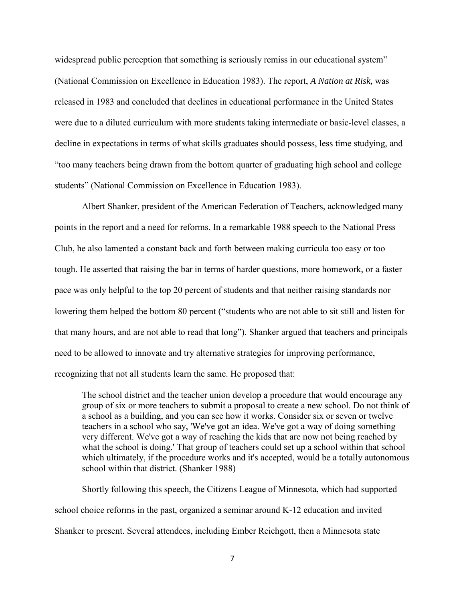widespread public perception that something is seriously remiss in our educational system" (National Commission on Excellence in Education 1983). The report, *A Nation at Risk,* was released in 1983 and concluded that declines in educational performance in the United States were due to a diluted curriculum with more students taking intermediate or basic-level classes, a decline in expectations in terms of what skills graduates should possess, less time studying, and "too many teachers being drawn from the bottom quarter of graduating high school and college students" (National Commission on Excellence in Education 1983).

Albert Shanker, president of the American Federation of Teachers, acknowledged many points in the report and a need for reforms. In a remarkable 1988 speech to the National Press Club, he also lamented a constant back and forth between making curricula too easy or too tough. He asserted that raising the bar in terms of harder questions, more homework, or a faster pace was only helpful to the top 20 percent of students and that neither raising standards nor lowering them helped the bottom 80 percent ("students who are not able to sit still and listen for that many hours, and are not able to read that long"). Shanker argued that teachers and principals need to be allowed to innovate and try alternative strategies for improving performance, recognizing that not all students learn the same. He proposed that:

The school district and the teacher union develop a procedure that would encourage any group of six or more teachers to submit a proposal to create a new school. Do not think of a school as a building, and you can see how it works. Consider six or seven or twelve teachers in a school who say, 'We've got an idea. We've got a way of doing something very different. We've got a way of reaching the kids that are now not being reached by what the school is doing.' That group of teachers could set up a school within that school which ultimately, if the procedure works and it's accepted, would be a totally autonomous school within that district. (Shanker 1988)

Shortly following this speech, the Citizens League of Minnesota, which had supported school choice reforms in the past, organized a seminar around K-12 education and invited Shanker to present. Several attendees, including Ember Reichgott, then a Minnesota state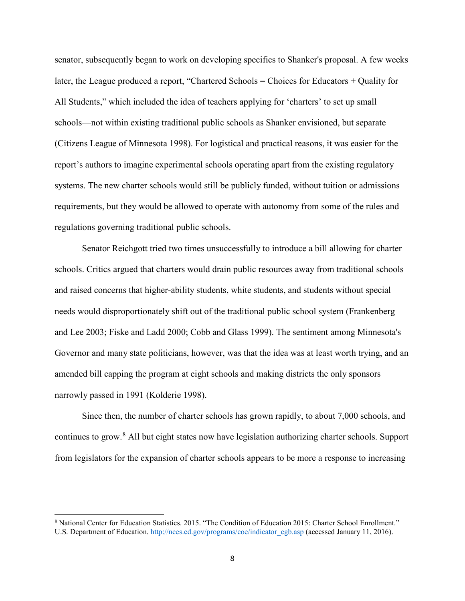senator, subsequently began to work on developing specifics to Shanker's proposal. A few weeks later, the League produced a report, "Chartered Schools = Choices for Educators + Quality for All Students," which included the idea of teachers applying for 'charters' to set up small schools—not within existing traditional public schools as Shanker envisioned, but separate (Citizens League of Minnesota 1998). For logistical and practical reasons, it was easier for the report's authors to imagine experimental schools operating apart from the existing regulatory systems. The new charter schools would still be publicly funded, without tuition or admissions requirements, but they would be allowed to operate with autonomy from some of the rules and regulations governing traditional public schools.

Senator Reichgott tried two times unsuccessfully to introduce a bill allowing for charter schools. Critics argued that charters would drain public resources away from traditional schools and raised concerns that higher-ability students, white students, and students without special needs would disproportionately shift out of the traditional public school system (Frankenberg and Lee 2003; Fiske and Ladd 2000; Cobb and Glass 1999). The sentiment among Minnesota's Governor and many state politicians, however, was that the idea was at least worth trying, and an amended bill capping the program at eight schools and making districts the only sponsors narrowly passed in 1991 (Kolderie 1998).

Since then, the number of charter schools has grown rapidly, to about 7,000 schools, and continues to grow.[8](#page-8-0) All but eight states now have legislation authorizing charter schools. Support from legislators for the expansion of charter schools appears to be more a response to increasing

 $\overline{\phantom{a}}$ 

<span id="page-8-0"></span><sup>8</sup> National Center for Education Statistics. 2015. "The Condition of Education 2015: Charter School Enrollment." U.S. Department of Education. [http://nces.ed.gov/programs/coe/indicator\\_cgb.asp](http://nces.ed.gov/programs/coe/indicator_cgb.asp) (accessed January 11, 2016).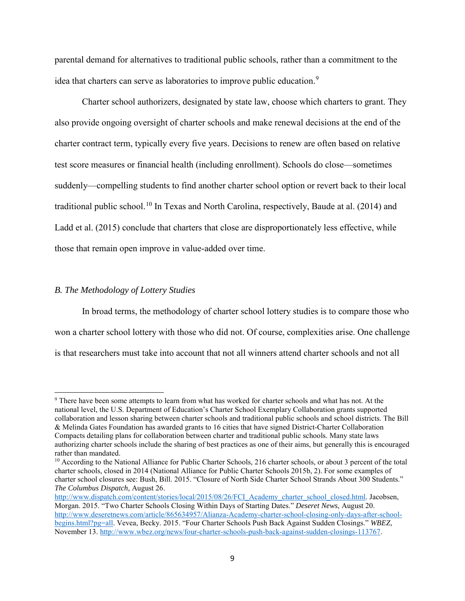parental demand for alternatives to traditional public schools, rather than a commitment to the idea that charters can serve as laboratories to improve public education.<sup>[9](#page-9-0)</sup>

Charter school authorizers, designated by state law, choose which charters to grant. They also provide ongoing oversight of charter schools and make renewal decisions at the end of the charter contract term, typically every five years. Decisions to renew are often based on relative test score measures or financial health (including enrollment). Schools do close—sometimes suddenly—compelling students to find another charter school option or revert back to their local traditional public school.<sup>[10](#page-9-1)</sup> In Texas and North Carolina, respectively, Baude at al. (2014) and Ladd et al. (2015) conclude that charters that close are disproportionately less effective, while those that remain open improve in value-added over time.

## *B. The Methodology of Lottery Studies*

l

In broad terms, the methodology of charter school lottery studies is to compare those who won a charter school lottery with those who did not. Of course, complexities arise. One challenge is that researchers must take into account that not all winners attend charter schools and not all

<span id="page-9-0"></span><sup>&</sup>lt;sup>9</sup> There have been some attempts to learn from what has worked for charter schools and what has not. At the national level, the U.S. Department of Education's Charter School Exemplary Collaboration grants supported collaboration and lesson sharing between charter schools and traditional public schools and school districts. The Bill & Melinda Gates Foundation has awarded grants to 16 cities that have signed District-Charter Collaboration Compacts detailing plans for collaboration between charter and traditional public schools. Many state laws authorizing charter schools include the sharing of best practices as one of their aims, but generally this is encouraged rather than mandated.

<span id="page-9-1"></span><sup>&</sup>lt;sup>10</sup> According to the National Alliance for Public Charter Schools, 216 charter schools, or about 3 percent of the total charter schools, closed in 2014 (National Alliance for Public Charter Schools 2015b, 2). For some examples of charter school closures see: Bush, Bill. 2015. "Closure of North Side Charter School Strands About 300 Students." *The Columbus Dispatch,* August 26.

[http://www.dispatch.com/content/stories/local/2015/08/26/FCI\\_Academy\\_charter\\_school\\_closed.html.](http://www.dispatch.com/content/stories/local/2015/08/26/FCI_Academy_charter_school_closed.html) Jacobsen, Morgan. 2015. "Two Charter Schools Closing Within Days of Starting Dates." *Deseret News*, August 20. [http://www.deseretnews.com/article/865634957/Alianza-Academy-charter-school-closing-only-days-after-school](http://www.deseretnews.com/article/865634957/Alianza-Academy-charter-school-closing-only-days-after-school-begins.html?pg=all)[begins.html?pg=all.](http://www.deseretnews.com/article/865634957/Alianza-Academy-charter-school-closing-only-days-after-school-begins.html?pg=all) Vevea, Becky. 2015. "Four Charter Schools Push Back Against Sudden Closings." *WBEZ*, November 13[. http://www.wbez.org/news/four-charter-schools-push-back-against-sudden-closings-113767.](http://www.wbez.org/news/four-charter-schools-push-back-against-sudden-closings-113767)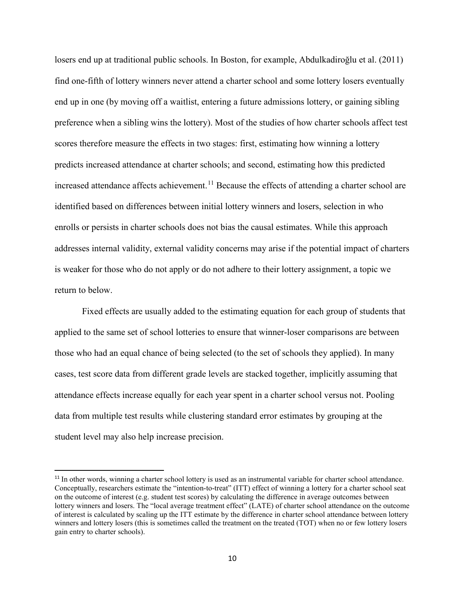losers end up at traditional public schools. In Boston, for example, Abdulkadiroğlu et al. (2011) find one-fifth of lottery winners never attend a charter school and some lottery losers eventually end up in one (by moving off a waitlist, entering a future admissions lottery, or gaining sibling preference when a sibling wins the lottery). Most of the studies of how charter schools affect test scores therefore measure the effects in two stages: first, estimating how winning a lottery predicts increased attendance at charter schools; and second, estimating how this predicted increased attendance affects achievement.<sup>[11](#page-10-0)</sup> Because the effects of attending a charter school are identified based on differences between initial lottery winners and losers, selection in who enrolls or persists in charter schools does not bias the causal estimates. While this approach addresses internal validity, external validity concerns may arise if the potential impact of charters is weaker for those who do not apply or do not adhere to their lottery assignment, a topic we return to below.

Fixed effects are usually added to the estimating equation for each group of students that applied to the same set of school lotteries to ensure that winner-loser comparisons are between those who had an equal chance of being selected (to the set of schools they applied). In many cases, test score data from different grade levels are stacked together, implicitly assuming that attendance effects increase equally for each year spent in a charter school versus not. Pooling data from multiple test results while clustering standard error estimates by grouping at the student level may also help increase precision.

 $\overline{\phantom{a}}$ 

<span id="page-10-0"></span><sup>&</sup>lt;sup>11</sup> In other words, winning a charter school lottery is used as an instrumental variable for charter school attendance. Conceptually, researchers estimate the "intention-to-treat" (ITT) effect of winning a lottery for a charter school seat on the outcome of interest (e.g. student test scores) by calculating the difference in average outcomes between lottery winners and losers. The "local average treatment effect" (LATE) of charter school attendance on the outcome of interest is calculated by scaling up the ITT estimate by the difference in charter school attendance between lottery winners and lottery losers (this is sometimes called the treatment on the treated (TOT) when no or few lottery losers gain entry to charter schools).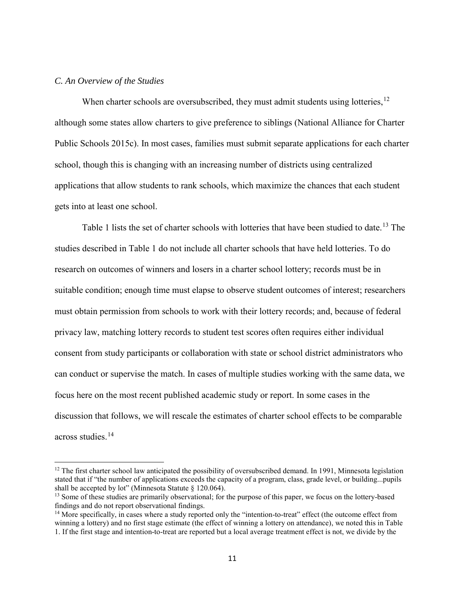## *C. An Overview of the Studies*

 $\overline{\phantom{a}}$ 

When charter schools are oversubscribed, they must admit students using lotteries,  $12$ although some states allow charters to give preference to siblings (National Alliance for Charter Public Schools 2015c). In most cases, families must submit separate applications for each charter school, though this is changing with an increasing number of districts using centralized applications that allow students to rank schools, which maximize the chances that each student gets into at least one school.

Table 1 lists the set of charter schools with lotteries that have been studied to date.<sup>[13](#page-11-1)</sup> The studies described in Table 1 do not include all charter schools that have held lotteries. To do research on outcomes of winners and losers in a charter school lottery; records must be in suitable condition; enough time must elapse to observe student outcomes of interest; researchers must obtain permission from schools to work with their lottery records; and, because of federal privacy law, matching lottery records to student test scores often requires either individual consent from study participants or collaboration with state or school district administrators who can conduct or supervise the match. In cases of multiple studies working with the same data, we focus here on the most recent published academic study or report. In some cases in the discussion that follows, we will rescale the estimates of charter school effects to be comparable across studies.[14](#page-11-2)

<span id="page-11-0"></span><sup>&</sup>lt;sup>12</sup> The first charter school law anticipated the possibility of oversubscribed demand. In 1991, Minnesota legislation stated that if "the number of applications exceeds the capacity of a program, class, grade level, or building...pupils shall be accepted by lot" (Minnesota Statute § 120.064).

<span id="page-11-1"></span><sup>&</sup>lt;sup>13</sup> Some of these studies are primarily observational; for the purpose of this paper, we focus on the lottery-based findings and do not report observational findings.

<span id="page-11-2"></span><sup>&</sup>lt;sup>14</sup> More specifically, in cases where a study reported only the "intention-to-treat" effect (the outcome effect from winning a lottery) and no first stage estimate (the effect of winning a lottery on attendance), we noted this in Table 1. If the first stage and intention-to-treat are reported but a local average treatment effect is not, we divide by the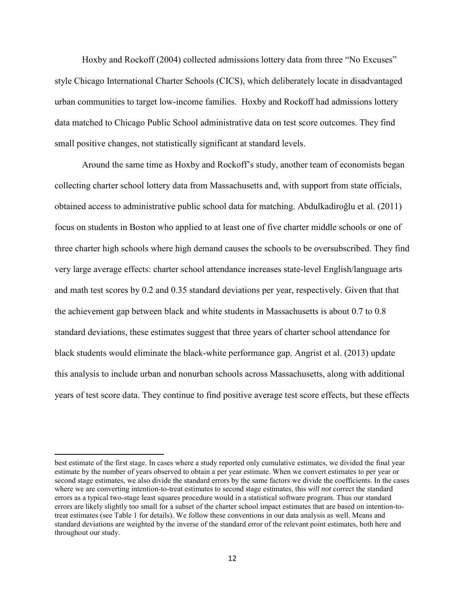Hoxby and Rockoff (2004) collected admissions lottery data from three "No Excuses" style Chicago International Charter Schools (CICS), which deliberately locate in disadvantaged urban communities to target low-income families. Hoxby and Rockoff had admissions lottery data matched to Chicago Public School administrative data on test score outcomes. They find small positive changes, not statistically significant at standard levels.

Around the same time as Hoxby and Rockoff's study, another team of economists began collecting charter school lottery data from Massachusetts and, with support from state officials, obtained access to administrative public school data for matching. Abdulkadiroğlu et al. (2011) focus on students in Boston who applied to at least one of five charter middle schools or one of three charter high schools where high demand causes the schools to be oversubscribed. They find very large average effects: charter school attendance increases state-level English/language arts and math test scores by 0.2 and 0.35 standard deviations per year, respectively. Given that that the achievement gap between black and white students in Massachusetts is about 0.7 to 0.8 standard deviations, these estimates suggest that three years of charter school attendance for black students would eliminate the black-white performance gap. Angrist et al. (2013) update this analysis to include urban and nonurban schools across Massachusetts, along with additional years of test score data. They continue to find positive average test score effects, but these effects

l

best estimate of the first stage. In cases where a study reported only cumulative estimates, we divided the final year estimate by the number of years observed to obtain a per year estimate. When we convert estimates to per year or second stage estimates, we also divide the standard errors by the same factors we divide the coefficients. In the cases where we are converting intention-to-treat estimates to second stage estimates, this *will not* correct the standard errors as a typical two-stage least squares procedure would in a statistical software program. Thus our standard errors are likely slightly too small for a subset of the charter school impact estimates that are based on intention-totreat estimates (see Table 1 for details). We follow these conventions in our data analysis as well. Means and standard deviations are weighted by the inverse of the standard error of the relevant point estimates, both here and throughout our study.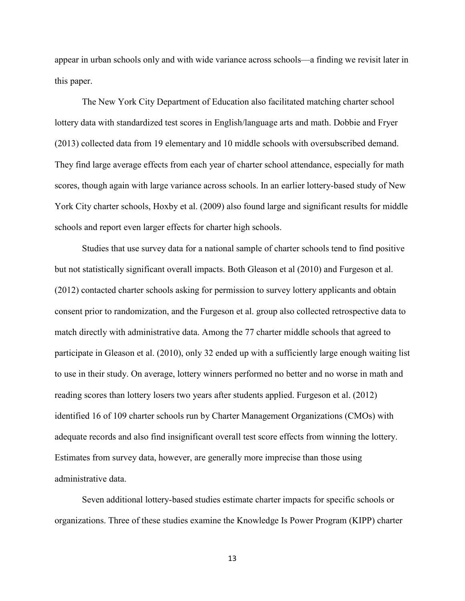appear in urban schools only and with wide variance across schools—a finding we revisit later in this paper.

The New York City Department of Education also facilitated matching charter school lottery data with standardized test scores in English/language arts and math. Dobbie and Fryer (2013) collected data from 19 elementary and 10 middle schools with oversubscribed demand. They find large average effects from each year of charter school attendance, especially for math scores, though again with large variance across schools. In an earlier lottery-based study of New York City charter schools, Hoxby et al. (2009) also found large and significant results for middle schools and report even larger effects for charter high schools.

Studies that use survey data for a national sample of charter schools tend to find positive but not statistically significant overall impacts. Both Gleason et al (2010) and Furgeson et al. (2012) contacted charter schools asking for permission to survey lottery applicants and obtain consent prior to randomization, and the Furgeson et al. group also collected retrospective data to match directly with administrative data. Among the 77 charter middle schools that agreed to participate in Gleason et al. (2010), only 32 ended up with a sufficiently large enough waiting list to use in their study. On average, lottery winners performed no better and no worse in math and reading scores than lottery losers two years after students applied. Furgeson et al. (2012) identified 16 of 109 charter schools run by Charter Management Organizations (CMOs) with adequate records and also find insignificant overall test score effects from winning the lottery. Estimates from survey data, however, are generally more imprecise than those using administrative data.

Seven additional lottery-based studies estimate charter impacts for specific schools or organizations. Three of these studies examine the Knowledge Is Power Program (KIPP) charter

13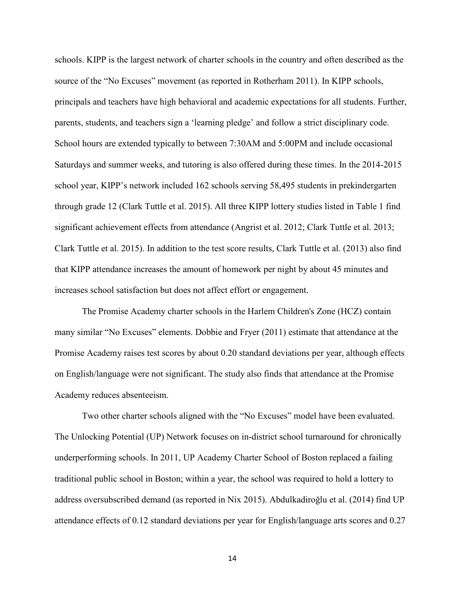schools. KIPP is the largest network of charter schools in the country and often described as the source of the "No Excuses" movement (as reported in Rotherham 2011). In KIPP schools, principals and teachers have high behavioral and academic expectations for all students. Further, parents, students, and teachers sign a 'learning pledge' and follow a strict disciplinary code. School hours are extended typically to between 7:30AM and 5:00PM and include occasional Saturdays and summer weeks, and tutoring is also offered during these times. In the 2014-2015 school year, KIPP's network included 162 schools serving 58,495 students in prekindergarten through grade 12 (Clark Tuttle et al. 2015). All three KIPP lottery studies listed in Table 1 find significant achievement effects from attendance (Angrist et al. 2012; Clark Tuttle et al. 2013; Clark Tuttle et al. 2015). In addition to the test score results, Clark Tuttle et al. (2013) also find that KIPP attendance increases the amount of homework per night by about 45 minutes and increases school satisfaction but does not affect effort or engagement.

The Promise Academy charter schools in the Harlem Children's Zone (HCZ) contain many similar "No Excuses" elements. Dobbie and Fryer (2011) estimate that attendance at the Promise Academy raises test scores by about 0.20 standard deviations per year, although effects on English/language were not significant. The study also finds that attendance at the Promise Academy reduces absenteeism.

Two other charter schools aligned with the "No Excuses" model have been evaluated. The Unlocking Potential (UP) Network focuses on in-district school turnaround for chronically underperforming schools. In 2011, UP Academy Charter School of Boston replaced a failing traditional public school in Boston; within a year, the school was required to hold a lottery to address oversubscribed demand (as reported in Nix 2015). Abdulkadiroğlu et al. (2014) find UP attendance effects of 0.12 standard deviations per year for English/language arts scores and 0.27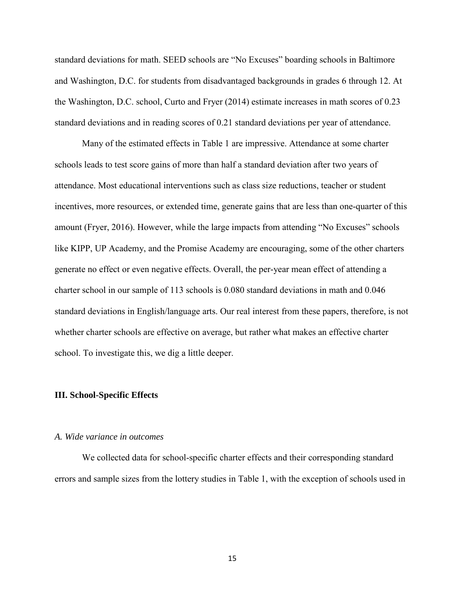standard deviations for math. SEED schools are "No Excuses" boarding schools in Baltimore and Washington, D.C. for students from disadvantaged backgrounds in grades 6 through 12. At the Washington, D.C. school, Curto and Fryer (2014) estimate increases in math scores of 0.23 standard deviations and in reading scores of 0.21 standard deviations per year of attendance.

Many of the estimated effects in Table 1 are impressive. Attendance at some charter schools leads to test score gains of more than half a standard deviation after two years of attendance. Most educational interventions such as class size reductions, teacher or student incentives, more resources, or extended time, generate gains that are less than one-quarter of this amount (Fryer, 2016). However, while the large impacts from attending "No Excuses" schools like KIPP, UP Academy, and the Promise Academy are encouraging, some of the other charters generate no effect or even negative effects. Overall, the per-year mean effect of attending a charter school in our sample of 113 schools is 0.080 standard deviations in math and 0.046 standard deviations in English/language arts. Our real interest from these papers, therefore, is not whether charter schools are effective on average, but rather what makes an effective charter school. To investigate this, we dig a little deeper.

#### **III. School-Specific Effects**

#### *A. Wide variance in outcomes*

We collected data for school-specific charter effects and their corresponding standard errors and sample sizes from the lottery studies in Table 1, with the exception of schools used in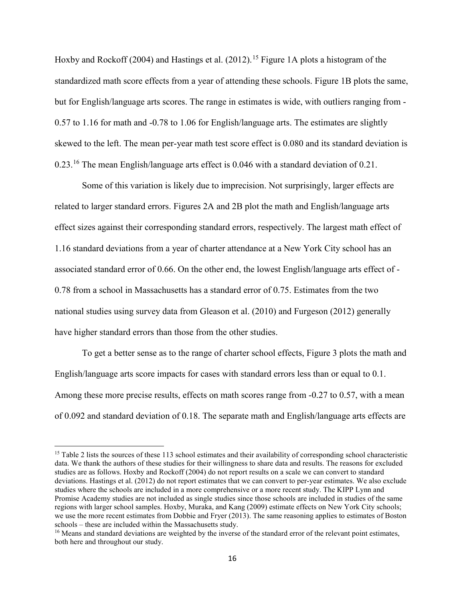Hoxby and Rockoff (2004) and Hastings et al. (2012).<sup>15</sup> Figure 1A plots a histogram of the standardized math score effects from a year of attending these schools. Figure 1B plots the same, but for English/language arts scores. The range in estimates is wide, with outliers ranging from - 0.57 to 1.16 for math and -0.78 to 1.06 for English/language arts. The estimates are slightly skewed to the left. The mean per-year math test score effect is 0.080 and its standard deviation is 0.23.[16](#page-16-1) The mean English/language arts effect is 0.046 with a standard deviation of 0.21.

 Some of this variation is likely due to imprecision. Not surprisingly, larger effects are related to larger standard errors. Figures 2A and 2B plot the math and English/language arts effect sizes against their corresponding standard errors, respectively. The largest math effect of 1.16 standard deviations from a year of charter attendance at a New York City school has an associated standard error of 0.66. On the other end, the lowest English/language arts effect of - 0.78 from a school in Massachusetts has a standard error of 0.75. Estimates from the two national studies using survey data from Gleason et al. (2010) and Furgeson (2012) generally have higher standard errors than those from the other studies.

To get a better sense as to the range of charter school effects, Figure 3 plots the math and English/language arts score impacts for cases with standard errors less than or equal to 0.1. Among these more precise results, effects on math scores range from -0.27 to 0.57, with a mean of 0.092 and standard deviation of 0.18. The separate math and English/language arts effects are

 $\overline{\phantom{a}}$ 

<span id="page-16-0"></span> $15$  Table 2 lists the sources of these 113 school estimates and their availability of corresponding school characteristic data. We thank the authors of these studies for their willingness to share data and results. The reasons for excluded studies are as follows. Hoxby and Rockoff (2004) do not report results on a scale we can convert to standard deviations. Hastings et al. (2012) do not report estimates that we can convert to per-year estimates. We also exclude studies where the schools are included in a more comprehensive or a more recent study. The KIPP Lynn and Promise Academy studies are not included as single studies since those schools are included in studies of the same regions with larger school samples. Hoxby, Muraka, and Kang (2009) estimate effects on New York City schools; we use the more recent estimates from Dobbie and Fryer (2013). The same reasoning applies to estimates of Boston schools – these are included within the Massachusetts study.

<span id="page-16-1"></span><sup>&</sup>lt;sup>16</sup> Means and standard deviations are weighted by the inverse of the standard error of the relevant point estimates, both here and throughout our study.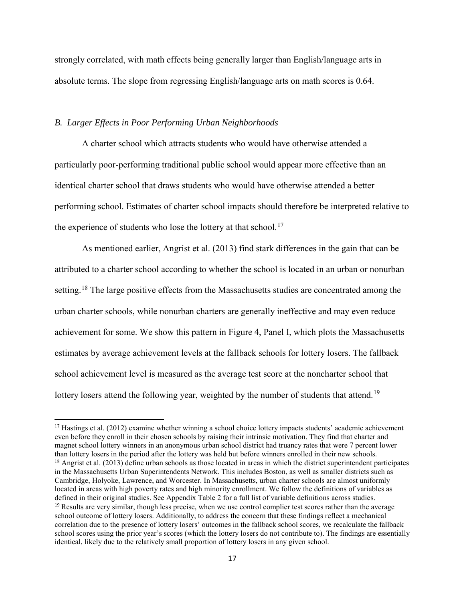strongly correlated, with math effects being generally larger than English/language arts in absolute terms. The slope from regressing English/language arts on math scores is 0.64.

## *B. Larger Effects in Poor Performing Urban Neighborhoods*

 $\overline{\phantom{a}}$ 

A charter school which attracts students who would have otherwise attended a particularly poor-performing traditional public school would appear more effective than an identical charter school that draws students who would have otherwise attended a better performing school. Estimates of charter school impacts should therefore be interpreted relative to the experience of students who lose the lottery at that school.<sup>17</sup>

As mentioned earlier, Angrist et al. (2013) find stark differences in the gain that can be attributed to a charter school according to whether the school is located in an urban or nonurban setting.<sup>[18](#page-17-1)</sup> The large positive effects from the Massachusetts studies are concentrated among the urban charter schools, while nonurban charters are generally ineffective and may even reduce achievement for some. We show this pattern in Figure 4, Panel I, which plots the Massachusetts estimates by average achievement levels at the fallback schools for lottery losers. The fallback school achievement level is measured as the average test score at the noncharter school that lottery losers attend the following year, weighted by the number of students that attend.<sup>[19](#page-17-2)</sup>

<span id="page-17-2"></span><span id="page-17-1"></span><span id="page-17-0"></span> $17$  Hastings et al. (2012) examine whether winning a school choice lottery impacts students' academic achievement even before they enroll in their chosen schools by raising their intrinsic motivation. They find that charter and magnet school lottery winners in an anonymous urban school district had truancy rates that were 7 percent lower than lottery losers in the period after the lottery was held but before winners enrolled in their new schools.  $18$  Angrist et al. (2013) define urban schools as those located in areas in which the district superintendent participates in the Massachusetts Urban Superintendents Network. This includes Boston, as well as smaller districts such as Cambridge, Holyoke, Lawrence, and Worcester. In Massachusetts, urban charter schools are almost uniformly located in areas with high poverty rates and high minority enrollment. We follow the definitions of variables as defined in their original studies. See Appendix Table 2 for a full list of variable definitions across studies. <sup>19</sup> Results are very similar, though less precise, when we use control complier test scores rather than the average school outcome of lottery losers. Additionally, to address the concern that these findings reflect a mechanical correlation due to the presence of lottery losers' outcomes in the fallback school scores, we recalculate the fallback school scores using the prior year's scores (which the lottery losers do not contribute to). The findings are essentially identical, likely due to the relatively small proportion of lottery losers in any given school.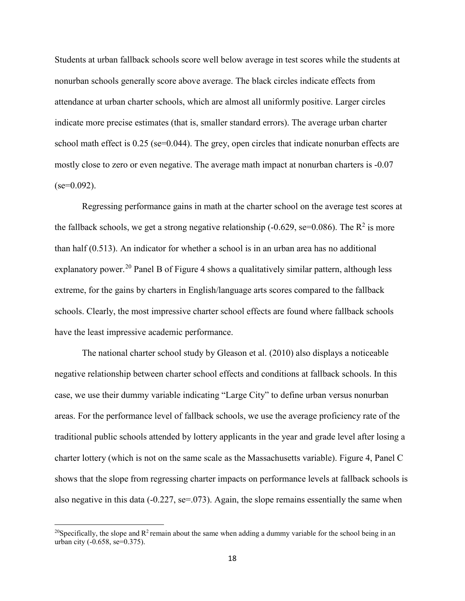Students at urban fallback schools score well below average in test scores while the students at nonurban schools generally score above average. The black circles indicate effects from attendance at urban charter schools, which are almost all uniformly positive. Larger circles indicate more precise estimates (that is, smaller standard errors). The average urban charter school math effect is 0.25 (se=0.044). The grey, open circles that indicate nonurban effects are mostly close to zero or even negative. The average math impact at nonurban charters is -0.07  $(se=0.092)$ .

Regressing performance gains in math at the charter school on the average test scores at the fallback schools, we get a strong negative relationship (-0.629, se=0.086). The  $R^2$  is more than half (0.513). An indicator for whether a school is in an urban area has no additional explanatory power.<sup>[20](#page-18-0)</sup> Panel B of Figure 4 shows a qualitatively similar pattern, although less extreme, for the gains by charters in English/language arts scores compared to the fallback schools. Clearly, the most impressive charter school effects are found where fallback schools have the least impressive academic performance.

 The national charter school study by Gleason et al. (2010) also displays a noticeable negative relationship between charter school effects and conditions at fallback schools. In this case, we use their dummy variable indicating "Large City" to define urban versus nonurban areas. For the performance level of fallback schools, we use the average proficiency rate of the traditional public schools attended by lottery applicants in the year and grade level after losing a charter lottery (which is not on the same scale as the Massachusetts variable). Figure 4, Panel C shows that the slope from regressing charter impacts on performance levels at fallback schools is also negative in this data  $(-0.227, \text{se} = 0.073)$ . Again, the slope remains essentially the same when

l

<span id="page-18-0"></span><sup>&</sup>lt;sup>20</sup>Specifically, the slope and  $R^2$  remain about the same when adding a dummy variable for the school being in an urban city (-0.658, se=0.375).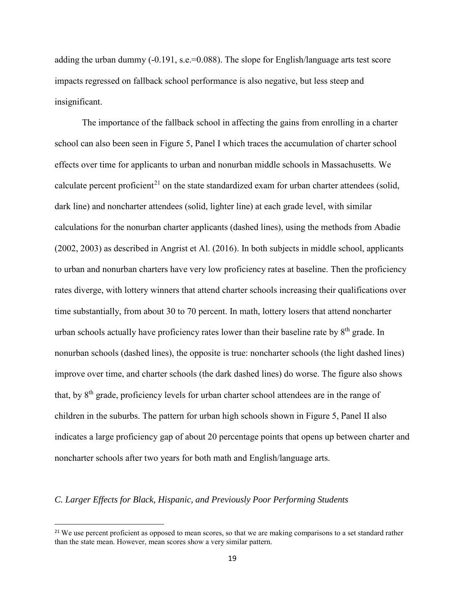adding the urban dummy (-0.191, s.e.=0.088). The slope for English/language arts test score impacts regressed on fallback school performance is also negative, but less steep and insignificant.

The importance of the fallback school in affecting the gains from enrolling in a charter school can also been seen in Figure 5, Panel I which traces the accumulation of charter school effects over time for applicants to urban and nonurban middle schools in Massachusetts. We calculate percent proficient<sup>[21](#page-19-0)</sup> on the state standardized exam for urban charter attendees (solid, dark line) and noncharter attendees (solid, lighter line) at each grade level, with similar calculations for the nonurban charter applicants (dashed lines), using the methods from Abadie (2002, 2003) as described in Angrist et Al. (2016). In both subjects in middle school, applicants to urban and nonurban charters have very low proficiency rates at baseline. Then the proficiency rates diverge, with lottery winners that attend charter schools increasing their qualifications over time substantially, from about 30 to 70 percent. In math, lottery losers that attend noncharter urban schools actually have proficiency rates lower than their baseline rate by  $8<sup>th</sup>$  grade. In nonurban schools (dashed lines), the opposite is true: noncharter schools (the light dashed lines) improve over time, and charter schools (the dark dashed lines) do worse. The figure also shows that, by 8<sup>th</sup> grade, proficiency levels for urban charter school attendees are in the range of children in the suburbs. The pattern for urban high schools shown in Figure 5, Panel II also indicates a large proficiency gap of about 20 percentage points that opens up between charter and noncharter schools after two years for both math and English/language arts.

## *C. Larger Effects for Black, Hispanic, and Previously Poor Performing Students*

 $\overline{\phantom{a}}$ 

<span id="page-19-0"></span><sup>&</sup>lt;sup>21</sup> We use percent proficient as opposed to mean scores, so that we are making comparisons to a set standard rather than the state mean. However, mean scores show a very similar pattern.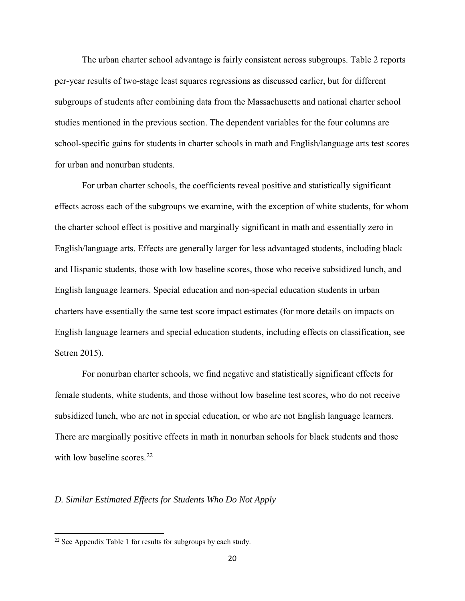The urban charter school advantage is fairly consistent across subgroups. Table 2 reports per-year results of two-stage least squares regressions as discussed earlier, but for different subgroups of students after combining data from the Massachusetts and national charter school studies mentioned in the previous section. The dependent variables for the four columns are school-specific gains for students in charter schools in math and English/language arts test scores for urban and nonurban students.

For urban charter schools, the coefficients reveal positive and statistically significant effects across each of the subgroups we examine, with the exception of white students, for whom the charter school effect is positive and marginally significant in math and essentially zero in English/language arts. Effects are generally larger for less advantaged students, including black and Hispanic students, those with low baseline scores, those who receive subsidized lunch, and English language learners. Special education and non-special education students in urban charters have essentially the same test score impact estimates (for more details on impacts on English language learners and special education students, including effects on classification, see Setren 2015).

For nonurban charter schools, we find negative and statistically significant effects for female students, white students, and those without low baseline test scores, who do not receive subsidized lunch, who are not in special education, or who are not English language learners. There are marginally positive effects in math in nonurban schools for black students and those with low baseline scores.<sup>[22](#page-20-0)</sup>

## *D. Similar Estimated Effects for Students Who Do Not Apply*

l

<span id="page-20-0"></span><sup>&</sup>lt;sup>22</sup> See Appendix Table 1 for results for subgroups by each study.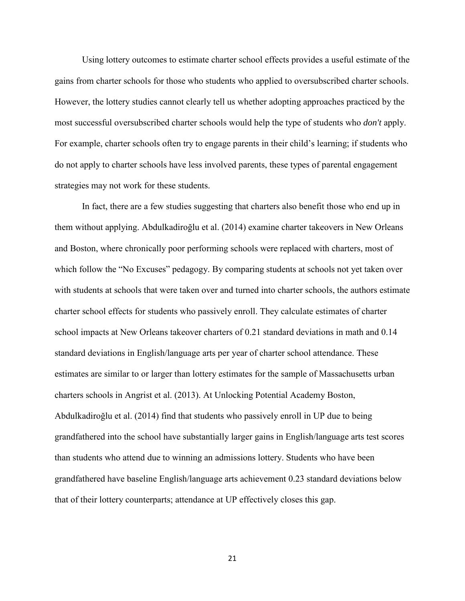Using lottery outcomes to estimate charter school effects provides a useful estimate of the gains from charter schools for those who students who applied to oversubscribed charter schools. However, the lottery studies cannot clearly tell us whether adopting approaches practiced by the most successful oversubscribed charter schools would help the type of students who *don't* apply. For example, charter schools often try to engage parents in their child's learning; if students who do not apply to charter schools have less involved parents, these types of parental engagement strategies may not work for these students.

In fact, there are a few studies suggesting that charters also benefit those who end up in them without applying. Abdulkadiroğlu et al. (2014) examine charter takeovers in New Orleans and Boston, where chronically poor performing schools were replaced with charters, most of which follow the "No Excuses" pedagogy. By comparing students at schools not yet taken over with students at schools that were taken over and turned into charter schools, the authors estimate charter school effects for students who passively enroll. They calculate estimates of charter school impacts at New Orleans takeover charters of 0.21 standard deviations in math and 0.14 standard deviations in English/language arts per year of charter school attendance. These estimates are similar to or larger than lottery estimates for the sample of Massachusetts urban charters schools in Angrist et al. (2013). At Unlocking Potential Academy Boston, Abdulkadiroğlu et al. (2014) find that students who passively enroll in UP due to being grandfathered into the school have substantially larger gains in English/language arts test scores than students who attend due to winning an admissions lottery. Students who have been grandfathered have baseline English/language arts achievement 0.23 standard deviations below that of their lottery counterparts; attendance at UP effectively closes this gap.

21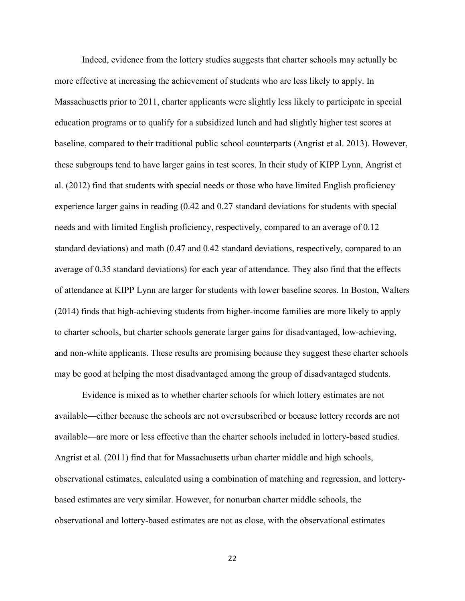Indeed, evidence from the lottery studies suggests that charter schools may actually be more effective at increasing the achievement of students who are less likely to apply. In Massachusetts prior to 2011, charter applicants were slightly less likely to participate in special education programs or to qualify for a subsidized lunch and had slightly higher test scores at baseline, compared to their traditional public school counterparts (Angrist et al. 2013). However, these subgroups tend to have larger gains in test scores. In their study of KIPP Lynn, Angrist et al. (2012) find that students with special needs or those who have limited English proficiency experience larger gains in reading (0.42 and 0.27 standard deviations for students with special needs and with limited English proficiency, respectively, compared to an average of 0.12 standard deviations) and math (0.47 and 0.42 standard deviations, respectively, compared to an average of 0.35 standard deviations) for each year of attendance. They also find that the effects of attendance at KIPP Lynn are larger for students with lower baseline scores. In Boston, Walters (2014) finds that high-achieving students from higher-income families are more likely to apply to charter schools, but charter schools generate larger gains for disadvantaged, low-achieving, and non-white applicants. These results are promising because they suggest these charter schools may be good at helping the most disadvantaged among the group of disadvantaged students.

Evidence is mixed as to whether charter schools for which lottery estimates are not available—either because the schools are not oversubscribed or because lottery records are not available—are more or less effective than the charter schools included in lottery-based studies. Angrist et al. (2011) find that for Massachusetts urban charter middle and high schools, observational estimates, calculated using a combination of matching and regression, and lotterybased estimates are very similar. However, for nonurban charter middle schools, the observational and lottery-based estimates are not as close, with the observational estimates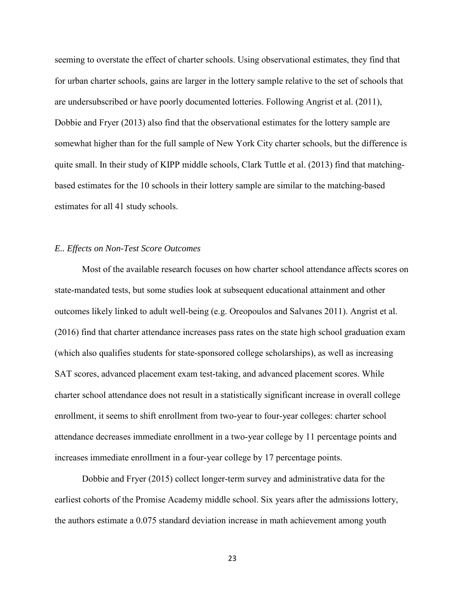seeming to overstate the effect of charter schools. Using observational estimates, they find that for urban charter schools, gains are larger in the lottery sample relative to the set of schools that are undersubscribed or have poorly documented lotteries. Following Angrist et al. (2011), Dobbie and Fryer (2013) also find that the observational estimates for the lottery sample are somewhat higher than for the full sample of New York City charter schools, but the difference is quite small. In their study of KIPP middle schools, Clark Tuttle et al. (2013) find that matchingbased estimates for the 10 schools in their lottery sample are similar to the matching-based estimates for all 41 study schools.

### *E.. Effects on Non-Test Score Outcomes*

Most of the available research focuses on how charter school attendance affects scores on state-mandated tests, but some studies look at subsequent educational attainment and other outcomes likely linked to adult well-being (e.g. Oreopoulos and Salvanes 2011). Angrist et al. (2016) find that charter attendance increases pass rates on the state high school graduation exam (which also qualifies students for state-sponsored college scholarships), as well as increasing SAT scores, advanced placement exam test-taking, and advanced placement scores. While charter school attendance does not result in a statistically significant increase in overall college enrollment, it seems to shift enrollment from two-year to four-year colleges: charter school attendance decreases immediate enrollment in a two-year college by 11 percentage points and increases immediate enrollment in a four-year college by 17 percentage points.

Dobbie and Fryer (2015) collect longer-term survey and administrative data for the earliest cohorts of the Promise Academy middle school. Six years after the admissions lottery, the authors estimate a 0.075 standard deviation increase in math achievement among youth

23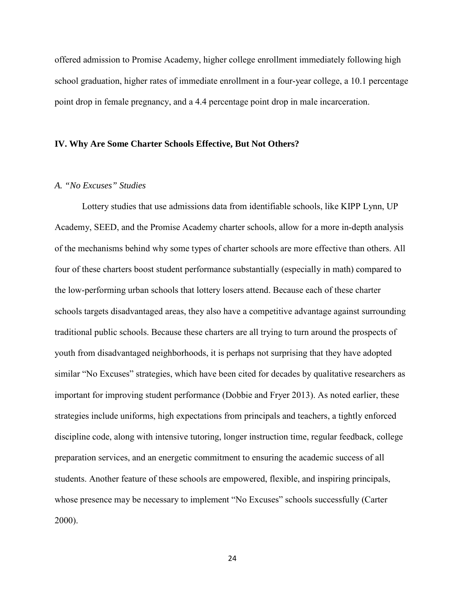offered admission to Promise Academy, higher college enrollment immediately following high school graduation, higher rates of immediate enrollment in a four-year college, a 10.1 percentage point drop in female pregnancy, and a 4.4 percentage point drop in male incarceration.

### **IV. Why Are Some Charter Schools Effective, But Not Others?**

## *A. "No Excuses" Studies*

Lottery studies that use admissions data from identifiable schools, like KIPP Lynn, UP Academy, SEED, and the Promise Academy charter schools, allow for a more in-depth analysis of the mechanisms behind why some types of charter schools are more effective than others. All four of these charters boost student performance substantially (especially in math) compared to the low-performing urban schools that lottery losers attend. Because each of these charter schools targets disadvantaged areas, they also have a competitive advantage against surrounding traditional public schools. Because these charters are all trying to turn around the prospects of youth from disadvantaged neighborhoods, it is perhaps not surprising that they have adopted similar "No Excuses" strategies, which have been cited for decades by qualitative researchers as important for improving student performance (Dobbie and Fryer 2013). As noted earlier, these strategies include uniforms, high expectations from principals and teachers, a tightly enforced discipline code, along with intensive tutoring, longer instruction time, regular feedback, college preparation services, and an energetic commitment to ensuring the academic success of all students. Another feature of these schools are empowered, flexible, and inspiring principals, whose presence may be necessary to implement "No Excuses" schools successfully (Carter 2000).

24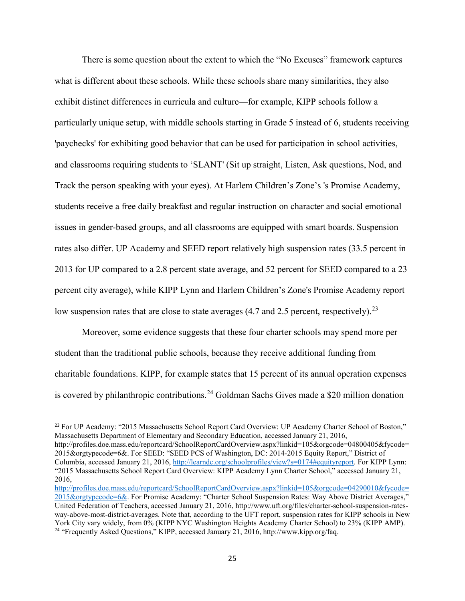There is some question about the extent to which the "No Excuses" framework captures what is different about these schools. While these schools share many similarities, they also exhibit distinct differences in curricula and culture—for example, KIPP schools follow a particularly unique setup, with middle schools starting in Grade 5 instead of 6, students receiving 'paychecks' for exhibiting good behavior that can be used for participation in school activities, and classrooms requiring students to 'SLANT' (Sit up straight, Listen, Ask questions, Nod, and Track the person speaking with your eyes). At Harlem Children's Zone's 's Promise Academy, students receive a free daily breakfast and regular instruction on character and social emotional issues in gender-based groups, and all classrooms are equipped with smart boards. Suspension rates also differ. UP Academy and SEED report relatively high suspension rates (33.5 percent in 2013 for UP compared to a 2.8 percent state average, and 52 percent for SEED compared to a 23 percent city average), while KIPP Lynn and Harlem Children's Zone's Promise Academy report low suspension rates that are close to state averages (4.7 and 2.5 percent, respectively).<sup>[23](#page-25-0)</sup>

Moreover, some evidence suggests that these four charter schools may spend more per student than the traditional public schools, because they receive additional funding from charitable foundations. KIPP, for example states that 15 percent of its annual operation expenses is covered by philanthropic contributions.<sup>24</sup> Goldman Sachs Gives made a \$20 million donation

<span id="page-25-0"></span><sup>23</sup> For UP Academy: "2015 Massachusetts School Report Card Overview: UP Academy Charter School of Boston," Massachusetts Department of Elementary and Secondary Education, accessed January 21, 2016, http://profiles.doe.mass.edu/reportcard/SchoolReportCardOverview.aspx?linkid=105&orgcode=04800405&fycode= 2015&orgtypecode=6&. For SEED: "SEED PCS of Washington, DC: 2014-2015 Equity Report," District of Columbia, accessed January 21, 2016[, http://learndc.org/schoolprofiles/view?s=0174#equityreport.](http://learndc.org/schoolprofiles/view?s=0174#equityreport) For KIPP Lynn: "2015 Massachusetts School Report Card Overview: KIPP Academy Lynn Charter School," accessed January 21, 2016,

 $\overline{\phantom{a}}$ 

<span id="page-25-1"></span>[http://profiles.doe.mass.edu/reportcard/SchoolReportCardOverview.aspx?linkid=105&orgcode=04290010&fycode=](http://profiles.doe.mass.edu/reportcard/SchoolReportCardOverview.aspx?linkid=105&orgcode=04290010&fycode=2015&orgtypecode=6&) [2015&orgtypecode=6&.](http://profiles.doe.mass.edu/reportcard/SchoolReportCardOverview.aspx?linkid=105&orgcode=04290010&fycode=2015&orgtypecode=6&) For Promise Academy: "Charter School Suspension Rates: Way Above District Averages," United Federation of Teachers, accessed January 21, 2016, http://www.uft.org/files/charter-school-suspension-ratesway-above-most-district-averages. Note that, according to the UFT report, suspension rates for KIPP schools in New York City vary widely, from 0% (KIPP NYC Washington Heights Academy Charter School) to 23% (KIPP AMP). <sup>24</sup> "Frequently Asked Questions," KIPP, accessed January 21, 2016, http://www.kipp.org/faq.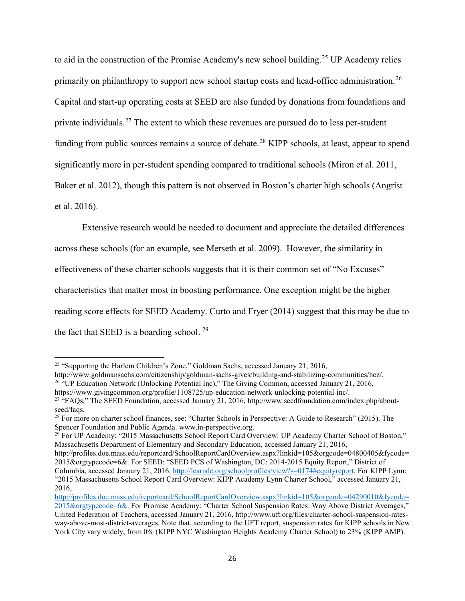to aid in the construction of the Promise Academy's new school building.<sup>[25](#page-26-0)</sup> UP Academy relies primarily on philanthropy to support new school startup costs and head-office administration.<sup>[26](#page-26-1)</sup> Capital and start-up operating costs at SEED are also funded by donations from foundations and private individuals.<sup>[27](#page-26-2)</sup> The extent to which these revenues are pursued do to less per-student funding from public sources remains a source of debate.<sup>[28](#page-26-3)</sup> KIPP schools, at least, appear to spend significantly more in per-student spending compared to traditional schools (Miron et al. 2011, Baker et al. 2012), though this pattern is not observed in Boston's charter high schools (Angrist et al. 2016).

 Extensive research would be needed to document and appreciate the detailed differences across these schools (for an example, see Merseth et al. 2009). However, the similarity in effectiveness of these charter schools suggests that it is their common set of "No Excuses" characteristics that matter most in boosting performance. One exception might be the higher reading score effects for SEED Academy. Curto and Fryer (2014) suggest that this may be due to the fact that SEED is a boarding school.  $29$ 

 $\overline{\phantom{a}}$ 

<span id="page-26-0"></span><sup>&</sup>lt;sup>25</sup> "Supporting the Harlem Children's Zone," Goldman Sachs, accessed January 21, 2016,

<span id="page-26-1"></span>http://www.goldmansachs.com/citizenship/goldman-sachs-gives/building-and-stabilizing-communities/hcz/. <sup>26</sup> "UP Education Network (Unlocking Potential Inc)," The Giving Common, accessed January 21, 2016, https://www.givingcommon.org/profile/1108725/up-education-network-unlocking-potential-inc/.

<span id="page-26-2"></span><sup>&</sup>lt;sup>27</sup> "FAQs," The SEED Foundation, accessed January 21, 2016, http://www.seedfoundation.com/index.php/aboutseed/faqs.

<span id="page-26-3"></span><sup>&</sup>lt;sup>28</sup> For more on charter school finances, see: "Charter Schools in Perspective: A Guide to Research" (2015). The Spencer Foundation and Public Agenda. www.in-perspective.org.

<span id="page-26-4"></span><sup>&</sup>lt;sup>29</sup> For UP Academy: "2015 Massachusetts School Report Card Overview: UP Academy Charter School of Boston," Massachusetts Department of Elementary and Secondary Education, accessed January 21, 2016,

http://profiles.doe.mass.edu/reportcard/SchoolReportCardOverview.aspx?linkid=105&orgcode=04800405&fycode= 2015&orgtypecode=6&. For SEED: "SEED PCS of Washington, DC: 2014-2015 Equity Report," District of Columbia, accessed January 21, 2016[, http://learndc.org/schoolprofiles/view?s=0174#equityreport.](http://learndc.org/schoolprofiles/view?s=0174#equityreport) For KIPP Lynn: "2015 Massachusetts School Report Card Overview: KIPP Academy Lynn Charter School," accessed January 21, 2016,

[http://profiles.doe.mass.edu/reportcard/SchoolReportCardOverview.aspx?linkid=105&orgcode=04290010&fycode=](http://profiles.doe.mass.edu/reportcard/SchoolReportCardOverview.aspx?linkid=105&orgcode=04290010&fycode=2015&orgtypecode=6&) [2015&orgtypecode=6&.](http://profiles.doe.mass.edu/reportcard/SchoolReportCardOverview.aspx?linkid=105&orgcode=04290010&fycode=2015&orgtypecode=6&) For Promise Academy: "Charter School Suspension Rates: Way Above District Averages," United Federation of Teachers, accessed January 21, 2016, http://www.uft.org/files/charter-school-suspension-ratesway-above-most-district-averages. Note that, according to the UFT report, suspension rates for KIPP schools in New York City vary widely, from 0% (KIPP NYC Washington Heights Academy Charter School) to 23% (KIPP AMP).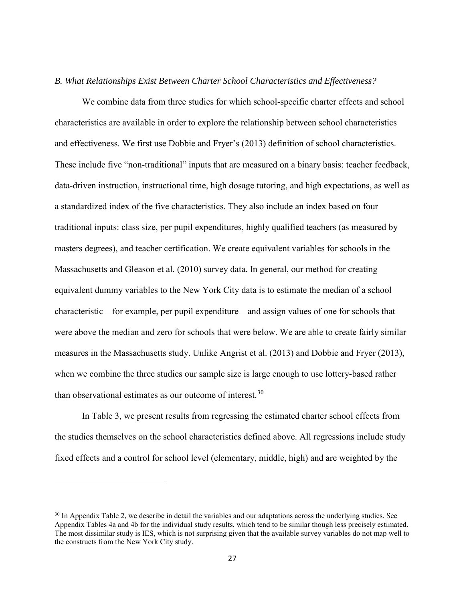### *B. What Relationships Exist Between Charter School Characteristics and Effectiveness?*

 We combine data from three studies for which school-specific charter effects and school characteristics are available in order to explore the relationship between school characteristics and effectiveness. We first use Dobbie and Fryer's (2013) definition of school characteristics. These include five "non-traditional" inputs that are measured on a binary basis: teacher feedback, data-driven instruction, instructional time, high dosage tutoring, and high expectations, as well as a standardized index of the five characteristics. They also include an index based on four traditional inputs: class size, per pupil expenditures, highly qualified teachers (as measured by masters degrees), and teacher certification. We create equivalent variables for schools in the Massachusetts and Gleason et al. (2010) survey data. In general, our method for creating equivalent dummy variables to the New York City data is to estimate the median of a school characteristic—for example, per pupil expenditure—and assign values of one for schools that were above the median and zero for schools that were below. We are able to create fairly similar measures in the Massachusetts study. Unlike Angrist et al. (2013) and Dobbie and Fryer (2013), when we combine the three studies our sample size is large enough to use lottery-based rather than observational estimates as our outcome of interest.<sup>[30](#page-27-0)</sup>

In Table 3, we present results from regressing the estimated charter school effects from the studies themselves on the school characteristics defined above. All regressions include study fixed effects and a control for school level (elementary, middle, high) and are weighted by the

l

<span id="page-27-0"></span><sup>&</sup>lt;sup>30</sup> In Appendix Table 2, we describe in detail the variables and our adaptations across the underlying studies. See Appendix Tables 4a and 4b for the individual study results, which tend to be similar though less precisely estimated. The most dissimilar study is IES, which is not surprising given that the available survey variables do not map well to the constructs from the New York City study.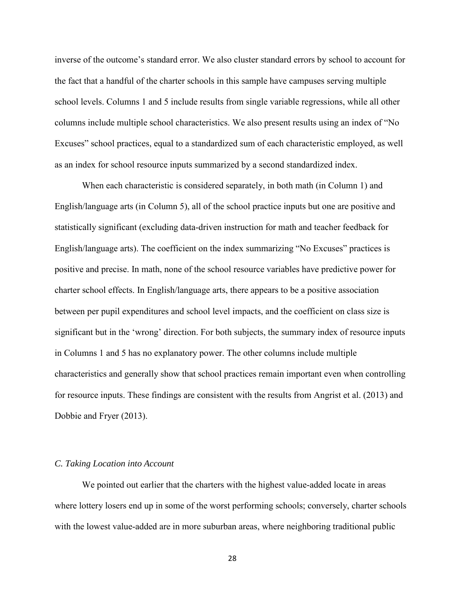inverse of the outcome's standard error. We also cluster standard errors by school to account for the fact that a handful of the charter schools in this sample have campuses serving multiple school levels. Columns 1 and 5 include results from single variable regressions, while all other columns include multiple school characteristics. We also present results using an index of "No Excuses" school practices, equal to a standardized sum of each characteristic employed, as well as an index for school resource inputs summarized by a second standardized index.

When each characteristic is considered separately, in both math (in Column 1) and English/language arts (in Column 5), all of the school practice inputs but one are positive and statistically significant (excluding data-driven instruction for math and teacher feedback for English/language arts). The coefficient on the index summarizing "No Excuses" practices is positive and precise. In math, none of the school resource variables have predictive power for charter school effects. In English/language arts, there appears to be a positive association between per pupil expenditures and school level impacts, and the coefficient on class size is significant but in the 'wrong' direction. For both subjects, the summary index of resource inputs in Columns 1 and 5 has no explanatory power. The other columns include multiple characteristics and generally show that school practices remain important even when controlling for resource inputs. These findings are consistent with the results from Angrist et al. (2013) and Dobbie and Fryer (2013).

## *C. Taking Location into Account*

 We pointed out earlier that the charters with the highest value-added locate in areas where lottery losers end up in some of the worst performing schools; conversely, charter schools with the lowest value-added are in more suburban areas, where neighboring traditional public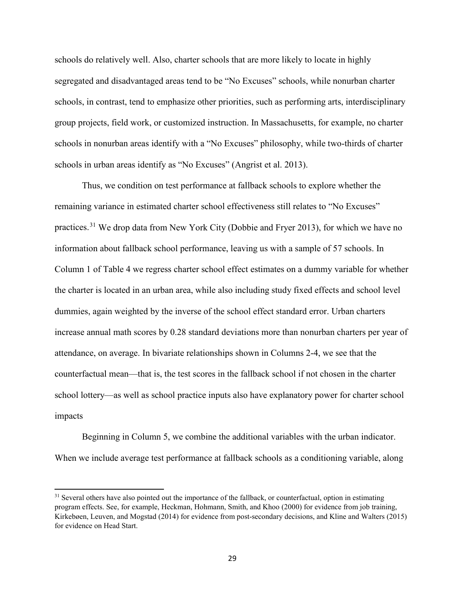schools do relatively well. Also, charter schools that are more likely to locate in highly segregated and disadvantaged areas tend to be "No Excuses" schools, while nonurban charter schools, in contrast, tend to emphasize other priorities, such as performing arts, interdisciplinary group projects, field work, or customized instruction. In Massachusetts, for example, no charter schools in nonurban areas identify with a "No Excuses" philosophy, while two-thirds of charter schools in urban areas identify as "No Excuses" (Angrist et al. 2013).

Thus, we condition on test performance at fallback schools to explore whether the remaining variance in estimated charter school effectiveness still relates to "No Excuses" practices.<sup>[31](#page-29-0)</sup> We drop data from New York City (Dobbie and Fryer 2013), for which we have no information about fallback school performance, leaving us with a sample of 57 schools. In Column 1 of Table 4 we regress charter school effect estimates on a dummy variable for whether the charter is located in an urban area, while also including study fixed effects and school level dummies, again weighted by the inverse of the school effect standard error. Urban charters increase annual math scores by 0.28 standard deviations more than nonurban charters per year of attendance, on average. In bivariate relationships shown in Columns 2-4, we see that the counterfactual mean—that is, the test scores in the fallback school if not chosen in the charter school lottery—as well as school practice inputs also have explanatory power for charter school impacts

Beginning in Column 5, we combine the additional variables with the urban indicator. When we include average test performance at fallback schools as a conditioning variable, along

 $\overline{\phantom{a}}$ 

<span id="page-29-0"></span><sup>&</sup>lt;sup>31</sup> Several others have also pointed out the importance of the fallback, or counterfactual, option in estimating program effects. See, for example, Heckman, Hohmann, Smith, and Khoo (2000) for evidence from job training, Kirkebøen, Leuven, and Mogstad (2014) for evidence from post-secondary decisions, and Kline and Walters (2015) for evidence on Head Start.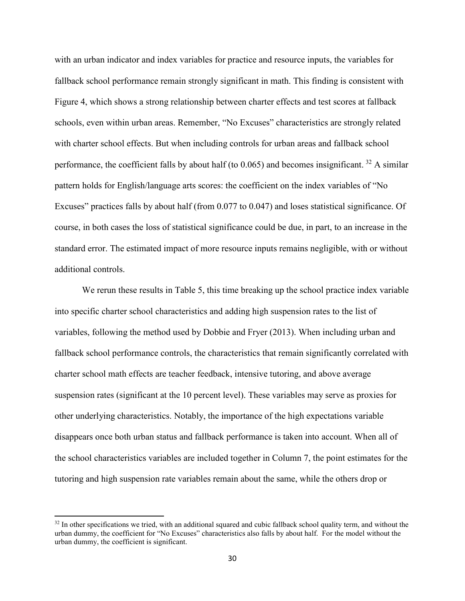with an urban indicator and index variables for practice and resource inputs, the variables for fallback school performance remain strongly significant in math. This finding is consistent with Figure 4, which shows a strong relationship between charter effects and test scores at fallback schools, even within urban areas. Remember, "No Excuses" characteristics are strongly related with charter school effects. But when including controls for urban areas and fallback school performance, the coefficient falls by about half (to  $0.065$ ) and becomes insignificant. <sup>[32](#page-30-0)</sup> A similar pattern holds for English/language arts scores: the coefficient on the index variables of "No Excuses" practices falls by about half (from 0.077 to 0.047) and loses statistical significance. Of course, in both cases the loss of statistical significance could be due, in part, to an increase in the standard error. The estimated impact of more resource inputs remains negligible, with or without additional controls.

We rerun these results in Table 5, this time breaking up the school practice index variable into specific charter school characteristics and adding high suspension rates to the list of variables, following the method used by Dobbie and Fryer (2013). When including urban and fallback school performance controls, the characteristics that remain significantly correlated with charter school math effects are teacher feedback, intensive tutoring, and above average suspension rates (significant at the 10 percent level). These variables may serve as proxies for other underlying characteristics. Notably, the importance of the high expectations variable disappears once both urban status and fallback performance is taken into account. When all of the school characteristics variables are included together in Column 7, the point estimates for the tutoring and high suspension rate variables remain about the same, while the others drop or

 $\overline{\phantom{a}}$ 

<span id="page-30-0"></span> $32$  In other specifications we tried, with an additional squared and cubic fallback school quality term, and without the urban dummy, the coefficient for "No Excuses" characteristics also falls by about half. For the model without the urban dummy, the coefficient is significant.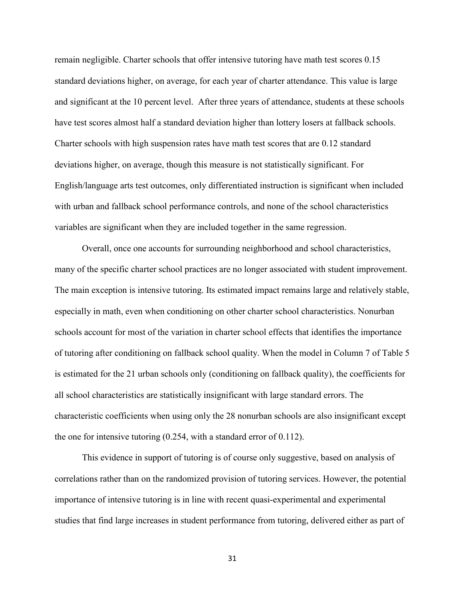remain negligible. Charter schools that offer intensive tutoring have math test scores 0.15 standard deviations higher, on average, for each year of charter attendance. This value is large and significant at the 10 percent level. After three years of attendance, students at these schools have test scores almost half a standard deviation higher than lottery losers at fallback schools. Charter schools with high suspension rates have math test scores that are 0.12 standard deviations higher, on average, though this measure is not statistically significant. For English/language arts test outcomes, only differentiated instruction is significant when included with urban and fallback school performance controls, and none of the school characteristics variables are significant when they are included together in the same regression.

Overall, once one accounts for surrounding neighborhood and school characteristics, many of the specific charter school practices are no longer associated with student improvement. The main exception is intensive tutoring. Its estimated impact remains large and relatively stable, especially in math, even when conditioning on other charter school characteristics. Nonurban schools account for most of the variation in charter school effects that identifies the importance of tutoring after conditioning on fallback school quality. When the model in Column 7 of Table 5 is estimated for the 21 urban schools only (conditioning on fallback quality), the coefficients for all school characteristics are statistically insignificant with large standard errors. The characteristic coefficients when using only the 28 nonurban schools are also insignificant except the one for intensive tutoring (0.254, with a standard error of 0.112).

This evidence in support of tutoring is of course only suggestive, based on analysis of correlations rather than on the randomized provision of tutoring services. However, the potential importance of intensive tutoring is in line with recent quasi-experimental and experimental studies that find large increases in student performance from tutoring, delivered either as part of

31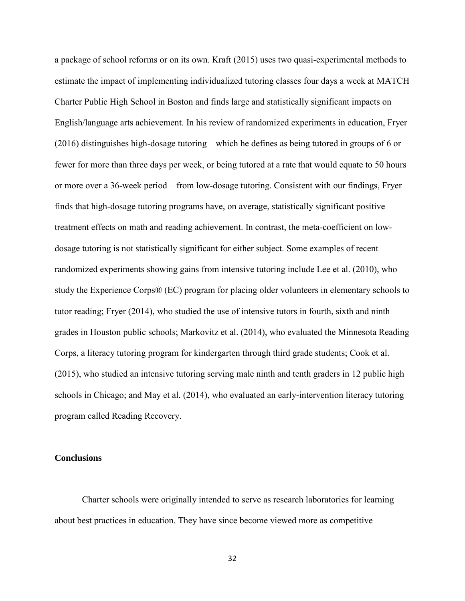a package of school reforms or on its own. Kraft (2015) uses two quasi-experimental methods to estimate the impact of implementing individualized tutoring classes four days a week at MATCH Charter Public High School in Boston and finds large and statistically significant impacts on English/language arts achievement. In his review of randomized experiments in education, Fryer (2016) distinguishes high-dosage tutoring—which he defines as being tutored in groups of 6 or fewer for more than three days per week, or being tutored at a rate that would equate to 50 hours or more over a 36-week period—from low-dosage tutoring. Consistent with our findings, Fryer finds that high-dosage tutoring programs have, on average, statistically significant positive treatment effects on math and reading achievement. In contrast, the meta-coefficient on lowdosage tutoring is not statistically significant for either subject. Some examples of recent randomized experiments showing gains from intensive tutoring include Lee et al. (2010), who study the Experience Corps® (EC) program for placing older volunteers in elementary schools to tutor reading; Fryer (2014), who studied the use of intensive tutors in fourth, sixth and ninth grades in Houston public schools; Markovitz et al. (2014), who evaluated the Minnesota Reading Corps, a literacy tutoring program for kindergarten through third grade students; Cook et al. (2015), who studied an intensive tutoring serving male ninth and tenth graders in 12 public high schools in Chicago; and May et al. (2014), who evaluated an early-intervention literacy tutoring program called Reading Recovery.

## **Conclusions**

Charter schools were originally intended to serve as research laboratories for learning about best practices in education. They have since become viewed more as competitive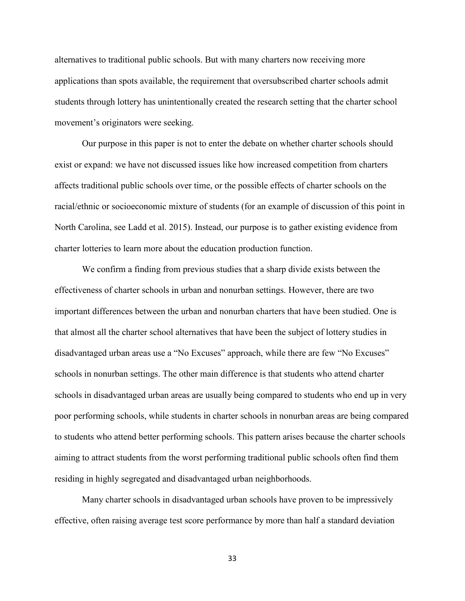alternatives to traditional public schools. But with many charters now receiving more applications than spots available, the requirement that oversubscribed charter schools admit students through lottery has unintentionally created the research setting that the charter school movement's originators were seeking.

Our purpose in this paper is not to enter the debate on whether charter schools should exist or expand: we have not discussed issues like how increased competition from charters affects traditional public schools over time, or the possible effects of charter schools on the racial/ethnic or socioeconomic mixture of students (for an example of discussion of this point in North Carolina, see Ladd et al. 2015). Instead, our purpose is to gather existing evidence from charter lotteries to learn more about the education production function.

We confirm a finding from previous studies that a sharp divide exists between the effectiveness of charter schools in urban and nonurban settings. However, there are two important differences between the urban and nonurban charters that have been studied. One is that almost all the charter school alternatives that have been the subject of lottery studies in disadvantaged urban areas use a "No Excuses" approach, while there are few "No Excuses" schools in nonurban settings. The other main difference is that students who attend charter schools in disadvantaged urban areas are usually being compared to students who end up in very poor performing schools, while students in charter schools in nonurban areas are being compared to students who attend better performing schools. This pattern arises because the charter schools aiming to attract students from the worst performing traditional public schools often find them residing in highly segregated and disadvantaged urban neighborhoods.

Many charter schools in disadvantaged urban schools have proven to be impressively effective, often raising average test score performance by more than half a standard deviation

33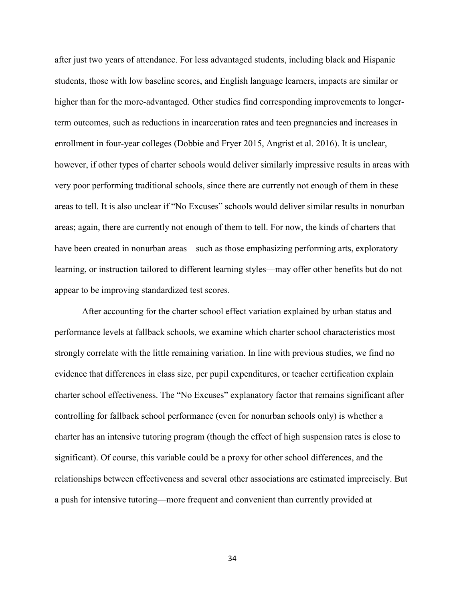after just two years of attendance. For less advantaged students, including black and Hispanic students, those with low baseline scores, and English language learners, impacts are similar or higher than for the more-advantaged. Other studies find corresponding improvements to longerterm outcomes, such as reductions in incarceration rates and teen pregnancies and increases in enrollment in four-year colleges (Dobbie and Fryer 2015, Angrist et al. 2016). It is unclear, however, if other types of charter schools would deliver similarly impressive results in areas with very poor performing traditional schools, since there are currently not enough of them in these areas to tell. It is also unclear if "No Excuses" schools would deliver similar results in nonurban areas; again, there are currently not enough of them to tell. For now, the kinds of charters that have been created in nonurban areas—such as those emphasizing performing arts, exploratory learning, or instruction tailored to different learning styles—may offer other benefits but do not appear to be improving standardized test scores.

 After accounting for the charter school effect variation explained by urban status and performance levels at fallback schools, we examine which charter school characteristics most strongly correlate with the little remaining variation. In line with previous studies, we find no evidence that differences in class size, per pupil expenditures, or teacher certification explain charter school effectiveness. The "No Excuses" explanatory factor that remains significant after controlling for fallback school performance (even for nonurban schools only) is whether a charter has an intensive tutoring program (though the effect of high suspension rates is close to significant). Of course, this variable could be a proxy for other school differences, and the relationships between effectiveness and several other associations are estimated imprecisely. But a push for intensive tutoring—more frequent and convenient than currently provided at

34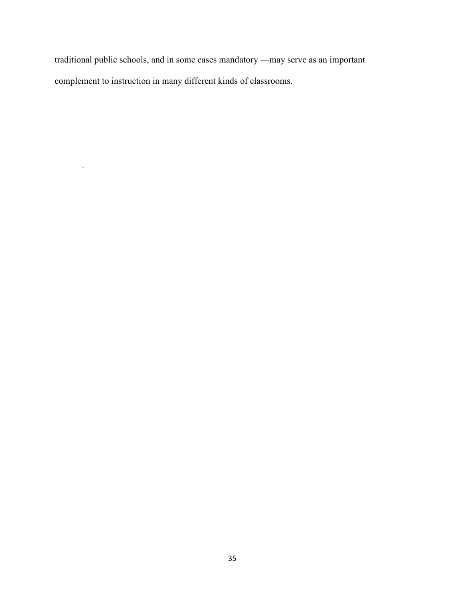traditional public schools, and in some cases mandatory —may serve as an important complement to instruction in many different kinds of classrooms.

.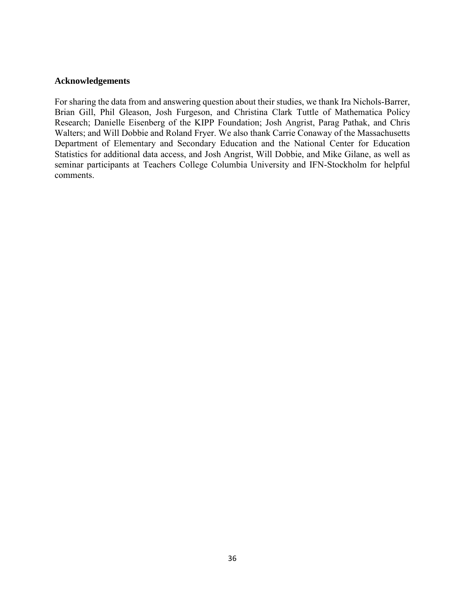## **Acknowledgements**

For sharing the data from and answering question about their studies, we thank Ira Nichols-Barrer, Brian Gill, Phil Gleason, Josh Furgeson, and Christina Clark Tuttle of Mathematica Policy Research; Danielle Eisenberg of the KIPP Foundation; Josh Angrist, Parag Pathak, and Chris Walters; and Will Dobbie and Roland Fryer. We also thank Carrie Conaway of the Massachusetts Department of Elementary and Secondary Education and the National Center for Education Statistics for additional data access, and Josh Angrist, Will Dobbie, and Mike Gilane, as well as seminar participants at Teachers College Columbia University and IFN-Stockholm for helpful comments.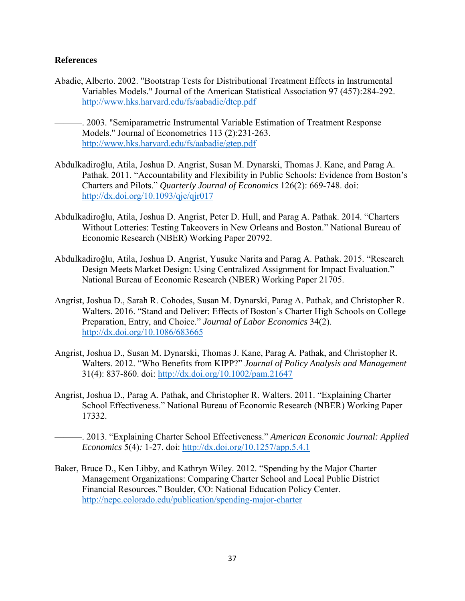# **References**

- Abadie, Alberto. 2002. "Bootstrap Tests for Distributional Treatment Effects in Instrumental Variables Models." Journal of the American Statistical Association 97 (457):284-292. <http://www.hks.harvard.edu/fs/aabadie/dtep.pdf>
- ———. 2003. "Semiparametric Instrumental Variable Estimation of Treatment Response Models." Journal of Econometrics 113 (2):231-263. <http://www.hks.harvard.edu/fs/aabadie/gtep.pdf>
- Abdulkadiroğlu, Atila, Joshua D. Angrist, Susan M. Dynarski, Thomas J. Kane, and Parag A. Pathak. 2011. "Accountability and Flexibility in Public Schools: Evidence from Boston's Charters and Pilots." *Quarterly Journal of Economics* 126(2): 669-748. doi: <http://dx.doi.org/10.1093/qje/qjr017>
- Abdulkadiroğlu, Atila, Joshua D. Angrist, Peter D. Hull, and Parag A. Pathak. 2014. "Charters Without Lotteries: Testing Takeovers in New Orleans and Boston." National Bureau of Economic Research (NBER) Working Paper 20792.
- Abdulkadiroğlu, Atila, Joshua D. Angrist, Yusuke Narita and Parag A. Pathak. 2015. "Research Design Meets Market Design: Using Centralized Assignment for Impact Evaluation." National Bureau of Economic Research (NBER) Working Paper 21705.
- Angrist, Joshua D., Sarah R. Cohodes, Susan M. Dynarski, Parag A. Pathak, and Christopher R. Walters. 2016. "Stand and Deliver: Effects of Boston's Charter High Schools on College Preparation, Entry, and Choice." *Journal of Labor Economics* 34(2). <http://dx.doi.org/10.1086/683665>
- Angrist, Joshua D., Susan M. Dynarski, Thomas J. Kane, Parag A. Pathak, and Christopher R. Walters. 2012. "Who Benefits from KIPP?" *Journal of Policy Analysis and Management*  31(4): 837-860. doi:<http://dx.doi.org/10.1002/pam.21647>
- Angrist, Joshua D., Parag A. Pathak, and Christopher R. Walters. 2011. "Explaining Charter School Effectiveness." National Bureau of Economic Research (NBER) Working Paper 17332.

———. 2013. "Explaining Charter School Effectiveness." *American Economic Journal: Applied Economics* 5(4)*:* 1-27. doi:<http://dx.doi.org/10.1257/app.5.4.1>

Baker, Bruce D., Ken Libby, and Kathryn Wiley. 2012. "Spending by the Major Charter Management Organizations: Comparing Charter School and Local Public District Financial Resources." Boulder, CO: National Education Policy Center. <http://nepc.colorado.edu/publication/spending-major-charter>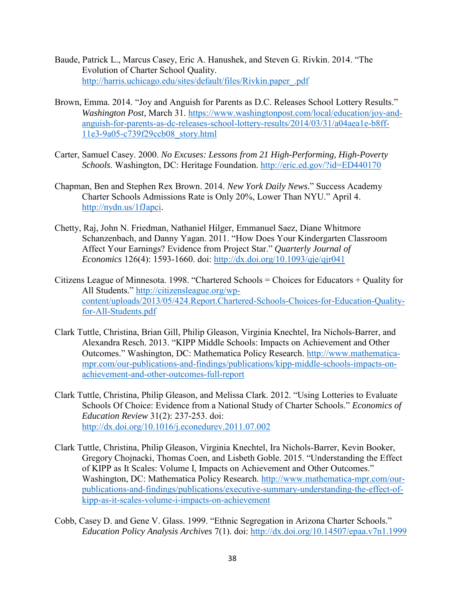- Baude, Patrick L., Marcus Casey, Eric A. Hanushek, and Steven G. Rivkin. 2014. "The Evolution of Charter School Quality. [http://harris.uchicago.edu/sites/default/files/Rivkin.paper\\_.pdf](http://harris.uchicago.edu/sites/default/files/Rivkin.paper_.pdf)
- Brown, Emma. 2014. "Joy and Anguish for Parents as D.C. Releases School Lottery Results." *Washington Post,* March 31. [https://www.washingtonpost.com/local/education/joy-and](https://www.washingtonpost.com/local/education/joy-and-anguish-for-parents-as-dc-releases-school-lottery-results/2014/03/31/a04aea1e-b8ff-11e3-9a05-c739f29ccb08_story.html)[anguish-for-parents-as-dc-releases-school-lottery-results/2014/03/31/a04aea1e-b8ff-](https://www.washingtonpost.com/local/education/joy-and-anguish-for-parents-as-dc-releases-school-lottery-results/2014/03/31/a04aea1e-b8ff-11e3-9a05-c739f29ccb08_story.html)[11e3-9a05-c739f29ccb08\\_story.html](https://www.washingtonpost.com/local/education/joy-and-anguish-for-parents-as-dc-releases-school-lottery-results/2014/03/31/a04aea1e-b8ff-11e3-9a05-c739f29ccb08_story.html)
- Carter, Samuel Casey. 2000. *No Excuses: Lessons from 21 High-Performing, High-Poverty Schools*. Washington, DC: Heritage Foundation.<http://eric.ed.gov/?id=ED440170>
- Chapman, Ben and Stephen Rex Brown. 2014. *New York Daily News.*" Success Academy Charter Schools Admissions Rate is Only 20%, Lower Than NYU." April 4. [http://nydn.us/1fJapci.](http://nydn.us/1fJapci)
- Chetty, Raj, John N. Friedman, Nathaniel Hilger, Emmanuel Saez, Diane Whitmore Schanzenbach, and Danny Yagan. 2011. "How Does Your Kindergarten Classroom Affect Your Earnings? Evidence from Project Star." *Quarterly Journal of Economics* 126(4): 1593-1660. doi: <http://dx.doi.org/10.1093/qje/qjr041>
- Citizens League of Minnesota. 1998. "Chartered Schools = Choices for Educators + Quality for All Students." [http://citizensleague.org/wp](http://citizensleague.org/wp-content/uploads/2013/05/424.Report.Chartered-Schools-Choices-for-Education-Quality-for-All-Students.pdf)[content/uploads/2013/05/424.Report.Chartered-Schools-Choices-for-Education-Quality](http://citizensleague.org/wp-content/uploads/2013/05/424.Report.Chartered-Schools-Choices-for-Education-Quality-for-All-Students.pdf)[for-All-Students.pdf](http://citizensleague.org/wp-content/uploads/2013/05/424.Report.Chartered-Schools-Choices-for-Education-Quality-for-All-Students.pdf)
- Clark Tuttle, Christina, Brian Gill, Philip Gleason, Virginia Knechtel, Ira Nichols-Barrer, and Alexandra Resch. 2013. "KIPP Middle Schools: Impacts on Achievement and Other Outcomes." Washington, DC: Mathematica Policy Research. [http://www.mathematica](http://www.mathematica-mpr.com/our-publications-and-findings/publications/kipp-middle-schools-impacts-on-achievement-and-other-outcomes-full-report)[mpr.com/our-publications-and-findings/publications/kipp-middle-schools-impacts-on](http://www.mathematica-mpr.com/our-publications-and-findings/publications/kipp-middle-schools-impacts-on-achievement-and-other-outcomes-full-report)[achievement-and-other-outcomes-full-report](http://www.mathematica-mpr.com/our-publications-and-findings/publications/kipp-middle-schools-impacts-on-achievement-and-other-outcomes-full-report)
- Clark Tuttle, Christina, Philip Gleason, and Melissa Clark. 2012. "Using Lotteries to Evaluate Schools Of Choice: Evidence from a National Study of Charter Schools." *Economics of Education Review* 31(2): 237-253. doi: <http://dx.doi.org/10.1016/j.econedurev.2011.07.002>
- Clark Tuttle, Christina, Philip Gleason, Virginia Knechtel, Ira Nichols-Barrer, Kevin Booker, Gregory Chojnacki, Thomas Coen, and Lisbeth Goble. 2015. "Understanding the Effect of KIPP as It Scales: Volume I, Impacts on Achievement and Other Outcomes." Washington, DC: Mathematica Policy Research. [http://www.mathematica-mpr.com/our](http://www.mathematica-mpr.com/our-publications-and-findings/publications/executive-summary-understanding-the-effect-of-kipp-as-it-scales-volume-i-impacts-on-achievement)[publications-and-findings/publications/executive-summary-understanding-the-effect-of](http://www.mathematica-mpr.com/our-publications-and-findings/publications/executive-summary-understanding-the-effect-of-kipp-as-it-scales-volume-i-impacts-on-achievement)[kipp-as-it-scales-volume-i-impacts-on-achievement](http://www.mathematica-mpr.com/our-publications-and-findings/publications/executive-summary-understanding-the-effect-of-kipp-as-it-scales-volume-i-impacts-on-achievement)
- Cobb, Casey D. and Gene V. Glass. 1999. "Ethnic Segregation in Arizona Charter Schools." *Education Policy Analysis Archives* 7(1). doi:<http://dx.doi.org/10.14507/epaa.v7n1.1999>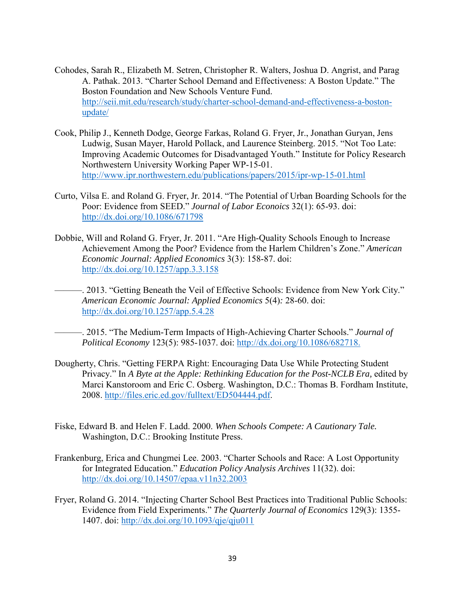- Cohodes, Sarah R., Elizabeth M. Setren, Christopher R. Walters, Joshua D. Angrist, and Parag A. Pathak. 2013. "Charter School Demand and Effectiveness: A Boston Update." The Boston Foundation and New Schools Venture Fund. [http://seii.mit.edu/research/study/charter-school-demand-and-effectiveness-a-boston](http://seii.mit.edu/research/study/charter-school-demand-and-effectiveness-a-boston-update/)[update/](http://seii.mit.edu/research/study/charter-school-demand-and-effectiveness-a-boston-update/)
- Cook, Philip J., Kenneth Dodge, George Farkas, Roland G. Fryer, Jr., Jonathan Guryan, Jens Ludwig, Susan Mayer, Harold Pollack, and Laurence Steinberg. 2015. "Not Too Late: Improving Academic Outcomes for Disadvantaged Youth." Institute for Policy Research Northwestern University Working Paper WP-15-01. <http://www.ipr.northwestern.edu/publications/papers/2015/ipr-wp-15-01.html>
- Curto, Vilsa E. and Roland G. Fryer, Jr. 2014. "The Potential of Urban Boarding Schools for the Poor: Evidence from SEED." *Journal of Labor Econoics* 32(1): 65-93. doi: <http://dx.doi.org/10.1086/671798>
- Dobbie, Will and Roland G. Fryer, Jr. 2011. "Are High-Quality Schools Enough to Increase Achievement Among the Poor? Evidence from the Harlem Children's Zone." *American Economic Journal: Applied Economics* 3(3): 158-87. doi: <http://dx.doi.org/10.1257/app.3.3.158>
- -. 2013. "Getting Beneath the Veil of Effective Schools: Evidence from New York City." *American Economic Journal: Applied Economics* 5(4)*:* 28-60. doi: <http://dx.doi.org/10.1257/app.5.4.28>
	- ———. 2015. "The Medium-Term Impacts of High-Achieving Charter Schools." *Journal of Political Economy* 123(5): 985-1037. doi: [http://dx.doi.org/10.1086/682718.](http://dx.doi.org/10.1086/682718)
- Dougherty, Chris. "Getting FERPA Right: Encouraging Data Use While Protecting Student Privacy." In *A Byte at the Apple: Rethinking Education for the Post-NCLB Era, edited by* Marci Kanstoroom and Eric C. Osberg. Washington, D.C.: Thomas B. Fordham Institute, 2008. [http://files.eric.ed.gov/fulltext/ED504444.pdf.](http://files.eric.ed.gov/fulltext/ED504444.pdf)
- Fiske, Edward B. and Helen F. Ladd. 2000. *When Schools Compete: A Cautionary Tale.* Washington, D.C.: Brooking Institute Press.
- Frankenburg, Erica and Chungmei Lee. 2003. "Charter Schools and Race: A Lost Opportunity for Integrated Education." *Education Policy Analysis Archives* 11(32). doi: <http://dx.doi.org/10.14507/epaa.v11n32.2003>
- Fryer, Roland G. 2014. "Injecting Charter School Best Practices into Traditional Public Schools: Evidence from Field Experiments." *The Quarterly Journal of Economics* 129(3): 1355- 1407. doi: <http://dx.doi.org/10.1093/qje/qju011>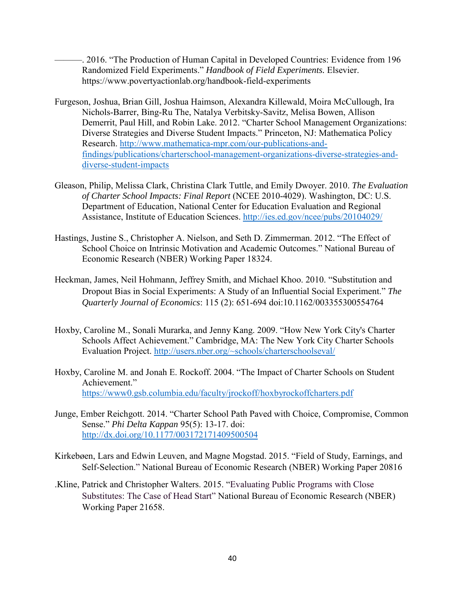———. 2016. "The Production of Human Capital in Developed Countries: Evidence from 196 Randomized Field Experiments." *Handbook of Field Experiments.* Elsevier. https://www.povertyactionlab.org/handbook-field-experiments

- Furgeson, Joshua, Brian Gill, Joshua Haimson, Alexandra Killewald, Moira McCullough, Ira Nichols-Barrer, Bing-Ru The, Natalya Verbitsky-Savitz, Melisa Bowen, Allison Demerrit, Paul Hill, and Robin Lake. 2012. "Charter School Management Organizations: Diverse Strategies and Diverse Student Impacts." Princeton, NJ: Mathematica Policy Research. [http://www.mathematica-mpr.com/our-publications-and](http://www.mathematica-mpr.com/our-publications-and-findings/publications/charterschool-management-organizations-diverse-strategies-and-diverse-student-impacts)[findings/publications/charterschool-management-organizations-diverse-strategies-and](http://www.mathematica-mpr.com/our-publications-and-findings/publications/charterschool-management-organizations-diverse-strategies-and-diverse-student-impacts)[diverse-student-impacts](http://www.mathematica-mpr.com/our-publications-and-findings/publications/charterschool-management-organizations-diverse-strategies-and-diverse-student-impacts)
- Gleason, Philip, Melissa Clark, Christina Clark Tuttle, and Emily Dwoyer. 2010. *The Evaluation of Charter School Impacts: Final Report* (NCEE 2010-4029). Washington, DC: U.S. Department of Education, National Center for Education Evaluation and Regional Assistance, Institute of Education Sciences.<http://ies.ed.gov/ncee/pubs/20104029/>
- Hastings, Justine S., Christopher A. Nielson, and Seth D. Zimmerman. 2012. "The Effect of School Choice on Intrinsic Motivation and Academic Outcomes." National Bureau of Economic Research (NBER) Working Paper 18324.
- Heckman, James, Neil Hohmann, Jeffrey Smith, and Michael Khoo. 2010. "Substitution and Dropout Bias in Social Experiments: A Study of an Influential Social Experiment." *The Quarterly Journal of Economics*: 115 (2): 651-694 doi:10.1162/003355300554764
- Hoxby, Caroline M., Sonali Murarka, and Jenny Kang. 2009. "How New York City's Charter Schools Affect Achievement." Cambridge, MA: The New York City Charter Schools Evaluation Project. [http://users.nber.org/~schools/charterschoolseval/](http://users.nber.org/%7Eschools/charterschoolseval/)
- Hoxby, Caroline M. and Jonah E. Rockoff. 2004. "The Impact of Charter Schools on Student Achievement." <https://www0.gsb.columbia.edu/faculty/jrockoff/hoxbyrockoffcharters.pdf>
- Junge, Ember Reichgott. 2014. "Charter School Path Paved with Choice, Compromise, Common Sense." *Phi Delta Kappan* 95(5): 13-17. doi: <http://dx.doi.org/10.1177/003172171409500504>
- Kirkebøen, Lars and Edwin Leuven, and Magne Mogstad. 2015. "Field of Study, Earnings, and Self-Selection." National Bureau of Economic Research (NBER) Working Paper 20816
- .Kline, Patrick and Christopher Walters. 2015. "Evaluating Public Programs with Close Substitutes: The Case of Head Start" National Bureau of Economic Research (NBER) Working Paper 21658.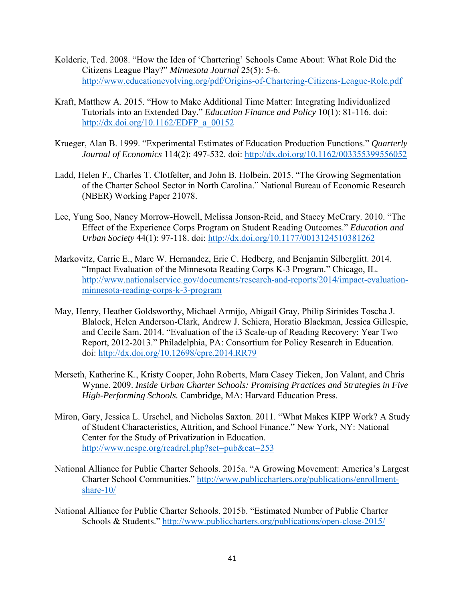- Kolderie, Ted. 2008. "How the Idea of 'Chartering' Schools Came About: What Role Did the Citizens League Play?" *Minnesota Journal* 25(5): 5-6. <http://www.educationevolving.org/pdf/Origins-of-Chartering-Citizens-League-Role.pdf>
- Kraft, Matthew A. 2015. "How to Make Additional Time Matter: Integrating Individualized Tutorials into an Extended Day." *Education Finance and Policy* 10(1): 81-116. doi: [http://dx.doi.org/10.1162/EDFP\\_a\\_00152](http://dx.doi.org/10.1162/EDFP_a_00152)
- Krueger, Alan B. 1999. "Experimental Estimates of Education Production Functions." *Quarterly Journal of Economics* 114(2): 497-532. doi:<http://dx.doi.org/10.1162/003355399556052>
- Ladd, Helen F., Charles T. Clotfelter, and John B. Holbein. 2015. "The Growing Segmentation of the Charter School Sector in North Carolina." National Bureau of Economic Research (NBER) Working Paper 21078.
- Lee, Yung Soo, Nancy Morrow-Howell, Melissa Jonson-Reid, and Stacey McCrary. 2010. "The Effect of the Experience Corps Program on Student Reading Outcomes." *Education and Urban Society* 44(1): 97-118. doi:<http://dx.doi.org/10.1177/0013124510381262>
- Markovitz, Carrie E., Marc W. Hernandez, Eric C. Hedberg, and Benjamin Silberglitt. 2014. "Impact Evaluation of the Minnesota Reading Corps K-3 Program." Chicago, IL. [http://www.nationalservice.gov/documents/research-and-reports/2014/impact-evaluation](http://www.nationalservice.gov/documents/research-and-reports/2014/impact-evaluation-minnesota-reading-corps-k-3-program)[minnesota-reading-corps-k-3-program](http://www.nationalservice.gov/documents/research-and-reports/2014/impact-evaluation-minnesota-reading-corps-k-3-program)
- May, Henry, Heather Goldsworthy, Michael Armijo, Abigail Gray, Philip Sirinides Toscha J. Blalock, Helen Anderson-Clark, Andrew J. Schiera, Horatio Blackman, Jessica Gillespie, and Cecile Sam. 2014. "Evaluation of the i3 Scale-up of Reading Recovery: Year Two Report, 2012-2013." Philadelphia, PA: Consortium for Policy Research in Education. doi:<http://dx.doi.org/10.12698/cpre.2014.RR79>
- Merseth, Katherine K., Kristy Cooper, John Roberts, Mara Casey Tieken, Jon Valant, and Chris Wynne. 2009. *Inside Urban Charter Schools: Promising Practices and Strategies in Five High-Performing Schools.* Cambridge, MA: Harvard Education Press.
- Miron, Gary, Jessica L. Urschel, and Nicholas Saxton. 2011. "What Makes KIPP Work? A Study of Student Characteristics, Attrition, and School Finance." New York, NY: National Center for the Study of Privatization in Education. <http://www.ncspe.org/readrel.php?set=pub&cat=253>
- National Alliance for Public Charter Schools. 2015a. "A Growing Movement: America's Largest Charter School Communities." [http://www.publiccharters.org/publications/enrollment](http://www.publiccharters.org/publications/enrollment-share-10/)[share-10/](http://www.publiccharters.org/publications/enrollment-share-10/)
- National Alliance for Public Charter Schools. 2015b. "Estimated Number of Public Charter Schools & Students."<http://www.publiccharters.org/publications/open-close-2015/>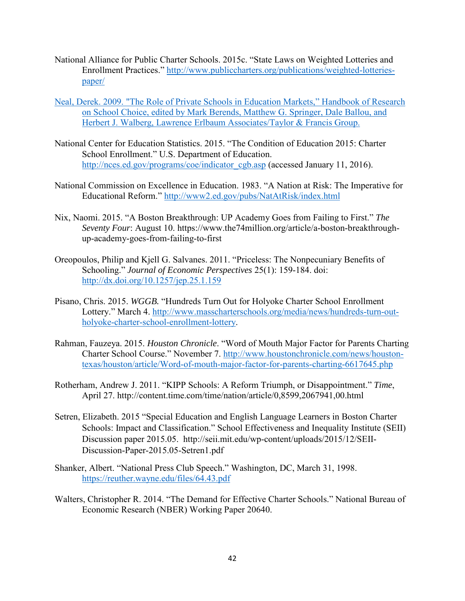- National Alliance for Public Charter Schools. 2015c. "State Laws on Weighted Lotteries and Enrollment Practices." [http://www.publiccharters.org/publications/weighted-lotteries](http://www.publiccharters.org/publications/weighted-lotteries-paper/)[paper/](http://www.publiccharters.org/publications/weighted-lotteries-paper/)
- Neal, Derek. 2009. "The Role of Private Schools in Education Markets," Handbook of Research on School Choice, edited by Mark Berends, Matthew G. Springer, Dale Ballou, and Herbert J. Walberg, Lawrence Erlbaum Associates/Taylor & Francis Group.
- National Center for Education Statistics. 2015. "The Condition of Education 2015: Charter School Enrollment." U.S. Department of Education. [http://nces.ed.gov/programs/coe/indicator\\_cgb.asp](http://nces.ed.gov/programs/coe/indicator_cgb.asp) (accessed January 11, 2016).
- National Commission on Excellence in Education. 1983. "A Nation at Risk: The Imperative for Educational Reform."<http://www2.ed.gov/pubs/NatAtRisk/index.html>
- Nix, Naomi. 2015. "A Boston Breakthrough: UP Academy Goes from Failing to First." *The Seventy Four*: August 10. https://www.the74million.org/article/a-boston-breakthroughup-academy-goes-from-failing-to-first
- Oreopoulos, Philip and Kjell G. Salvanes. 2011. "Priceless: The Nonpecuniary Benefits of Schooling." *Journal of Economic Perspectives* 25(1): 159-184. doi: <http://dx.doi.org/10.1257/jep.25.1.159>
- Pisano, Chris. 2015. *WGGB.* "Hundreds Turn Out for Holyoke Charter School Enrollment Lottery." March 4. [http://www.masscharterschools.org/media/news/hundreds-turn-out](http://www.masscharterschools.org/media/news/hundreds-turn-out-holyoke-charter-school-enrollment-lottery)[holyoke-charter-school-enrollment-lottery.](http://www.masscharterschools.org/media/news/hundreds-turn-out-holyoke-charter-school-enrollment-lottery)
- Rahman, Fauzeya. 2015. *Houston Chronicle*. "Word of Mouth Major Factor for Parents Charting Charter School Course." November 7. [http://www.houstonchronicle.com/news/houston](http://www.houstonchronicle.com/news/houston-texas/houston/article/Word-of-mouth-major-factor-for-parents-charting-6617645.php)[texas/houston/article/Word-of-mouth-major-factor-for-parents-charting-6617645.php](http://www.houstonchronicle.com/news/houston-texas/houston/article/Word-of-mouth-major-factor-for-parents-charting-6617645.php)
- Rotherham, Andrew J. 2011. "KIPP Schools: A Reform Triumph, or Disappointment." *Time*, April 27. http://content.time.com/time/nation/article/0,8599,2067941,00.html
- Setren, Elizabeth. 2015 "Special Education and English Language Learners in Boston Charter Schools: Impact and Classification." School Effectiveness and Inequality Institute (SEII) Discussion paper 2015.05. http://seii.mit.edu/wp-content/uploads/2015/12/SEII-Discussion-Paper-2015.05-Setren1.pdf
- Shanker, Albert. "National Press Club Speech." Washington, DC, March 31, 1998. <https://reuther.wayne.edu/files/64.43.pdf>
- Walters, Christopher R. 2014. "The Demand for Effective Charter Schools." National Bureau of Economic Research (NBER) Working Paper 20640.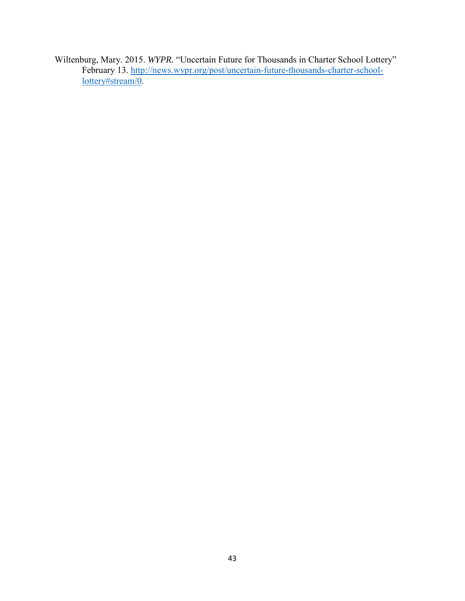Wiltenburg, Mary. 2015. *WYPR.* "Uncertain Future for Thousands in Charter School Lottery" February 13. [http://news.wypr.org/post/uncertain-future-thousands-charter-school](http://news.wypr.org/post/uncertain-future-thousands-charter-school-lottery#stream/0)[lottery#stream/0.](http://news.wypr.org/post/uncertain-future-thousands-charter-school-lottery#stream/0)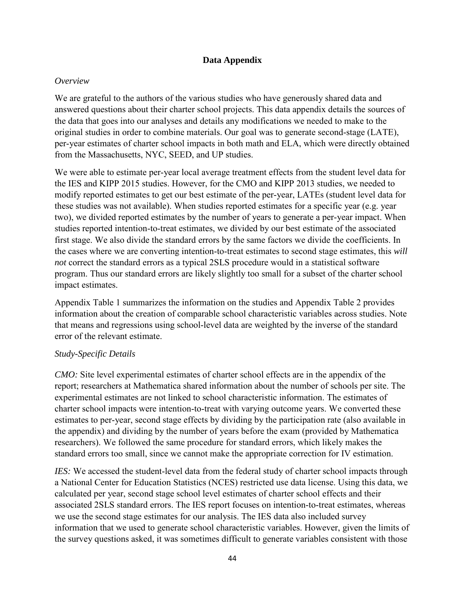# **Data Appendix**

# *Overview*

We are grateful to the authors of the various studies who have generously shared data and answered questions about their charter school projects. This data appendix details the sources of the data that goes into our analyses and details any modifications we needed to make to the original studies in order to combine materials. Our goal was to generate second-stage (LATE), per-year estimates of charter school impacts in both math and ELA, which were directly obtained from the Massachusetts, NYC, SEED, and UP studies.

We were able to estimate per-year local average treatment effects from the student level data for the IES and KIPP 2015 studies. However, for the CMO and KIPP 2013 studies, we needed to modify reported estimates to get our best estimate of the per-year, LATEs (student level data for these studies was not available). When studies reported estimates for a specific year (e.g. year two), we divided reported estimates by the number of years to generate a per-year impact. When studies reported intention-to-treat estimates, we divided by our best estimate of the associated first stage. We also divide the standard errors by the same factors we divide the coefficients. In the cases where we are converting intention-to-treat estimates to second stage estimates, this *will not* correct the standard errors as a typical 2SLS procedure would in a statistical software program. Thus our standard errors are likely slightly too small for a subset of the charter school impact estimates.

Appendix Table 1 summarizes the information on the studies and Appendix Table 2 provides information about the creation of comparable school characteristic variables across studies. Note that means and regressions using school-level data are weighted by the inverse of the standard error of the relevant estimate.

# *Study-Specific Details*

*CMO*: Site level experimental estimates of charter school effects are in the appendix of the report; researchers at Mathematica shared information about the number of schools per site. The experimental estimates are not linked to school characteristic information. The estimates of charter school impacts were intention-to-treat with varying outcome years. We converted these estimates to per-year, second stage effects by dividing by the participation rate (also available in the appendix) and dividing by the number of years before the exam (provided by Mathematica researchers). We followed the same procedure for standard errors, which likely makes the standard errors too small, since we cannot make the appropriate correction for IV estimation.

*IES*: We accessed the student-level data from the federal study of charter school impacts through a National Center for Education Statistics (NCES) restricted use data license. Using this data, we calculated per year, second stage school level estimates of charter school effects and their associated 2SLS standard errors. The IES report focuses on intention-to-treat estimates, whereas we use the second stage estimates for our analysis. The IES data also included survey information that we used to generate school characteristic variables. However, given the limits of the survey questions asked, it was sometimes difficult to generate variables consistent with those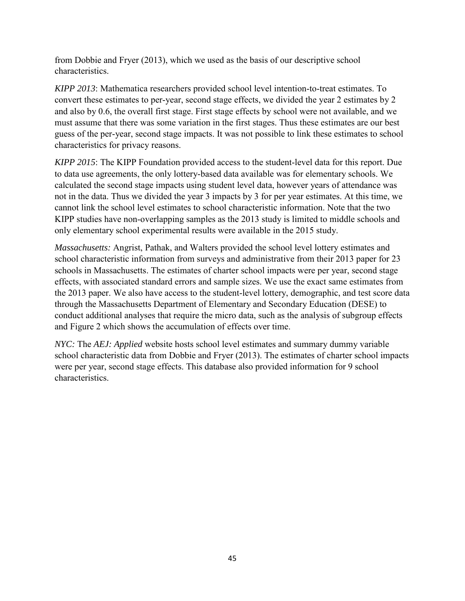from Dobbie and Fryer (2013), which we used as the basis of our descriptive school characteristics.

*KIPP 2013*: Mathematica researchers provided school level intention-to-treat estimates. To convert these estimates to per-year, second stage effects, we divided the year 2 estimates by 2 and also by 0.6, the overall first stage. First stage effects by school were not available, and we must assume that there was some variation in the first stages. Thus these estimates are our best guess of the per-year, second stage impacts. It was not possible to link these estimates to school characteristics for privacy reasons.

*KIPP 2015*: The KIPP Foundation provided access to the student-level data for this report. Due to data use agreements, the only lottery-based data available was for elementary schools. We calculated the second stage impacts using student level data, however years of attendance was not in the data. Thus we divided the year 3 impacts by 3 for per year estimates. At this time, we cannot link the school level estimates to school characteristic information. Note that the two KIPP studies have non-overlapping samples as the 2013 study is limited to middle schools and only elementary school experimental results were available in the 2015 study.

*Massachusetts:* Angrist, Pathak, and Walters provided the school level lottery estimates and school characteristic information from surveys and administrative from their 2013 paper for 23 schools in Massachusetts. The estimates of charter school impacts were per year, second stage effects, with associated standard errors and sample sizes. We use the exact same estimates from the 2013 paper. We also have access to the student-level lottery, demographic, and test score data through the Massachusetts Department of Elementary and Secondary Education (DESE) to conduct additional analyses that require the micro data, such as the analysis of subgroup effects and Figure 2 which shows the accumulation of effects over time.

*NYC:* The *AEJ: Applied* website hosts school level estimates and summary dummy variable school characteristic data from Dobbie and Fryer (2013). The estimates of charter school impacts were per year, second stage effects. This database also provided information for 9 school characteristics.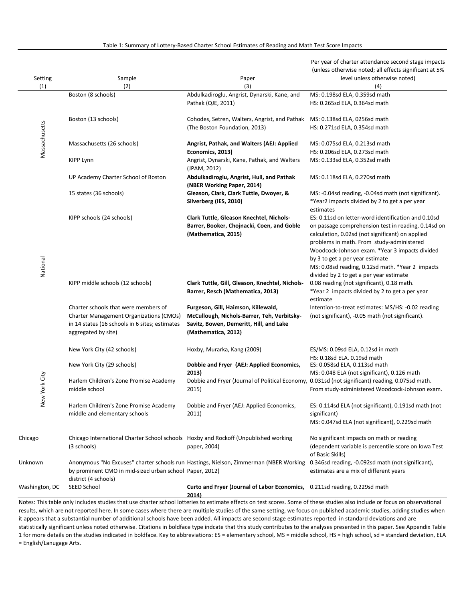Table 1: Summary of Lottery-Based Charter School Estimates of Reading and Math Test Score Impacts

Per year of charter attendance second stage impacts

|                |                                                                                                  |                                                                                        | (unless otherwise noted; all effects significant at 5%                                                                                                                     |
|----------------|--------------------------------------------------------------------------------------------------|----------------------------------------------------------------------------------------|----------------------------------------------------------------------------------------------------------------------------------------------------------------------------|
| Setting        | Sample                                                                                           | Paper                                                                                  | level unless otherwise noted)                                                                                                                                              |
| (1)            | (2)                                                                                              | (3)                                                                                    | (4)                                                                                                                                                                        |
|                | Boston (8 schools)                                                                               | Abdulkadiroglu, Angrist, Dynarski, Kane, and                                           | MS: 0.198sd ELA, 0.359sd math                                                                                                                                              |
|                |                                                                                                  | Pathak (QJE, 2011)                                                                     | HS: 0.265sd ELA, 0.364sd math                                                                                                                                              |
|                | Boston (13 schools)                                                                              | Cohodes, Setren, Walters, Angrist, and Pathak                                          | MS: 0.138sd ELA, 0256sd math                                                                                                                                               |
|                |                                                                                                  | (The Boston Foundation, 2013)                                                          | HS: 0.271sd ELA, 0.354sd math                                                                                                                                              |
|                |                                                                                                  |                                                                                        |                                                                                                                                                                            |
| Massachusetts  | Massachusetts (26 schools)                                                                       | Angrist, Pathak, and Walters (AEJ: Applied                                             | MS: 0.075sd ELA, 0.213sd math                                                                                                                                              |
|                |                                                                                                  | Economics, 2013)                                                                       | HS: 0.206sd ELA, 0.273sd math                                                                                                                                              |
|                | <b>KIPP Lynn</b>                                                                                 | Angrist, Dynarski, Kane, Pathak, and Walters                                           | MS: 0.133sd ELA, 0.352sd math                                                                                                                                              |
|                |                                                                                                  | (JPAM, 2012)                                                                           |                                                                                                                                                                            |
|                | UP Academy Charter School of Boston                                                              | Abdulkadiroglu, Angrist, Hull, and Pathak                                              | MS: 0.118sd ELA, 0.270sd math                                                                                                                                              |
|                |                                                                                                  | (NBER Working Paper, 2014)                                                             |                                                                                                                                                                            |
|                | 15 states (36 schools)                                                                           | Gleason, Clark, Clark Tuttle, Dwoyer, &                                                | MS: -0.04sd reading, -0.04sd math (not significant).                                                                                                                       |
|                |                                                                                                  | Silverberg (IES, 2010)                                                                 | *Year2 impacts divided by 2 to get a per year                                                                                                                              |
|                | KIPP schools (24 schools)                                                                        | Clark Tuttle, Gleason Knechtel, Nichols-                                               | estimates<br>ES: 0.11sd on letter-word identification and 0.10sd                                                                                                           |
|                |                                                                                                  | Barrer, Booker, Chojnacki, Coen, and Goble                                             | on passage comprehension test in reading, 0.14sd on                                                                                                                        |
|                |                                                                                                  | (Mathematica, 2015)                                                                    | calculation, 0.02sd (not significant) on applied                                                                                                                           |
|                |                                                                                                  |                                                                                        | problems in math. From study-administered                                                                                                                                  |
|                |                                                                                                  |                                                                                        | Woodcock-Johnson exam. *Year 3 impacts divided                                                                                                                             |
|                |                                                                                                  |                                                                                        | by 3 to get a per year estimate                                                                                                                                            |
| National       |                                                                                                  |                                                                                        | MS: 0.08sd reading, 0.12sd math. *Year 2 impacts                                                                                                                           |
|                |                                                                                                  |                                                                                        | divided by 2 to get a per year estimate                                                                                                                                    |
|                | KIPP middle schools (12 schools)                                                                 | Clark Tuttle, Gill, Gleason, Knechtel, Nichols-                                        | 0.08 reading (not significant), 0.18 math.                                                                                                                                 |
|                |                                                                                                  | Barrer, Resch (Mathematica, 2013)                                                      | *Year 2 impacts divided by 2 to get a per year                                                                                                                             |
|                |                                                                                                  |                                                                                        | estimate                                                                                                                                                                   |
|                | Charter schools that were members of                                                             | Furgeson, Gill, Haimson, Killewald,                                                    | Intention-to-treat estimates: MS/HS: -0.02 reading                                                                                                                         |
|                | <b>Charter Management Organizations (CMOs)</b><br>in 14 states (16 schools in 6 sites; estimates | McCullough, Nichols-Barrer, Teh, Verbitsky-<br>Savitz, Bowen, Demeritt, Hill, and Lake | (not significant), -0.05 math (not significant).                                                                                                                           |
|                | aggregated by site)                                                                              | (Mathematica, 2012)                                                                    |                                                                                                                                                                            |
|                |                                                                                                  |                                                                                        |                                                                                                                                                                            |
|                | New York City (42 schools)                                                                       | Hoxby, Murarka, Kang (2009)                                                            | ES/MS: 0.09sd ELA, 0.12sd in math                                                                                                                                          |
|                |                                                                                                  |                                                                                        | HS: 0.18sd ELA, 0.19sd math                                                                                                                                                |
|                | New York City (29 schools)                                                                       | Dobbie and Fryer (AEJ: Applied Economics,                                              | ES: 0.058sd ELA, 0.113sd math                                                                                                                                              |
|                |                                                                                                  | 2013)                                                                                  | MS: 0.048 ELA (not significant), 0.126 math                                                                                                                                |
|                | Harlem Children's Zone Promise Academy                                                           |                                                                                        | Dobbie and Fryer (Journal of Political Economy, 0.031sd (not significant) reading, 0.075sd math.                                                                           |
|                | middle school                                                                                    | 2015)                                                                                  | From study-administered Woodcock-Johnson exam.                                                                                                                             |
| New York City  |                                                                                                  |                                                                                        |                                                                                                                                                                            |
|                | Harlem Children's Zone Promise Academy                                                           | Dobbie and Fryer (AEJ: Applied Economics,                                              | ES: 0.114sd ELA (not significant), 0.191sd math (not                                                                                                                       |
|                | middle and elementary schools                                                                    | 2011)                                                                                  | significant)<br>MS: 0.047sd ELA (not significant), 0.229sd math                                                                                                            |
|                |                                                                                                  |                                                                                        |                                                                                                                                                                            |
| Chicago        | Chicago International Charter School schools Hoxby and Rockoff (Unpublished working              |                                                                                        | No significant impacts on math or reading                                                                                                                                  |
|                | (3 schools)                                                                                      | paper, 2004)                                                                           | (dependent variable is percentile score on Iowa Test                                                                                                                       |
|                |                                                                                                  |                                                                                        | of Basic Skills)                                                                                                                                                           |
| Unknown        |                                                                                                  | Anonymous "No Excuses" charter schools run Hastings, Nielson, Zimmerman (NBER Working  | 0.346sd reading, -0.092sd math (not significant),                                                                                                                          |
|                | by prominent CMO in mid-sized urban school Paper, 2012)                                          |                                                                                        | estimates are a mix of different years                                                                                                                                     |
|                | district (4 schools)                                                                             |                                                                                        |                                                                                                                                                                            |
| Washington, DC | <b>SEED School</b>                                                                               | Curto and Fryer (Journal of Labor Economics, 0.211sd reading, 0.229sd math             |                                                                                                                                                                            |
|                |                                                                                                  | 2014)                                                                                  | Notes: This table only includes studies that use charter school lotteries to estimate effects on test scores. Some of these studies also include or focus on observational |
|                |                                                                                                  |                                                                                        |                                                                                                                                                                            |

results, which are not reported here. In some cases where there are multiple studies of the same setting, we focus on published academic studies, adding studies when it appears that a substantial number of additional schools have been added. All impacts are second stage estimates reported in standard deviations and are statistically significant unless noted otherwise. Citations in boldface type indcate that this study contributes to the analyses presented in this paper. See Appendix Table 1 for more details on the studies indicated in boldface. Key to abbreviations: ES = elementary school, MS = middle school, HS = high school, sd = standard deviation, ELA

= English/Lanugage Arts.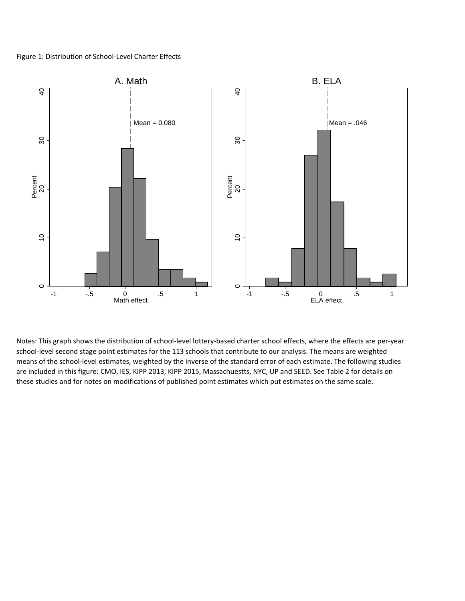#### Figure 1: Distribution of School-Level Charter Effects



Notes: This graph shows the distribution of school-level lottery-based charter school effects, where the effects are per-year school-level second stage point estimates for the 113 schools that contribute to our analysis. The means are weighted means of the school-level estimates, weighted by the inverse of the standard error of each estimate. The following studies are included in this figure: CMO, IES, KIPP 2013, KIPP 2015, Massachuestts, NYC, UP and SEED. See Table 2 for details on these studies and for notes on modifications of published point estimates which put estimates on the same scale.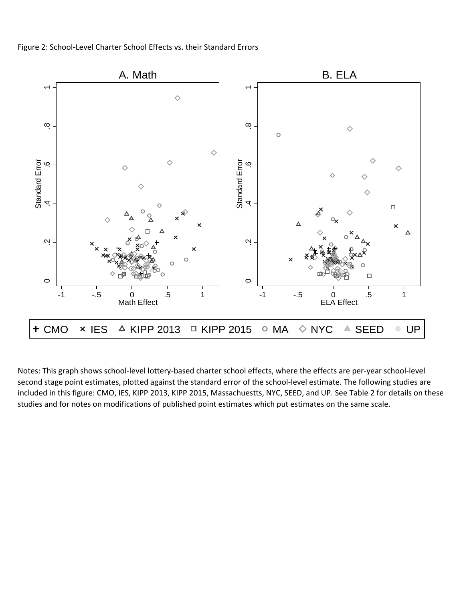

Notes: This graph shows school-level lottery-based charter school effects, where the effects are per-year school-level second stage point estimates, plotted against the standard error of the school-level estimate. The following studies are included in this figure: CMO, IES, KIPP 2013, KIPP 2015, Massachuestts, NYC, SEED, and UP. See Table 2 for details on these studies and for notes on modifications of published point estimates which put estimates on the same scale.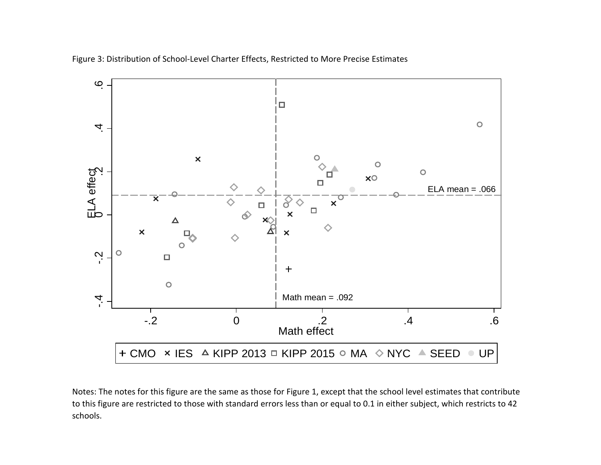

Figure 3: Distribution of School-Level Charter Effects, Restricted to More Precise Estimates

Notes: The notes for this figure are the same as those for Figure 1, except that the school level estimates that contribute to this figure are restricted to those with standard errors less than or equal to 0.1 in either subject, which restricts to 42 schools.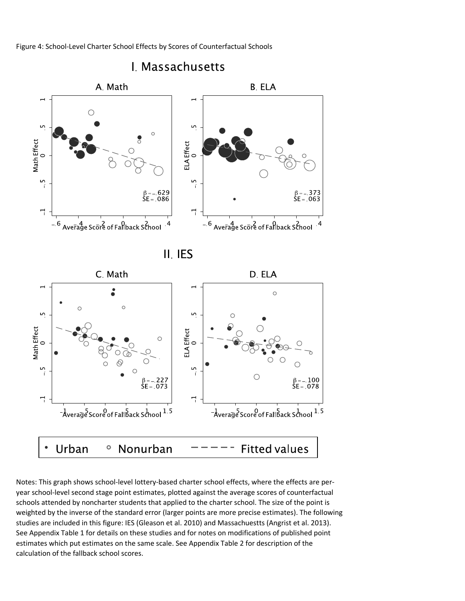Figure 4: School-Level Charter School Effects by Scores of Counterfactual Schools



Notes: This graph shows school-level lottery-based charter school effects, where the effects are peryear school-level second stage point estimates, plotted against the average scores of counterfactual schools attended by noncharter students that applied to the charter school. The size of the point is weighted by the inverse of the standard error (larger points are more precise estimates). The following studies are included in this figure: IES (Gleason et al. 2010) and Massachuestts (Angrist et al. 2013). See Appendix Table 1 for details on these studies and for notes on modifications of published point estimates which put estimates on the same scale. See Appendix Table 2 for description of the calculation of the fallback school scores.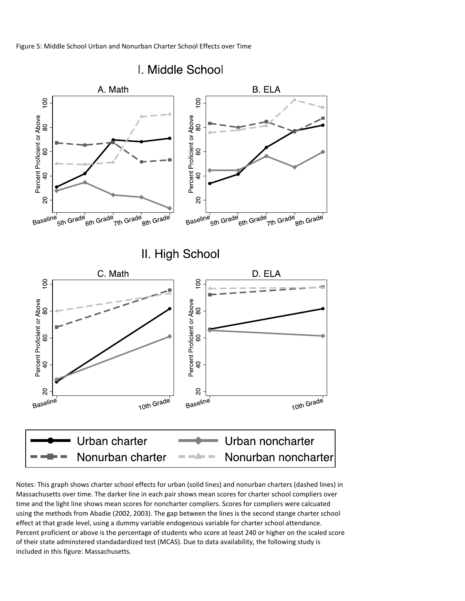Figure 5: Middle School Urban and Nonurban Charter School Effects over Time



Notes: This graph shows charter school effects for urban (solid lines) and nonurban charters (dashed lines) in Massachusetts over time. The darker line in each pair shows mean scores for charter school compliers over time and the light line shows mean scores for noncharter compliers. Scores for compliers were calcuated using the methods from Abadie (2002, 2003). The gap between the lines is the second stange charter school effect at that grade level, using a dummy variable endogenous variable for charter school attendance. Percent proficient or above is the percentage of students who score at least 240 or higher on the scaled score of their state adminstered standadardized test (MCAS). Due to data availability, the following study is included in this figure: Massachusetts.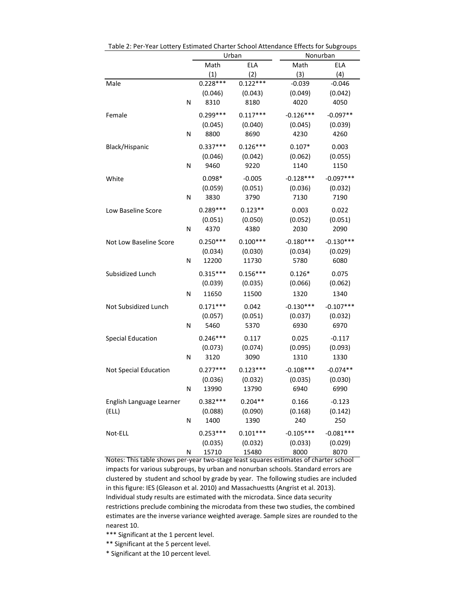|                          |   |            | Urban      | Nonurban    |             |
|--------------------------|---|------------|------------|-------------|-------------|
|                          |   | Math       | <b>ELA</b> | Math        | ELA         |
|                          |   | (1)        | (2)        | (3)         | (4)         |
| Male                     |   | $0.228***$ | $0.122***$ | $-0.039$    | $-0.046$    |
|                          |   | (0.046)    | (0.043)    | (0.049)     | (0.042)     |
|                          | N | 8310       | 8180       | 4020        | 4050        |
| Female                   |   | $0.299***$ | $0.117***$ | $-0.126***$ | $-0.097**$  |
|                          |   | (0.045)    | (0.040)    | (0.045)     | (0.039)     |
|                          | N | 8800       | 8690       | 4230        | 4260        |
|                          |   |            |            |             |             |
| Black/Hispanic           |   | $0.337***$ | $0.126***$ | $0.107*$    | 0.003       |
|                          |   | (0.046)    | (0.042)    | (0.062)     | (0.055)     |
|                          | N | 9460       | 9220       | 1140        | 1150        |
| White                    |   | $0.098*$   | $-0.005$   | $-0.128***$ | $-0.097***$ |
|                          |   | (0.059)    | (0.051)    | (0.036)     | (0.032)     |
|                          | N | 3830       | 3790       | 7130        | 7190        |
| Low Baseline Score       |   | $0.289***$ | $0.123**$  | 0.003       | 0.022       |
|                          |   | (0.051)    | (0.050)    | (0.052)     | (0.051)     |
|                          | N | 4370       | 4380       | 2030        | 2090        |
|                          |   |            |            |             |             |
| Not Low Baseline Score   |   | $0.250***$ | $0.100***$ | $-0.180***$ | $-0.130***$ |
|                          |   | (0.034)    | (0.030)    | (0.034)     | (0.029)     |
|                          | N | 12200      | 11730      | 5780        | 6080        |
| Subsidized Lunch         |   | $0.315***$ | $0.156***$ | $0.126*$    | 0.075       |
|                          |   | (0.039)    | (0.035)    | (0.066)     | (0.062)     |
|                          | Ν | 11650      | 11500      | 1320        | 1340        |
| Not Subsidized Lunch     |   | $0.171***$ | 0.042      | $-0.130***$ | $-0.107***$ |
|                          |   | (0.057)    | (0.051)    | (0.037)     | (0.032)     |
|                          | N | 5460       | 5370       | 6930        | 6970        |
| <b>Special Education</b> |   | $0.246***$ | 0.117      | 0.025       | $-0.117$    |
|                          |   | (0.073)    | (0.074)    | (0.095)     | (0.093)     |
|                          | Ν | 3120       | 3090       | 1310        | 1330        |
|                          |   |            |            |             |             |
| Not Special Education    |   | $0.277***$ | $0.123***$ | $-0.108***$ | $-0.074**$  |
|                          |   | (0.036)    | (0.032)    | (0.035)     | (0.030)     |
|                          | N | 13990      | 13790      | 6940        | 6990        |
| English Language Learner |   | $0.382***$ | $0.204**$  | 0.166       | $-0.123$    |
| (ELL)                    |   | (0.088)    | (0.090)    | (0.168)     | (0.142)     |
|                          | N | 1400       | 1390       | 240         | 250         |
| Not-ELL                  |   | $0.253***$ | $0.101***$ | $-0.105***$ | $-0.081***$ |
|                          |   | (0.035)    | (0.032)    | (0.033)     | (0.029)     |
|                          | N | 15710      | 15480      | 8000        | 8070        |

Table 2: Per-Year Lottery Estimated Charter School Attendance Effects for Subgroups

Notes: This table shows per-year two-stage least squares estimates of charter school impacts for various subgroups, by urban and nonurban schools. Standard errors are clustered by student and school by grade by year. The following studies are included in this figure: IES (Gleason et al. 2010) and Massachuestts (Angrist et al. 2013). Individual study results are estimated with the microdata. Since data security restrictions preclude combining the microdata from these two studies, the combined estimates are the inverse variance weighted average. Sample sizes are rounded to the nearest 10.

\*\*\* Significant at the 1 percent level.

\*\* Significant at the 5 percent level.

\* Significant at the 10 percent level.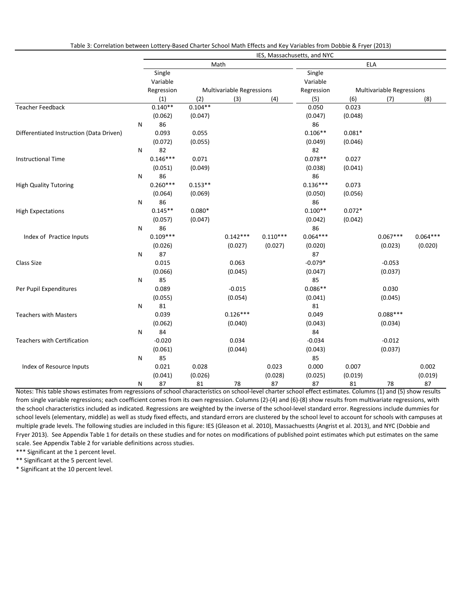Table 3: Correlation between Lottery-Based Charter School Math Effects and Key Variables from Dobbie & Fryer (2013)

|                                          |           |            |           |                           |            | IES, Massachusetts, and NYC |          |                           |            |
|------------------------------------------|-----------|------------|-----------|---------------------------|------------|-----------------------------|----------|---------------------------|------------|
|                                          |           |            |           | Math                      |            |                             |          | ELA                       |            |
|                                          |           | Single     |           |                           |            | Single                      |          |                           |            |
|                                          |           | Variable   |           |                           |            | Variable                    |          |                           |            |
|                                          |           | Regression |           | Multivariable Regressions |            | Regression                  |          | Multivariable Regressions |            |
|                                          |           | (1)        | (2)       | (3)                       | (4)        | (5)                         | (6)      | (7)                       | (8)        |
| <b>Teacher Feedback</b>                  |           | $0.140**$  | $0.104**$ |                           |            | 0.050                       | 0.023    |                           |            |
|                                          |           | (0.062)    | (0.047)   |                           |            | (0.047)                     | (0.048)  |                           |            |
|                                          | N         | 86         |           |                           |            | 86                          |          |                           |            |
| Differentiated Instruction (Data Driven) |           | 0.093      | 0.055     |                           |            | $0.106**$                   | $0.081*$ |                           |            |
|                                          |           | (0.072)    | (0.055)   |                           |            | (0.049)                     | (0.046)  |                           |            |
|                                          | N         | 82         |           |                           |            | 82                          |          |                           |            |
| <b>Instructional Time</b>                |           | $0.146***$ | 0.071     |                           |            | $0.078**$                   | 0.027    |                           |            |
|                                          |           | (0.051)    | (0.049)   |                           |            | (0.038)                     | (0.041)  |                           |            |
|                                          | N         | 86         |           |                           |            | 86                          |          |                           |            |
| <b>High Quality Tutoring</b>             |           | $0.260***$ | $0.153**$ |                           |            | $0.136***$                  | 0.073    |                           |            |
|                                          |           | (0.064)    | (0.069)   |                           |            | (0.050)                     | (0.056)  |                           |            |
|                                          | N         | 86         |           |                           |            | 86                          |          |                           |            |
| <b>High Expectations</b>                 |           | $0.145**$  | $0.080*$  |                           |            | $0.100**$                   | $0.072*$ |                           |            |
|                                          |           | (0.057)    | (0.047)   |                           |            | (0.042)                     | (0.042)  |                           |            |
|                                          | N         | 86         |           |                           |            | 86                          |          |                           |            |
| Index of Practice Inputs                 |           | $0.109***$ |           | $0.142***$                | $0.110***$ | $0.064***$                  |          | $0.067***$                | $0.064***$ |
|                                          |           | (0.026)    |           | (0.027)                   | (0.027)    | (0.020)                     |          | (0.023)                   | (0.020)    |
|                                          | N         | 87         |           |                           |            | 87                          |          |                           |            |
| Class Size                               |           | 0.015      |           | 0.063                     |            | $-0.079*$                   |          | $-0.053$                  |            |
|                                          |           | (0.066)    |           | (0.045)                   |            | (0.047)                     |          | (0.037)                   |            |
|                                          | ${\sf N}$ | 85         |           |                           |            | 85                          |          |                           |            |
| Per Pupil Expenditures                   |           | 0.089      |           | $-0.015$                  |            | $0.086**$                   |          | 0.030                     |            |
|                                          |           | (0.055)    |           | (0.054)                   |            | (0.041)                     |          | (0.045)                   |            |
|                                          | ${\sf N}$ | 81         |           |                           |            | 81                          |          |                           |            |
| <b>Teachers with Masters</b>             |           | 0.039      |           | $0.126***$                |            | 0.049                       |          | $0.088***$                |            |
|                                          |           | (0.062)    |           | (0.040)                   |            | (0.043)                     |          | (0.034)                   |            |
|                                          | N         | 84         |           |                           |            | 84                          |          |                           |            |
| <b>Teachers with Certification</b>       |           | $-0.020$   |           | 0.034                     |            | $-0.034$                    |          | $-0.012$                  |            |
|                                          |           | (0.061)    |           | (0.044)                   |            | (0.043)                     |          | (0.037)                   |            |
|                                          | N         | 85         |           |                           |            | 85                          |          |                           |            |
| Index of Resource Inputs                 |           | 0.021      | 0.028     |                           | 0.023      | 0.000                       | 0.007    |                           | 0.002      |
|                                          |           | (0.041)    | (0.026)   |                           | (0.028)    | (0.025)                     | (0.019)  |                           | (0.019)    |
|                                          | N         | 87         | 81        | 78                        | 87         | 87                          | 81       | 78                        | 87         |

Notes: This table shows estimates from regressions of school characteristics on school-level charter school effect estimates. Columns (1) and (5) show results from single variable regressions; each coefficient comes from its own regression. Columns (2)-(4) and (6)-(8) show results from multivariate regressions, with the school characteristics included as indicated. Regressions are weighted by the inverse of the school-level standard error. Regressions include dummies for school levels (elementary, middle) as well as study fixed effects, and standard errors are clustered by the school level to account for schools with campuses at multiple grade levels. The following studies are included in this figure: IES (Gleason et al. 2010), Massachuestts (Angrist et al. 2013), and NYC (Dobbie and Fryer 2013). See Appendix Table 1 for details on these studies and for notes on modifications of published point estimates which put estimates on the same scale. See Appendix Table 2 for variable definitions across studies.

\*\*\* Significant at the 1 percent level.

\*\* Significant at the 5 percent level. \* Significant at the 10 percent level.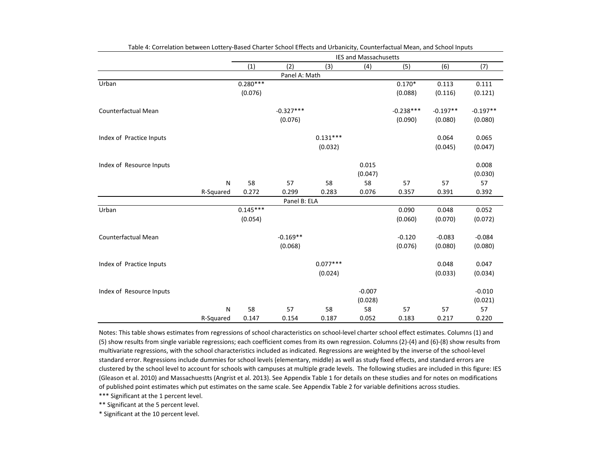|                            |           |            |               |            | <b>IES and Massachusetts</b> |             |            |            |
|----------------------------|-----------|------------|---------------|------------|------------------------------|-------------|------------|------------|
|                            |           | (1)        | (2)           | (3)        | (4)                          | (5)         | (6)        | (7)        |
|                            |           |            | Panel A: Math |            |                              |             |            |            |
| Urban                      |           | $0.280***$ |               |            |                              | $0.170*$    | 0.113      | 0.111      |
|                            |           | (0.076)    |               |            |                              | (0.088)     | (0.116)    | (0.121)    |
| <b>Counterfactual Mean</b> |           |            | $-0.327***$   |            |                              | $-0.238***$ | $-0.197**$ | $-0.197**$ |
|                            |           |            | (0.076)       |            |                              | (0.090)     | (0.080)    | (0.080)    |
| Index of Practice Inputs   |           |            |               | $0.131***$ |                              |             | 0.064      | 0.065      |
|                            |           |            |               | (0.032)    |                              |             | (0.045)    | (0.047)    |
| Index of Resource Inputs   |           |            |               |            | 0.015                        |             |            | 0.008      |
|                            |           |            |               |            | (0.047)                      |             |            | (0.030)    |
|                            | N         | 58         | 57            | 58         | 58                           | 57          | 57         | 57         |
|                            | R-Squared | 0.272      | 0.299         | 0.283      | 0.076                        | 0.357       | 0.391      | 0.392      |
|                            |           |            | Panel B: ELA  |            |                              |             |            |            |
| Urban                      |           | $0.145***$ |               |            |                              | 0.090       | 0.048      | 0.052      |
|                            |           | (0.054)    |               |            |                              | (0.060)     | (0.070)    | (0.072)    |
| Counterfactual Mean        |           |            | $-0.169**$    |            |                              | $-0.120$    | $-0.083$   | $-0.084$   |
|                            |           |            | (0.068)       |            |                              | (0.076)     | (0.080)    | (0.080)    |
| Index of Practice Inputs   |           |            |               | $0.077***$ |                              |             | 0.048      | 0.047      |
|                            |           |            |               | (0.024)    |                              |             | (0.033)    | (0.034)    |
| Index of Resource Inputs   |           |            |               |            | $-0.007$                     |             |            | $-0.010$   |
|                            |           |            |               |            | (0.028)                      |             |            | (0.021)    |
|                            | N         | 58         | 57            | 58         | 58                           | 57          | 57         | 57         |
|                            | R-Squared | 0.147      | 0.154         | 0.187      | 0.052                        | 0.183       | 0.217      | 0.220      |

Table 4: Correlation between Lottery-Based Charter School Effects and Urbanicity, Counterfactual Mean, and School Inputs

Notes: This table shows estimates from regressions of school characteristics on school-level charter school effect estimates. Columns (1) and (5) show results from single variable regressions; each coefficient comes from its own regression. Columns (2)-(4) and (6)-(8) show results from multivariate regressions, with the school characteristics included as indicated. Regressions are weighted by the inverse of the school-level standard error. Regressions include dummies for school levels (elementary, middle) as well as study fixed effects, and standard errors are clustered by the school level to account for schools with campuses at multiple grade levels. The following studies are included in this figure: IES (Gleason et al. 2010) and Massachuestts (Angrist et al. 2013). See Appendix Table 1 for details on these studies and for notes on modifications of published point estimates which put estimates on the same scale. See Appendix Table 2 for variable definitions across studies.

\*\*\* Significant at the 1 percent level.

\*\* Significant at the 5 percent level.

\* Significant at the 10 percent level.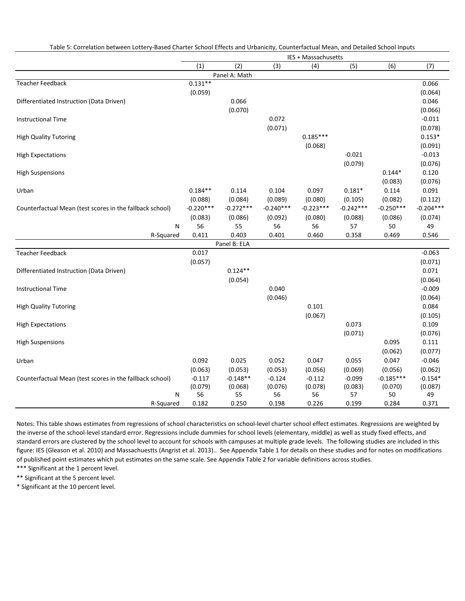Table 5: Correlation between Lottery-Based Charter School Effects and Urbanicity, Counterfactual Mean, and Detailed School Inputs

|                                                          |             |               |             | IES + Massachusetts |             |             |             |
|----------------------------------------------------------|-------------|---------------|-------------|---------------------|-------------|-------------|-------------|
|                                                          | (1)         | (2)           | (3)         | (4)                 | (5)         | (6)         | (7)         |
|                                                          |             | Panel A: Math |             |                     |             |             |             |
| <b>Teacher Feedback</b>                                  | $0.131**$   |               |             |                     |             |             | 0.066       |
|                                                          | (0.059)     |               |             |                     |             |             | (0.064)     |
| Differentiated Instruction (Data Driven)                 |             | 0.066         |             |                     |             |             | 0.046       |
|                                                          |             | (0.070)       |             |                     |             |             | (0.066)     |
| <b>Instructional Time</b>                                |             |               | 0.072       |                     |             |             | $-0.011$    |
|                                                          |             |               | (0.071)     |                     |             |             | (0.078)     |
| <b>High Quality Tutoring</b>                             |             |               |             | $0.185***$          |             |             | $0.153*$    |
|                                                          |             |               |             | (0.068)             |             |             | (0.091)     |
| <b>High Expectations</b>                                 |             |               |             |                     | $-0.021$    |             | $-0.013$    |
|                                                          |             |               |             |                     | (0.079)     |             | (0.076)     |
| <b>High Suspensions</b>                                  |             |               |             |                     |             | $0.144*$    | 0.120       |
|                                                          |             |               |             |                     |             | (0.083)     | (0.076)     |
| Urban                                                    | $0.184**$   | 0.114         | 0.104       | 0.097               | $0.181*$    | 0.114       | 0.091       |
|                                                          | (0.088)     | (0.084)       | (0.089)     | (0.080)             | (0.105)     | (0.082)     | (0.112)     |
| Counterfactual Mean (test scores in the fallback school) | $-0.220***$ | $-0.272***$   | $-0.240***$ | $-0.223***$         | $-0.242***$ | $-0.250***$ | $-0.204***$ |
|                                                          | (0.083)     | (0.086)       | (0.092)     | (0.080)             | (0.088)     | (0.086)     | (0.074)     |
| N                                                        | 56          | 55            | 56          | 56                  | 57          | 50          | 49          |
| R-Squared                                                | 0.411       | 0.403         | 0.401       | 0.460               | 0.358       | 0.469       | 0.546       |
|                                                          |             | Panel B: ELA  |             |                     |             |             |             |
| <b>Teacher Feedback</b>                                  | 0.017       |               |             |                     |             |             | $-0.063$    |
|                                                          | (0.057)     |               |             |                     |             |             | (0.071)     |
| Differentiated Instruction (Data Driven)                 |             | $0.124**$     |             |                     |             |             | 0.071       |
|                                                          |             | (0.054)       |             |                     |             |             | (0.064)     |
| <b>Instructional Time</b>                                |             |               | 0.040       |                     |             |             | $-0.009$    |
|                                                          |             |               | (0.046)     |                     |             |             | (0.064)     |
| <b>High Quality Tutoring</b>                             |             |               |             | 0.101               |             |             | 0.084       |
|                                                          |             |               |             | (0.067)             |             |             | (0.105)     |
| <b>High Expectations</b>                                 |             |               |             |                     | 0.073       |             | 0.109       |
|                                                          |             |               |             |                     | (0.071)     |             | (0.076)     |
| <b>High Suspensions</b>                                  |             |               |             |                     |             | 0.095       | 0.111       |
|                                                          |             |               |             |                     |             | (0.062)     | (0.077)     |
| Urban                                                    | 0.092       | 0.025         | 0.052       | 0.047               | 0.055       | 0.047       | $-0.046$    |
|                                                          | (0.063)     | (0.053)       | (0.053)     | (0.056)             | (0.069)     | (0.056)     | (0.062)     |
| Counterfactual Mean (test scores in the fallback school) | $-0.117$    | $-0.148**$    | $-0.124$    | $-0.112$            | $-0.099$    | $-0.185***$ | $-0.154*$   |
|                                                          | (0.079)     | (0.068)       | (0.076)     | (0.078)             | (0.083)     | (0.070)     | (0.087)     |
| N                                                        | 56          | 55            | 56          | 56                  | 57          | 50          | 49          |
| R-Squared                                                | 0.182       | 0.250         | 0.198       | 0.226               | 0.199       | 0.284       | 0.371       |

Notes: This table shows estimates from regressions of school characteristics on school-level charter school effect estimates. Regressions are weighted by the inverse of the school-level standard error. Regressions include dummies for school levels (elementary, middle) as well as study fixed effects, and standard errors are clustered by the school level to account for schools with campuses at multiple grade levels. The following studies are included in this figure: IES (Gleason et al. 2010) and Massachuestts (Angrist et al. 2013).. See Appendix Table 1 for details on these studies and for notes on modifications of published point estimates which put estimates on the same scale. See Appendix Table 2 for variable definitions across studies.

\*\*\* Significant at the 1 percent level.

\*\* Significant at the 5 percent level.

\* Significant at the 10 percent level.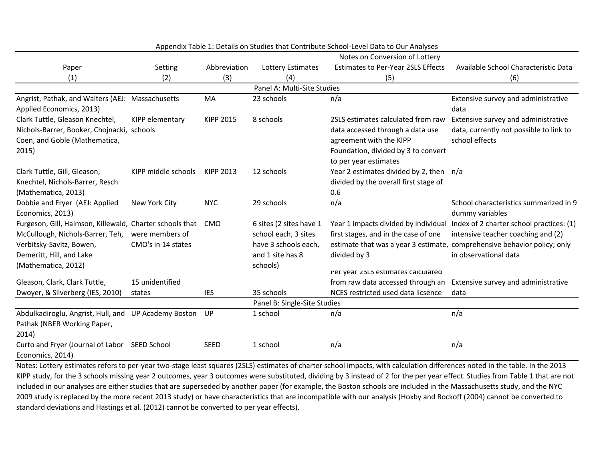|                                                          |                     |                  |                              | Notes on Conversion of Lottery            |                                                                          |
|----------------------------------------------------------|---------------------|------------------|------------------------------|-------------------------------------------|--------------------------------------------------------------------------|
| Paper                                                    | Setting             | Abbreviation     | Lottery Estimates            | <b>Estimates to Per-Year 2SLS Effects</b> | Available School Characteristic Data                                     |
| (1)                                                      | (2)                 | (3)              | (4)                          | (5)                                       | (6)                                                                      |
|                                                          |                     |                  | Panel A: Multi-Site Studies  |                                           |                                                                          |
| Angrist, Pathak, and Walters (AEJ: Massachusetts         |                     | MA               | 23 schools                   | n/a                                       | Extensive survey and administrative                                      |
| Applied Economics, 2013)                                 |                     |                  |                              |                                           | data                                                                     |
| Clark Tuttle, Gleason Knechtel,                          | KIPP elementary     | <b>KIPP 2015</b> | 8 schools                    | 2SLS estimates calculated from raw        | Extensive survey and administrative                                      |
| Nichols-Barrer, Booker, Chojnacki, schools               |                     |                  |                              | data accessed through a data use          | data, currently not possible to link to                                  |
| Coen, and Goble (Mathematica,                            |                     |                  |                              | agreement with the KIPP                   | school effects                                                           |
| 2015)                                                    |                     |                  |                              | Foundation, divided by 3 to convert       |                                                                          |
|                                                          |                     |                  |                              | to per year estimates                     |                                                                          |
| Clark Tuttle, Gill, Gleason,                             | KIPP middle schools | KIPP 2013        | 12 schools                   | Year 2 estimates divided by 2, then n/a   |                                                                          |
| Knechtel, Nichols-Barrer, Resch                          |                     |                  |                              | divided by the overall first stage of     |                                                                          |
| (Mathematica, 2013)                                      |                     |                  |                              | 0.6                                       |                                                                          |
| Dobbie and Fryer (AEJ: Applied                           | New York City       | <b>NYC</b>       | 29 schools                   | n/a                                       | School characteristics summarized in 9                                   |
| Economics, 2013)                                         |                     |                  |                              |                                           | dummy variables                                                          |
| Furgeson, Gill, Haimson, Killewald, Charter schools that |                     | <b>CMO</b>       | 6 sites (2 sites have 1      | Year 1 impacts divided by individual      | Index of 2 charter school practices: (1)                                 |
| McCullough, Nichols-Barrer, Teh,                         | were members of     |                  | school each, 3 sites         | first stages, and in the case of one      | intensive teacher coaching and (2)                                       |
| Verbitsky-Savitz, Bowen,                                 | CMO's in 14 states  |                  | have 3 schools each,         |                                           | estimate that was a year 3 estimate, comprehensive behavior policy; only |
| Demeritt, Hill, and Lake                                 |                     |                  | and 1 site has 8             | divided by 3                              | in observational data                                                    |
| (Mathematica, 2012)                                      |                     |                  | schools)                     | Per year zolo estimates calculated        |                                                                          |
| Gleason, Clark, Clark Tuttle,                            | 15 unidentified     |                  |                              | from raw data accessed through an         | Extensive survey and administrative                                      |
| Dwoyer, & Silverberg (IES, 2010)                         | states              | <b>IES</b>       | 35 schools                   | NCES restricted used data licsence        | data                                                                     |
|                                                          |                     |                  | Panel B: Single-Site Studies |                                           |                                                                          |
| Abdulkadiroglu, Angrist, Hull, and UP Academy Boston     |                     | UP               | 1 school                     | n/a                                       | n/a                                                                      |
| Pathak (NBER Working Paper,                              |                     |                  |                              |                                           |                                                                          |
| 2014)                                                    |                     |                  |                              |                                           |                                                                          |
| Curto and Fryer (Journal of Labor SEED School            |                     | <b>SEED</b>      | 1 school                     | n/a                                       | n/a                                                                      |
| Economics, 2014)                                         |                     |                  |                              |                                           |                                                                          |
|                                                          |                     |                  |                              |                                           |                                                                          |

Appendix Table 1: Details on Studies that Contribute School-Level Data to Our Analyses

Notes: Lottery estimates refers to per-year two-stage least squares (2SLS) estimates of charter school impacts, with calculation differences noted in the table. In the 2013 KIPP study, for the 3 schools missing year 2 outcomes, year 3 outcomes were substituted, dividing by 3 instead of 2 for the per year effect. Studies from Table 1 that are not included in our analyses are either studies that are superseded by another paper (for example, the Boston schools are included in the Massachusetts study, and the NYC 2009 study is replaced by the more recent 2013 study) or have characteristics that are incompatible with our analysis (Hoxby and Rockoff (2004) cannot be converted to standard deviations and Hastings et al. (2012) cannot be converted to per year effects).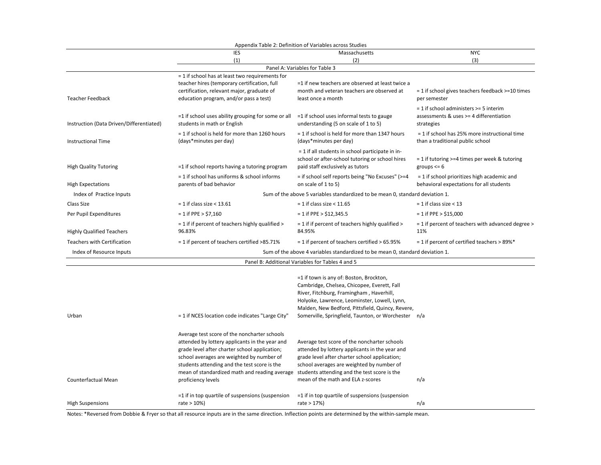|                                          |                                                                                                                                                                                                                                                                                                                                                                  | Appendix Table 2: Definition of Variables across Studies                                                                                                                                                                                                                                      |                                                                                                                 |
|------------------------------------------|------------------------------------------------------------------------------------------------------------------------------------------------------------------------------------------------------------------------------------------------------------------------------------------------------------------------------------------------------------------|-----------------------------------------------------------------------------------------------------------------------------------------------------------------------------------------------------------------------------------------------------------------------------------------------|-----------------------------------------------------------------------------------------------------------------|
|                                          | IES                                                                                                                                                                                                                                                                                                                                                              | Massachusetts                                                                                                                                                                                                                                                                                 | <b>NYC</b>                                                                                                      |
|                                          | (1)                                                                                                                                                                                                                                                                                                                                                              | (2)                                                                                                                                                                                                                                                                                           | (3)                                                                                                             |
|                                          |                                                                                                                                                                                                                                                                                                                                                                  | Panel A: Variables for Table 3                                                                                                                                                                                                                                                                |                                                                                                                 |
| <b>Teacher Feedback</b>                  | $=$ 1 if school has at least two requirements for<br>teacher hires (temporary certification, full<br>certification, relevant major, graduate of<br>education program, and/or pass a test)                                                                                                                                                                        | =1 if new teachers are observed at least twice a<br>month and veteran teachers are observed at<br>least once a month                                                                                                                                                                          | = 1 if school gives teachers feedback >=10 times<br>per semester                                                |
| Instruction (Data Driven/Differentiated) | =1 if school uses ability grouping for some or all<br>students in math or English                                                                                                                                                                                                                                                                                | =1 if school uses informal tests to gauge<br>understanding (5 on scale of 1 to 5)                                                                                                                                                                                                             | = 1 if school administers >= 5 interim<br>assessments & uses >= 4 differentiation<br>strategies                 |
| <b>Instructional Time</b>                | = 1 if school is held for more than 1260 hours<br>(days*minutes per day)                                                                                                                                                                                                                                                                                         | = 1 if school is held for more than 1347 hours<br>(days*minutes per day)                                                                                                                                                                                                                      | = 1 if school has 25% more instructional time<br>than a traditional public school                               |
| <b>High Quality Tutoring</b>             | =1 if school reports having a tutoring program<br>= 1 if school has uniforms & school informs                                                                                                                                                                                                                                                                    | = 1 if all students in school participate in in-<br>school or after-school tutoring or school hires<br>paid staff exclusively as tutors<br>= if school self reports being "No Excuses" (>=4                                                                                                   | = 1 if tutoring >=4 times per week & tutoring<br>groups $\leq 6$<br>= 1 if school prioritizes high academic and |
| <b>High Expectations</b>                 | parents of bad behavior                                                                                                                                                                                                                                                                                                                                          | on scale of 1 to 5)                                                                                                                                                                                                                                                                           | behavioral expectations for all students                                                                        |
| Index of Practice Inputs                 |                                                                                                                                                                                                                                                                                                                                                                  | Sum of the above 5 variables standardized to be mean 0, standard deviation 1.                                                                                                                                                                                                                 |                                                                                                                 |
| Class Size                               | $= 1$ if class size < 13.61                                                                                                                                                                                                                                                                                                                                      | $= 1$ if class size < 11.65                                                                                                                                                                                                                                                                   | $= 1$ if class size $< 13$                                                                                      |
| Per Pupil Expenditures                   | $= 1$ if PPE > \$7,160                                                                                                                                                                                                                                                                                                                                           | $= 1$ if PPE > \$12,345.5                                                                                                                                                                                                                                                                     | $= 1$ if PPE > \$15,000                                                                                         |
| <b>Highly Qualified Teachers</b>         | $=$ 1 if if percent of teachers highly qualified $>$<br>96.83%                                                                                                                                                                                                                                                                                                   | = 1 if if percent of teachers highly qualified ><br>84.95%                                                                                                                                                                                                                                    | = 1 if percent of teachers with advanced degree ><br>11%                                                        |
| <b>Teachers with Certification</b>       | = 1 if percent of teachers certified >85.71%                                                                                                                                                                                                                                                                                                                     | = 1 if percent of teachers certified > 65.95%                                                                                                                                                                                                                                                 | = 1 if percent of certified teachers > 89%*                                                                     |
| Index of Resource Inputs                 |                                                                                                                                                                                                                                                                                                                                                                  | Sum of the above 4 variables standardized to be mean 0, standard deviation 1.                                                                                                                                                                                                                 |                                                                                                                 |
|                                          |                                                                                                                                                                                                                                                                                                                                                                  | Panel B: Additional Variables for Tables 4 and 5                                                                                                                                                                                                                                              |                                                                                                                 |
| Urban                                    | = 1 if NCES location code indicates "Large City"                                                                                                                                                                                                                                                                                                                 | =1 if town is any of: Boston, Brockton,<br>Cambridge, Chelsea, Chicopee, Everett, Fall<br>River, Fitchburg, Framingham, Haverhill,<br>Holyoke, Lawrence, Leominster, Lowell, Lynn,<br>Malden, New Bedford, Pittsfield, Quincy, Revere,<br>Somerville, Springfield, Taunton, or Worchester n/a |                                                                                                                 |
| Counterfactual Mean                      | Average test score of the noncharter schools<br>attended by lottery applicants in the year and<br>grade level after charter school application;<br>school averages are weighted by number of<br>students attending and the test score is the<br>mean of standardized math and reading average students attending and the test score is the<br>proficiency levels | Average test score of the noncharter schools<br>attended by lottery applicants in the year and<br>grade level after charter school application;<br>school averages are weighted by number of<br>mean of the math and ELA z-scores                                                             | n/a                                                                                                             |
| <b>High Suspensions</b>                  | =1 if in top quartile of suspensions (suspension<br>rate $> 10\%)$                                                                                                                                                                                                                                                                                               | =1 if in top quartile of suspensions (suspension<br>rate $> 17\%)$                                                                                                                                                                                                                            | n/a                                                                                                             |

Notes: \*Reversed from Dobbie & Fryer so that all resource inputs are in the same direction. Inflection points are determined by the within-sample mean.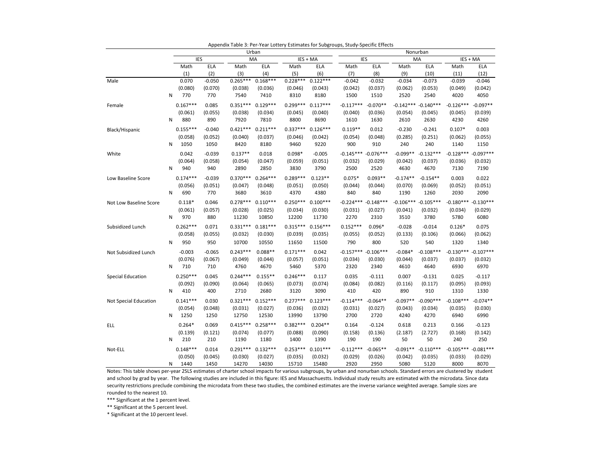|                        |   |            |          |            | Urban      |            |            |             |             |             | Nonurban    |             |             |
|------------------------|---|------------|----------|------------|------------|------------|------------|-------------|-------------|-------------|-------------|-------------|-------------|
|                        |   | <b>IES</b> |          |            | MA         |            | IES + MA   | <b>IES</b>  |             |             | MA          |             | IES + MA    |
|                        |   | Math       | ELA      | Math       | ELA        | Math       | ELA        | Math        | ELA         | Math        | <b>ELA</b>  | Math        | ELA         |
|                        |   | (1)        | (2)      | (3)        | (4)        | (5)        | (6)        | (7)         | (8)         | (9)         | (10)        | (11)        | (12)        |
| Male                   |   | 0.070      | $-0.050$ | $0.265***$ | $0.168***$ | $0.228***$ | $0.122***$ | $-0.042$    | $-0.032$    | $-0.034$    | $-0.073$    | $-0.039$    | $-0.046$    |
|                        |   | (0.080)    | (0.070)  | (0.038)    | (0.036)    | (0.046)    | (0.043)    | (0.042)     | (0.037)     | (0.062)     | (0.053)     | (0.049)     | (0.042)     |
|                        | N | 770        | 770      | 7540       | 7410       | 8310       | 8180       | 1500        | 1510        | 2520        | 2540        | 4020        | 4050        |
| Female                 |   | $0.167***$ | 0.085    | $0.351***$ | $0.129***$ | $0.299***$ | $0.117***$ | $-0.117***$ | $-0.070**$  | $-0.142***$ | $-0.140***$ | $-0.126***$ | $-0.097**$  |
|                        |   | (0.061)    | (0.055)  | (0.038)    | (0.034)    | (0.045)    | (0.040)    | (0.040)     | (0.036)     | (0.054)     | (0.045)     | (0.045)     | (0.039)     |
|                        | N | 880        | 890      | 7920       | 7810       | 8800       | 8690       | 1610        | 1630        | 2610        | 2630        | 4230        | 4260        |
| Black/Hispanic         |   | $0.155***$ | $-0.040$ | $0.421***$ | $0.211***$ | $0.337***$ | $0.126***$ | $0.119**$   | 0.012       | $-0.230$    | $-0.241$    | $0.107*$    | 0.003       |
|                        |   | (0.058)    | (0.052)  | (0.040)    | (0.037)    | (0.046)    | (0.042)    | (0.054)     | (0.048)     | (0.285)     | (0.251)     | (0.062)     | (0.055)     |
|                        | N | 1050       | 1050     | 8420       | 8180       | 9460       | 9220       | 900         | 910         | 240         | 240         | 1140        | 1150        |
| White                  |   | 0.042      | $-0.039$ | $0.137**$  | 0.018      | $0.098*$   | $-0.005$   | $-0.145***$ | $-0.076***$ | $-0.099**$  | $-0.132***$ | $-0.128***$ | $-0.097***$ |
|                        |   | (0.064)    | (0.058)  | (0.054)    | (0.047)    | (0.059)    | (0.051)    | (0.032)     | (0.029)     | (0.042)     | (0.037)     | (0.036)     | (0.032)     |
|                        | N | 940        | 940      | 2890       | 2850       | 3830       | 3790       | 2500        | 2520        | 4630        | 4670        | 7130        | 7190        |
| Low Baseline Score     |   | $0.174***$ | $-0.039$ | $0.370***$ | $0.264***$ | $0.289***$ | $0.123**$  | $0.075*$    | $0.093**$   | $-0.174**$  | $-0.154**$  | 0.003       | 0.022       |
|                        |   | (0.056)    | (0.051)  | (0.047)    | (0.048)    | (0.051)    | (0.050)    | (0.044)     | (0.044)     | (0.070)     | (0.069)     | (0.052)     | (0.051)     |
|                        | N | 690        | 770      | 3680       | 3610       | 4370       | 4380       | 840         | 840         | 1190        | 1260        | 2030        | 2090        |
| Not Low Baseline Score |   | $0.118*$   | 0.046    | $0.278***$ | $0.110***$ | $0.250***$ | $0.100***$ | $-0.224***$ | $-0.148***$ | $-0.106***$ | $-0.105***$ | $-0.180***$ | $-0.130***$ |
|                        |   | (0.061)    | (0.057)  | (0.028)    | (0.025)    | (0.034)    | (0.030)    | (0.031)     | (0.027)     | (0.041)     | (0.032)     | (0.034)     | (0.029)     |
|                        | N | 970        | 880      | 11230      | 10850      | 12200      | 11730      | 2270        | 2310        | 3510        | 3780        | 5780        | 6080        |
| Subsidized Lunch       |   | $0.262***$ | 0.071    | $0.331***$ | $0.181***$ | $0.315***$ | $0.156***$ | $0.152***$  | $0.096*$    | $-0.028$    | $-0.014$    | $0.126*$    | 0.075       |
|                        |   | (0.058)    | (0.055)  | (0.032)    | (0.030)    | (0.039)    | (0.035)    | (0.055)     | (0.052)     | (0.133)     | (0.106)     | (0.066)     | (0.062)     |
|                        | N | 950        | 950      | 10700      | 10550      | 11650      | 11500      | 790         | 800         | 520         | 540         | 1320        | 1340        |
|                        |   |            |          |            |            |            |            |             |             |             |             |             |             |
| Not Subsidized Lunch   |   | $-0.003$   | $-0.065$ | $0.243***$ | $0.088**$  | $0.171***$ | 0.042      | $-0.157***$ | $-0.106***$ | $-0.084*$   | $-0.108***$ | $-0.130***$ | $-0.107***$ |
|                        |   | (0.076)    | (0.067)  | (0.049)    | (0.044)    | (0.057)    | (0.051)    | (0.034)     | (0.030)     | (0.044)     | (0.037)     | (0.037)     | (0.032)     |
|                        | N | 710        | 710      | 4760       | 4670       | 5460       | 5370       | 2320        | 2340        | 4610        | 4640        | 6930        | 6970        |
| Special Education      |   | $0.250***$ | 0.045    | $0.244***$ | $0.155***$ | $0.246***$ | 0.117      | 0.035       | $-0.111$    | 0.007       | $-0.131$    | 0.025       | $-0.117$    |
|                        |   | (0.092)    | (0.090)  | (0.064)    | (0.065)    | (0.073)    | (0.074)    | (0.084)     | (0.082)     | (0.116)     | (0.117)     | (0.095)     | (0.093)     |
|                        | N | 410        | 400      | 2710       | 2680       | 3120       | 3090       | 410         | 420         | 890         | 910         | 1310        | 1330        |
| Not Special Education  |   | $0.141***$ | 0.030    | $0.321***$ | $0.152***$ | $0.277***$ | $0.123***$ | $-0.114***$ | $-0.064**$  | $-0.097**$  | $-0.090***$ | $-0.108***$ | $-0.074**$  |
|                        |   | (0.054)    | (0.048)  | (0.031)    | (0.027)    | (0.036)    | (0.032)    | (0.031)     | (0.027)     | (0.043)     | (0.034)     | (0.035)     | (0.030)     |
|                        | N | 1250       | 1250     | 12750      | 12530      | 13990      | 13790      | 2700        | 2720        | 4240        | 4270        | 6940        | 6990        |
| <b>ELL</b>             |   | $0.264*$   | 0.069    | $0.415***$ | $0.258***$ | $0.382***$ | $0.204**$  | 0.164       | $-0.124$    | 0.618       | 0.213       | 0.166       | $-0.123$    |
|                        |   | (0.139)    | (0.121)  | (0.074)    | (0.077)    | (0.088)    | (0.090)    | (0.158)     | (0.136)     | (2.187)     | (2.727)     | (0.168)     | (0.142)     |
|                        | N | 210        | 210      | 1190       | 1180       | 1400       | 1390       | 190         | 190         | 50          | 50          | 240         | 250         |
| Not-ELL                |   | $0.148***$ | 0.014    | $0.291***$ | $0.132***$ | $0.253***$ | $0.101***$ | $-0.112***$ | $-0.065**$  | $-0.091**$  | $-0.110***$ | $-0.105***$ | $-0.081***$ |
|                        |   | (0.050)    | (0.045)  | (0.030)    | (0.027)    | (0.035)    | (0.032)    | (0.029)     | (0.026)     | (0.042)     | (0.035)     | (0.033)     | (0.029)     |
|                        | N | 1440       | 1450     | 14270      | 14030      | 15710      | 15480      | 2920        | 2950        | 5080        | 5120        | 8000        | 8070        |

Appendix Table 3: Per-Year Lottery Estimates for Subgroups, Study-Specific Effects

Notes: This table shows per-year 2SLS estimates of charter school impacts for various subgroups, by urban and nonurban schools. Standard errors are clustered by student and school by grad by year. The following studies are included in this figure: IES and Massachuestts. Individual study results are estimated with the microdata. Since data security restrictions preclude combining the microdata from these two studies, the combined estimates are the inverse variance weighted average. Sample sizes are rounded to the nearest 10.

\*\*\* Significant at the 1 percent level.

\*\* Significant at the 5 percent level.

\* Significant at the 10 percent level.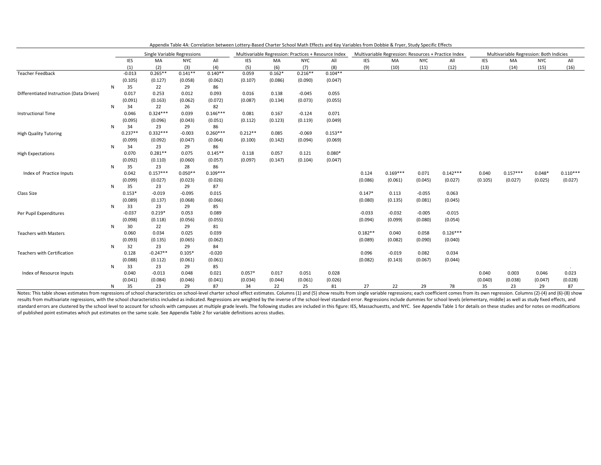|                                          |   |           | Single Variable Regressions |            |            | Multivariable Regression: Practices + Resource Index<br><b>NYC</b><br>IES<br>MA<br>All |          |           |           |            | Multivariable Regression: Resources + Practice Index |            |            |            | Multivariable Regression: Both Indicies |            |            |
|------------------------------------------|---|-----------|-----------------------------|------------|------------|----------------------------------------------------------------------------------------|----------|-----------|-----------|------------|------------------------------------------------------|------------|------------|------------|-----------------------------------------|------------|------------|
|                                          |   | IES       | MA                          | <b>NYC</b> | All        | (6)<br>(8)<br>(5)<br>(7)                                                               |          |           |           | <b>IES</b> | MA                                                   | <b>NYC</b> | All        | <b>IES</b> | MA                                      | <b>NYC</b> | All        |
|                                          |   | (1)       | (2)                         | (3)        | (4)        |                                                                                        |          |           |           | (9)        | (10)                                                 | (11)       | (12)       | (13)       | (14)                                    | (15)       | (16)       |
| <b>Teacher Feedback</b>                  |   | $-0.013$  | $0.265**$                   | $0.141**$  | $0.140**$  | 0.059                                                                                  | $0.162*$ | $0.216**$ | $0.104**$ |            |                                                      |            |            |            |                                         |            |            |
|                                          |   | (0.105)   | (0.127)                     | (0.058)    | (0.062)    | (0.107)                                                                                | (0.086)  | (0.090)   | (0.047)   |            |                                                      |            |            |            |                                         |            |            |
|                                          | N | 35        | 22                          | 29         | 86         |                                                                                        |          |           |           |            |                                                      |            |            |            |                                         |            |            |
| Differentiated Instruction (Data Driven) |   | 0.017     | 0.253                       | 0.012      | 0.093      | 0.016                                                                                  | 0.138    | $-0.045$  | 0.055     |            |                                                      |            |            |            |                                         |            |            |
|                                          |   | (0.091)   | (0.163)                     | (0.062)    | (0.072)    | (0.087)                                                                                | (0.134)  | (0.073)   | (0.055)   |            |                                                      |            |            |            |                                         |            |            |
|                                          | N | 34        | 22                          | 26         | 82         |                                                                                        |          |           |           |            |                                                      |            |            |            |                                         |            |            |
| <b>Instructional Time</b>                |   | 0.046     | $0.324***$                  | 0.039      | $0.146***$ | 0.081                                                                                  | 0.167    | $-0.124$  | 0.071     |            |                                                      |            |            |            |                                         |            |            |
|                                          |   | (0.095)   | (0.096)                     | (0.043)    | (0.051)    | (0.112)                                                                                | (0.123)  | (0.119)   | (0.049)   |            |                                                      |            |            |            |                                         |            |            |
|                                          | N | 34        | 23                          | 29         | 86         |                                                                                        |          |           |           |            |                                                      |            |            |            |                                         |            |            |
| <b>High Quality Tutoring</b>             |   | $0.237**$ | $0.332***$                  | $-0.003$   | $0.260***$ | $0.212**$                                                                              | 0.085    | $-0.069$  | $0.153**$ |            |                                                      |            |            |            |                                         |            |            |
|                                          |   | (0.099)   | (0.092)                     | (0.047)    | (0.064)    | (0.100)                                                                                | (0.142)  | (0.094)   | (0.069)   |            |                                                      |            |            |            |                                         |            |            |
|                                          | N | 34        | 23                          | 29         | 86         |                                                                                        |          |           |           |            |                                                      |            |            |            |                                         |            |            |
| <b>High Expectations</b>                 |   | 0.070     | $0.281**$                   | 0.075      | $0.145**$  | 0.118                                                                                  | 0.057    | 0.121     | $0.080*$  |            |                                                      |            |            |            |                                         |            |            |
|                                          |   | (0.092)   | (0.110)                     | (0.060)    | (0.057)    | (0.097)                                                                                | (0.147)  | (0.104)   | (0.047)   |            |                                                      |            |            |            |                                         |            |            |
|                                          | N | 35        | 23                          | 28         | 86         |                                                                                        |          |           |           |            |                                                      |            |            |            |                                         |            |            |
| Index of Practice Inputs                 |   | 0.042     | $0.157***$                  | $0.050**$  | $0.109***$ |                                                                                        |          |           |           | 0.124      | $0.169***$                                           | 0.071      | $0.142***$ | 0.040      | $0.157***$                              | $0.048*$   | $0.110***$ |
|                                          |   | (0.099)   | (0.027)                     | (0.023)    | (0.026)    |                                                                                        |          |           |           | (0.086)    | (0.061)                                              | (0.045)    | (0.027)    | (0.105)    | (0.027)                                 | (0.025)    | (0.027)    |
|                                          | N | 35        | 23                          | 29         | 87         |                                                                                        |          |           |           |            |                                                      |            |            |            |                                         |            |            |
| Class Size                               |   | $0.153*$  | $-0.019$                    | $-0.095$   | 0.015      |                                                                                        |          |           |           | $0.147*$   | 0.113                                                | $-0.055$   | 0.063      |            |                                         |            |            |
|                                          |   | (0.089)   | (0.137)                     | (0.068)    | (0.066)    |                                                                                        |          |           |           | (0.080)    | (0.135)                                              | (0.081)    | (0.045)    |            |                                         |            |            |
|                                          | N | 33        | 23                          | 29         | 85         |                                                                                        |          |           |           |            |                                                      |            |            |            |                                         |            |            |
| Per Pupil Expenditures                   |   | $-0.037$  | $0.219*$                    | 0.053      | 0.089      |                                                                                        |          |           |           | $-0.033$   | $-0.032$                                             | $-0.005$   | $-0.015$   |            |                                         |            |            |
|                                          |   | (0.098)   | (0.118)                     | (0.056)    | (0.055)    |                                                                                        |          |           |           | (0.094)    | (0.099)                                              | (0.080)    | (0.054)    |            |                                         |            |            |
|                                          | N | 30        | 22                          | 29         | 81         |                                                                                        |          |           |           |            |                                                      |            |            |            |                                         |            |            |
| <b>Teachers with Masters</b>             |   | 0.060     | 0.034                       | 0.025      | 0.039      |                                                                                        |          |           |           | $0.182**$  | 0.040                                                | 0.058      | $0.126***$ |            |                                         |            |            |
|                                          |   | (0.093)   | (0.135)                     | (0.065)    | (0.062)    |                                                                                        |          |           |           | (0.089)    | (0.082)                                              | (0.090)    | (0.040)    |            |                                         |            |            |
|                                          | N | 32        | 23                          | 29         | 84         |                                                                                        |          |           |           |            |                                                      |            |            |            |                                         |            |            |
| Teachers with Certification              |   | 0.128     | $-0.247**$                  | $0.105*$   | $-0.020$   |                                                                                        |          |           |           | 0.096      | $-0.019$                                             | 0.082      | 0.034      |            |                                         |            |            |
|                                          |   | (0.088)   | (0.112)                     | (0.061)    | (0.061)    |                                                                                        |          |           |           | (0.082)    | (0.143)                                              | (0.067)    | (0.044)    |            |                                         |            |            |
|                                          | N | 33        | 23                          | 29         | 85         |                                                                                        |          |           |           |            |                                                      |            |            |            |                                         |            |            |
| Index of Resource Inputs                 |   | 0.040     | $-0.013$                    | 0.048      | 0.021      | $0.057*$                                                                               | 0.017    | 0.051     | 0.028     |            |                                                      |            |            | 0.040      | 0.003                                   | 0.046      | 0.023      |
|                                          |   | (0.041)   | (0.084)                     | (0.046)    | (0.041)    | (0.034)                                                                                | (0.044)  | (0.061)   | (0.026)   |            |                                                      |            |            | (0.040)    | (0.038)                                 | (0.047)    | (0.028)    |
|                                          | N | 35        | 23                          | 29         | 87         | 34                                                                                     | 22       | 25        | 81        | 27         | 22                                                   | 29         | 78         | 35         | 23                                      | 29         | 87         |

Appendix Table 4A: Correlation between Lottery-Based Charter School Math Effects and Key Variables from Dobbie & Fryer, Study Specific Effects

Notes: This table shows estimates from regressions of school characteristics on school-level charter school effect estimates. Columns (1) and (5) show results from single variable regressions; each coefficient comes from i results from multivariate regressions, with the school characteristics included as indicated. Regressions are weighted by the inverse of the school-level standard error. Regressions include dummies for school levels (eleme standard errors are clustered by the school level to account for schools with campuses at multiple grade levels. The following studies are included in this figure: IES, Massachuestts, and NYC. See Appendix Table 1 for deta of published point estimates which put estimates on the same scale. See Appendix Table 2 for variable definitions across studies.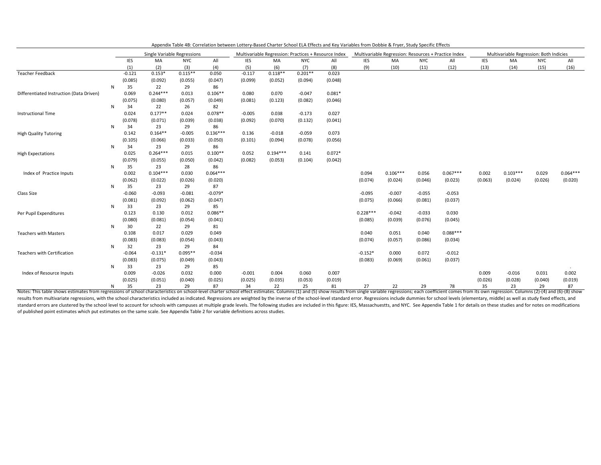|                                          |    |          | Single Variable Regressions |            |            |                                                                                                                           |            |           |          |            | Multivariable Regression: Resources + Practice Index |            |            |            | Multivariable Regression: Both Indicies |            |            |
|------------------------------------------|----|----------|-----------------------------|------------|------------|---------------------------------------------------------------------------------------------------------------------------|------------|-----------|----------|------------|------------------------------------------------------|------------|------------|------------|-----------------------------------------|------------|------------|
|                                          |    | IES      | MA                          | <b>NYC</b> | All        | Multivariable Regression: Practices + Resource Index<br><b>NYC</b><br><b>IES</b><br>MA<br>All<br>(6)<br>(8)<br>(5)<br>(7) |            |           |          | <b>IES</b> | MA                                                   | <b>NYC</b> | All        | <b>IES</b> | MA                                      | <b>NYC</b> | All        |
|                                          |    | (1)      | (2)                         | (3)        | (4)        |                                                                                                                           |            |           |          | (9)        | (10)                                                 | (11)       | (12)       | (13)       | (14)                                    | (15)       | (16)       |
| <b>Teacher Feedback</b>                  |    | $-0.121$ | $0.153*$                    | $0.115**$  | 0.050      | $-0.117$                                                                                                                  | $0.118**$  | $0.201**$ | 0.023    |            |                                                      |            |            |            |                                         |            |            |
|                                          |    | (0.085)  | (0.092)                     | (0.055)    | (0.047)    | (0.099)                                                                                                                   | (0.052)    | (0.094)   | (0.048)  |            |                                                      |            |            |            |                                         |            |            |
|                                          | N  | 35       | 22                          | 29         | 86         |                                                                                                                           |            |           |          |            |                                                      |            |            |            |                                         |            |            |
| Differentiated Instruction (Data Driven) |    | 0.069    | $0.244***$                  | 0.013      | $0.106**$  | 0.080                                                                                                                     | 0.070      | $-0.047$  | $0.081*$ |            |                                                      |            |            |            |                                         |            |            |
|                                          |    | (0.075)  | (0.080)                     | (0.057)    | (0.049)    | (0.081)                                                                                                                   | (0.123)    | (0.082)   | (0.046)  |            |                                                      |            |            |            |                                         |            |            |
|                                          | N  | 34       | 22                          | 26         | 82         |                                                                                                                           |            |           |          |            |                                                      |            |            |            |                                         |            |            |
| Instructional Time                       |    | 0.024    | $0.177**$                   | 0.024      | $0.078**$  | $-0.005$                                                                                                                  | 0.038      | $-0.173$  | 0.027    |            |                                                      |            |            |            |                                         |            |            |
|                                          |    | (0.078)  | (0.071)                     | (0.039)    | (0.038)    | (0.092)                                                                                                                   | (0.070)    | (0.132)   | (0.041)  |            |                                                      |            |            |            |                                         |            |            |
|                                          | N  | 34       | 23                          | 29         | 86         |                                                                                                                           |            |           |          |            |                                                      |            |            |            |                                         |            |            |
| <b>High Quality Tutoring</b>             |    | 0.142    | $0.164**$                   | $-0.005$   | $0.136***$ | 0.136                                                                                                                     | $-0.018$   | $-0.059$  | 0.073    |            |                                                      |            |            |            |                                         |            |            |
|                                          |    | (0.105)  | (0.066)                     | (0.033)    | (0.050)    | (0.101)                                                                                                                   | (0.094)    | (0.078)   | (0.056)  |            |                                                      |            |            |            |                                         |            |            |
|                                          | N  | 34       | 23                          | 29         | 86         |                                                                                                                           |            |           |          |            |                                                      |            |            |            |                                         |            |            |
| <b>High Expectations</b>                 |    | 0.025    | $0.264***$                  | 0.015      | $0.100**$  | 0.052                                                                                                                     | $0.194***$ | 0.141     | $0.072*$ |            |                                                      |            |            |            |                                         |            |            |
|                                          |    | (0.079)  | (0.055)                     | (0.050)    | (0.042)    | (0.082)                                                                                                                   | (0.053)    | (0.104)   | (0.042)  |            |                                                      |            |            |            |                                         |            |            |
|                                          | N  | 35       | 23                          | 28         | 86         |                                                                                                                           |            |           |          |            |                                                      |            |            |            |                                         |            |            |
| Index of Practice Inputs                 |    | 0.002    | $0.104***$                  | 0.030      | $0.064***$ |                                                                                                                           |            |           |          | 0.094      | $0.106***$                                           | 0.056      | $0.067***$ | 0.002      | $0.103***$                              | 0.029      | $0.064***$ |
|                                          |    | (0.062)  | (0.022)                     | (0.026)    | (0.020)    |                                                                                                                           |            |           |          | (0.074)    | (0.024)                                              | (0.046)    | (0.023)    | (0.063)    | (0.024)                                 | (0.026)    | (0.020)    |
|                                          | N  | 35       | 23                          | 29         | 87         |                                                                                                                           |            |           |          |            |                                                      |            |            |            |                                         |            |            |
| Class Size                               |    | $-0.060$ | $-0.093$                    | $-0.081$   | $-0.079*$  |                                                                                                                           |            |           |          | $-0.095$   | $-0.007$                                             | $-0.055$   | $-0.053$   |            |                                         |            |            |
|                                          |    | (0.081)  | (0.092)                     | (0.062)    | (0.047)    |                                                                                                                           |            |           |          | (0.075)    | (0.066)                                              | (0.081)    | (0.037)    |            |                                         |            |            |
|                                          | N  | 33       | 23                          | 29         | 85         |                                                                                                                           |            |           |          |            |                                                      |            |            |            |                                         |            |            |
| Per Pupil Expenditures                   |    | 0.123    | 0.130                       | 0.012      | $0.086**$  |                                                                                                                           |            |           |          | $0.228***$ | $-0.042$                                             | $-0.033$   | 0.030      |            |                                         |            |            |
|                                          |    | (0.080)  | (0.081)                     | (0.054)    | (0.041)    |                                                                                                                           |            |           |          | (0.085)    | (0.039)                                              | (0.076)    | (0.045)    |            |                                         |            |            |
|                                          | N  | 30       | 22                          | 29         | 81         |                                                                                                                           |            |           |          |            |                                                      |            |            |            |                                         |            |            |
| <b>Teachers with Masters</b>             |    | 0.108    | 0.017                       | 0.029      | 0.049      |                                                                                                                           |            |           |          | 0.040      | 0.051                                                | 0.040      | $0.088***$ |            |                                         |            |            |
|                                          |    | (0.083)  | (0.083)                     | (0.054)    | (0.043)    |                                                                                                                           |            |           |          | (0.074)    | (0.057)                                              | (0.086)    | (0.034)    |            |                                         |            |            |
|                                          | N  | 32       | 23                          | 29         | 84         |                                                                                                                           |            |           |          |            |                                                      |            |            |            |                                         |            |            |
| Teachers with Certification              |    | $-0.064$ | $-0.131*$                   | $0.095**$  | $-0.034$   |                                                                                                                           |            |           |          | $-0.152*$  | 0.000                                                | 0.072      | $-0.012$   |            |                                         |            |            |
|                                          |    | (0.083)  | (0.075)                     | (0.049)    | (0.043)    |                                                                                                                           |            |           |          | (0.083)    | (0.069)                                              | (0.061)    | (0.037)    |            |                                         |            |            |
|                                          | N  | 33       | 23                          | 29         | 85         |                                                                                                                           |            |           |          |            |                                                      |            |            |            |                                         |            |            |
| Index of Resource Inputs                 |    | 0.009    | $-0.026$                    | 0.032      | 0.000      | $-0.001$                                                                                                                  | 0.004      | 0.060     | 0.007    |            |                                                      |            |            | 0.009      | $-0.016$                                | 0.031      | 0.002      |
|                                          |    | (0.025)  | (0.051)                     | (0.040)    | (0.025)    | (0.025)                                                                                                                   | (0.035)    | (0.053)   | (0.019)  |            |                                                      |            |            | (0.026)    | (0.028)                                 | (0.040)    | (0.019)    |
|                                          | N. | 35       | 23                          | 29         | 87         | 34                                                                                                                        | 22         | 25        | 81       | 27         | 22                                                   | 29         | 78         | 35         | 23                                      | 29         | 87         |

Appendix Table 4B: Correlation between Lottery-Based Charter School ELA Effects and Key Variables from Dobbie & Fryer, Study Specific Effects

N 35 23 29 87 34 22 25 81 27 22 29 78 35 23 29 87 Notes: This table shows estimates from regressions of school characteristics on school-level charter school effect estimates. Columns (1) and (5) show results from single variable regressions; each coefficient comes from its own regression. Columns (2)-(4) and (6)-(8) show results from multivariate regressions, with the school characteristics included as indicated. Regressions are weighted by the inverse of the school-level standard error. Regressions include dummies for school levels (eleme standard errors are clustered by the school level to account for schools with campuses at multiple grade levels. The following studies are included in this figure: IES, Massachuestts, and NYC. See Appendix Table 1 for deta of published point estimates which put estimates on the same scale. See Appendix Table 2 for variable definitions across studies.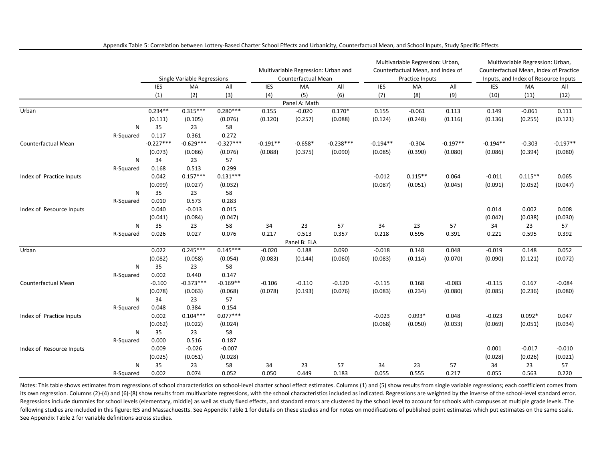|                          |           |             |                                                                                                                                                                                                                                                                                                      |             |            |                                     |             |            | Multivariable Regression: Urban,  |            |            | Multivariable Regression: Urban,       |            |
|--------------------------|-----------|-------------|------------------------------------------------------------------------------------------------------------------------------------------------------------------------------------------------------------------------------------------------------------------------------------------------------|-------------|------------|-------------------------------------|-------------|------------|-----------------------------------|------------|------------|----------------------------------------|------------|
|                          |           |             |                                                                                                                                                                                                                                                                                                      |             |            | Multivariable Regression: Urban and |             |            | Counterfactual Mean, and Index of |            |            | Counterfactual Mean, Index of Practice |            |
|                          |           |             | Single Variable Regressions                                                                                                                                                                                                                                                                          |             |            | Counterfactual Mean                 |             |            | Practice Inputs                   |            |            | Inputs, and Index of Resource Inputs   |            |
|                          |           | <b>IES</b>  | MA                                                                                                                                                                                                                                                                                                   | All         | <b>IES</b> | <b>MA</b>                           | All         | IES        | MA                                | All        | <b>IES</b> | <b>MA</b>                              | All        |
|                          |           | (1)         | (2)                                                                                                                                                                                                                                                                                                  | (3)         | (4)        | (5)                                 | (6)         | (7)        | (8)                               | (9)        | (10)       | (11)                                   | (12)       |
|                          |           |             |                                                                                                                                                                                                                                                                                                      |             |            | Panel A: Math                       |             |            |                                   |            |            |                                        |            |
| Urban                    |           | $0.234**$   | $0.315***$                                                                                                                                                                                                                                                                                           | $0.280***$  | 0.155      | $-0.020$                            | $0.170*$    | 0.155      | $-0.061$                          | 0.113      | 0.149      | $-0.061$                               | 0.111      |
|                          |           | (0.111)     | (0.105)                                                                                                                                                                                                                                                                                              | (0.076)     | (0.120)    | (0.257)                             | (0.088)     | (0.124)    | (0.248)                           | (0.116)    | (0.136)    | (0.255)                                | (0.121)    |
|                          | N         | 35          | 23                                                                                                                                                                                                                                                                                                   | 58          |            |                                     |             |            |                                   |            |            |                                        |            |
|                          | R-Squared | 0.117       | 0.361                                                                                                                                                                                                                                                                                                | 0.272       |            |                                     |             |            |                                   |            |            |                                        |            |
| Counterfactual Mean      |           | $-0.227***$ | $-0.629***$                                                                                                                                                                                                                                                                                          | $-0.327***$ | $-0.191**$ | $-0.658*$                           | $-0.238***$ | $-0.194**$ | $-0.304$                          | $-0.197**$ | $-0.194**$ | $-0.303$                               | $-0.197**$ |
|                          |           | (0.073)     | (0.086)                                                                                                                                                                                                                                                                                              | (0.076)     | (0.088)    | (0.375)                             | (0.090)     | (0.085)    | (0.390)                           | (0.080)    | (0.086)    | (0.394)                                | (0.080)    |
|                          | N         | 34          | 23                                                                                                                                                                                                                                                                                                   | 57          |            |                                     |             |            |                                   |            |            |                                        |            |
|                          | R-Squared | 0.168       | 0.513                                                                                                                                                                                                                                                                                                | 0.299       |            |                                     |             |            |                                   |            |            |                                        |            |
| Index of Practice Inputs |           | 0.042       | $0.157***$                                                                                                                                                                                                                                                                                           | $0.131***$  |            |                                     |             | $-0.012$   | $0.115**$                         | 0.064      | $-0.011$   | $0.115**$                              | 0.065      |
|                          |           | (0.099)     | (0.027)                                                                                                                                                                                                                                                                                              | (0.032)     |            |                                     |             | (0.087)    | (0.051)                           | (0.045)    | (0.091)    | (0.052)                                | (0.047)    |
|                          | N         | 35          | 23                                                                                                                                                                                                                                                                                                   | 58          |            |                                     |             |            |                                   |            |            |                                        |            |
|                          | R-Squared | 0.010       | 0.573                                                                                                                                                                                                                                                                                                | 0.283       |            |                                     |             |            |                                   |            |            |                                        |            |
| Index of Resource Inputs |           | 0.040       | $-0.013$                                                                                                                                                                                                                                                                                             | 0.015       |            |                                     |             |            |                                   |            | 0.014      | 0.002                                  | 0.008      |
|                          |           | (0.041)     | (0.084)                                                                                                                                                                                                                                                                                              |             |            |                                     |             |            |                                   |            | (0.042)    | (0.038)                                | (0.030)    |
|                          | N         |             |                                                                                                                                                                                                                                                                                                      |             | 34         | 23                                  | 57          | 34         | 23                                | 57         | 34         | 23                                     | 57         |
|                          | R-Squared | 0.026       | 0.027                                                                                                                                                                                                                                                                                                |             | 0.217      | 0.513                               | 0.357       | 0.218      | 0.595                             | 0.391      | 0.221      | 0.595                                  | 0.392      |
|                          |           |             |                                                                                                                                                                                                                                                                                                      |             |            | Panel B: ELA                        |             |            |                                   |            |            |                                        |            |
| Urban                    |           | 0.022       | $0.245***$                                                                                                                                                                                                                                                                                           | $0.145***$  | $-0.020$   | 0.188                               | 0.090       | $-0.018$   | 0.148                             | 0.048      | $-0.019$   | 0.148                                  | 0.052      |
|                          |           | (0.082)     | (0.058)                                                                                                                                                                                                                                                                                              | (0.054)     | (0.083)    | (0.144)                             | (0.060)     | (0.083)    | (0.114)                           | (0.070)    | (0.090)    | (0.121)                                | (0.072)    |
|                          | ${\sf N}$ | 35          | 23                                                                                                                                                                                                                                                                                                   | 58          |            |                                     |             |            |                                   |            |            |                                        |            |
|                          | R-Squared |             | 0.440                                                                                                                                                                                                                                                                                                | 0.147       |            |                                     |             |            |                                   |            |            |                                        |            |
| Counterfactual Mean      |           | $-0.100$    | $-0.373***$                                                                                                                                                                                                                                                                                          | $-0.169**$  | $-0.106$   | $-0.110$                            | $-0.120$    | $-0.115$   | 0.168                             | $-0.083$   | $-0.115$   | 0.167                                  | $-0.084$   |
|                          |           |             |                                                                                                                                                                                                                                                                                                      |             | (0.078)    | (0.193)                             | (0.076)     | (0.083)    | (0.234)                           | (0.080)    | (0.085)    | (0.236)                                | (0.080)    |
|                          | N         |             | 23                                                                                                                                                                                                                                                                                                   | 57          |            |                                     |             |            |                                   |            |            |                                        |            |
|                          | R-Squared |             |                                                                                                                                                                                                                                                                                                      |             |            |                                     |             |            |                                   |            |            |                                        |            |
| Index of Practice Inputs |           |             | $0.104***$                                                                                                                                                                                                                                                                                           | $0.077***$  |            |                                     |             | $-0.023$   | $0.093*$                          | 0.048      | $-0.023$   | $0.092*$                               | 0.047      |
|                          |           |             |                                                                                                                                                                                                                                                                                                      |             |            |                                     |             | (0.068)    | (0.050)                           | (0.033)    | (0.069)    | (0.051)                                | (0.034)    |
|                          | N         |             | 23                                                                                                                                                                                                                                                                                                   |             |            |                                     |             |            |                                   |            |            |                                        |            |
|                          | R-Squared |             |                                                                                                                                                                                                                                                                                                      |             |            |                                     |             |            |                                   |            |            |                                        |            |
| Index of Resource Inputs |           |             |                                                                                                                                                                                                                                                                                                      |             |            |                                     |             |            |                                   |            | 0.001      | $-0.017$                               | $-0.010$   |
|                          |           |             |                                                                                                                                                                                                                                                                                                      |             |            |                                     |             |            |                                   |            | (0.028)    | (0.026)                                | (0.021)    |
|                          | N         |             |                                                                                                                                                                                                                                                                                                      |             | 34         | 23                                  | 57          | 34         | 23                                | 57         | 34         | 23                                     | 57         |
|                          | R-Squared | 0.002       | (0.047)<br>35<br>23<br>58<br>0.076<br>0.002<br>(0.078)<br>(0.063)<br>(0.068)<br>34<br>0.384<br>0.154<br>0.048<br>0.002<br>(0.062)<br>(0.022)<br>(0.024)<br>35<br>58<br>0.000<br>0.516<br>0.187<br>$-0.026$<br>$-0.007$<br>0.009<br>(0.051)<br>(0.025)<br>(0.028)<br>35<br>23<br>58<br>0.074<br>0.052 |             | 0.050      | 0.449                               | 0.183       | 0.055      | 0.555                             | 0.217      | 0.055      | 0.563                                  | 0.220      |

Appendix Table 5: Correlation between Lottery-Based Charter School Effects and Urbanicity, Counterfactual Mean, and School Inputs, Study Specific Effects

Notes: This table shows estimates from regressions of school characteristics on school-level charter school effect estimates. Columns (1) and (5) show results from single variable regressions; each coefficient comes from its own regression. Columns (2)-(4) and (6)-(8) show results from multivariate regressions, with the school characteristics included as indicated. Regressions are weighted by the inverse of the school-level standard error. Regressions include dummies for school levels (elementary, middle) as well as study fixed effects, and standard errors are clustered by the school level to account for schools with campuses at multiple grade levels. The following studies are included in this figure: IES and Massachuestts. See Appendix Table 1 for details on these studies and for notes on modifications of published point estimates which put estimates on the same scale. See Appendix Table 2 for variable definitions across studies.